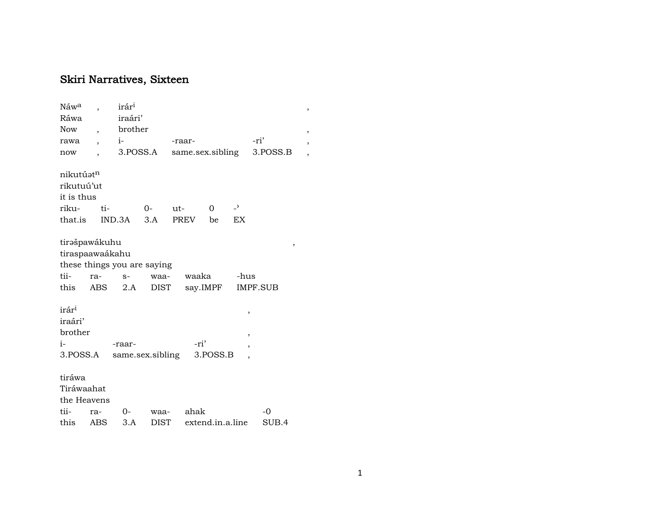# Skiri Narratives, Sixteen

| Náw <sup>a</sup>  |                      | irár <sup>i</sup>           |                           |     |                  |          |                          |                  | $\, ,$                  |
|-------------------|----------------------|-----------------------------|---------------------------|-----|------------------|----------|--------------------------|------------------|-------------------------|
| Ráwa              |                      | iraári'                     |                           |     |                  |          |                          |                  |                         |
| <b>Now</b>        | $\overline{ }$ ,     | brother                     |                           |     |                  |          |                          |                  | $^\mathrm{^\mathrm{o}}$ |
| rawa              |                      | $i$ - $i$                   |                           |     | -raar-           |          |                          | -ri'             | ,                       |
| now               | $\ddot{\phantom{0}}$ |                             | 3.POSS.A                  |     | same.sex.sibling |          |                          | 3.POSS.B         | $\overline{ }$          |
| nikutúatn         |                      |                             |                           |     |                  |          |                          |                  |                         |
| rikutuú'ut        |                      |                             |                           |     |                  |          |                          |                  |                         |
| it is thus        |                      |                             |                           |     |                  |          |                          |                  |                         |
| riku-             | ti-                  |                             | $0-$                      | ut- |                  | 0        | $\overline{a}$           |                  |                         |
| that.is           |                      | $IND.3A$ $3.A$              |                           |     | PREV             | be       | EX                       |                  |                         |
| tirašpawákuhu     |                      |                             |                           |     |                  |          |                          | ,                |                         |
| tiraspaawaákahu   |                      |                             |                           |     |                  |          |                          |                  |                         |
|                   |                      | these things you are saying |                           |     |                  |          |                          |                  |                         |
| tii-              | ra-                  | $S-$                        |                           |     | waa- waaka       |          | -hus                     |                  |                         |
|                   |                      | this ABS 2.A DIST say.IMPF  |                           |     |                  |          |                          | <b>IMPF.SUB</b>  |                         |
| irár <sup>i</sup> |                      |                             |                           |     |                  |          | ,                        |                  |                         |
| iraári'           |                      |                             |                           |     |                  |          |                          |                  |                         |
| brother           |                      |                             |                           |     |                  |          | ,                        |                  |                         |
| $i-$              |                      | -raar-                      |                           |     | -ri'             |          | $\overline{\phantom{a}}$ |                  |                         |
|                   |                      | 3. POSS.A same.sex.sibling  |                           |     |                  | 3.POSS.B |                          |                  |                         |
| tiráwa            |                      |                             |                           |     |                  |          |                          |                  |                         |
| Tiráwaahat        |                      |                             |                           |     |                  |          |                          |                  |                         |
| the Heavens       |                      |                             |                           |     |                  |          |                          |                  |                         |
| tii-              | ra-                  | $0-$                        |                           |     | waa- ahak        |          |                          | $-0$             |                         |
| this ABS          |                      |                             | 3.4 DIST extend in a line |     |                  |          |                          | SUB <sub>4</sub> |                         |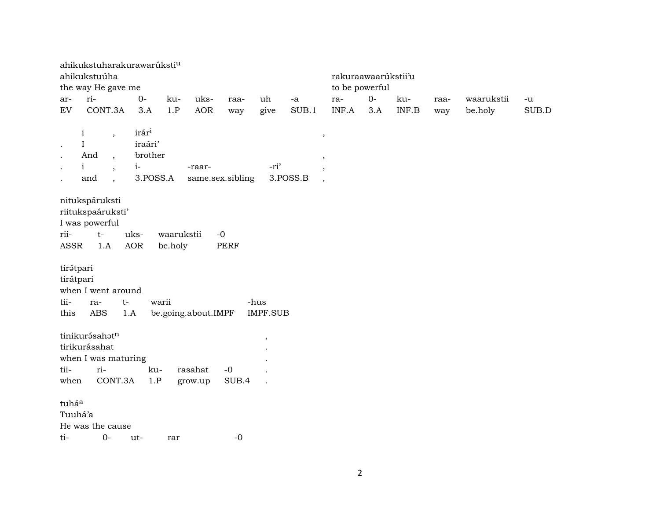|                            | ahikukstuharakurawarúksti <sup>u</sup>   |                   |            |                     |             |                 |          |                          |      |       |      |            |       |
|----------------------------|------------------------------------------|-------------------|------------|---------------------|-------------|-----------------|----------|--------------------------|------|-------|------|------------|-------|
|                            | ahikukstuúha                             |                   |            |                     |             |                 |          | rakuraawaarúkstii'u      |      |       |      |            |       |
|                            | the way He gave me                       |                   |            |                     |             |                 |          | to be powerful           |      |       |      |            |       |
| ar-                        | ri-                                      | $0-$              | ku-        | uks-                | raa-        | uh              | $-a$     | ra-                      | $0-$ | ku-   | raa- | waarukstii | $-u$  |
| $\mathop{\rm EV}\nolimits$ | CONT.3A                                  | 3.A               | 1.P        | AOR                 | way         | give            | SUB.1    | INF.A                    | 3.A  | INF.B | way  | be.holy    | SUB.D |
|                            |                                          |                   |            |                     |             |                 |          |                          |      |       |      |            |       |
| $\mathbf{i}$               | $\overline{\phantom{a}}$                 | irár <sup>i</sup> |            |                     |             |                 |          | $\,$                     |      |       |      |            |       |
|                            | $\rm I$                                  | iraári'           |            |                     |             |                 |          |                          |      |       |      |            |       |
|                            | And<br>$\cdot$                           | brother           |            |                     |             |                 |          | $\overline{\phantom{a}}$ |      |       |      |            |       |
|                            | $\mathbf{i}$<br>$\overline{\phantom{a}}$ | $i-$              |            | -raar-              |             | -ri'            |          |                          |      |       |      |            |       |
|                            | and<br>$\overline{\phantom{a}}$          | 3.POSS.A          |            | same.sex.sibling    |             |                 | 3.POSS.B | $\overline{\phantom{a}}$ |      |       |      |            |       |
|                            |                                          |                   |            |                     |             |                 |          |                          |      |       |      |            |       |
|                            | nitukspáruksti                           |                   |            |                     |             |                 |          |                          |      |       |      |            |       |
|                            | riitukspaáruksti'                        |                   |            |                     |             |                 |          |                          |      |       |      |            |       |
|                            | I was powerful                           |                   |            |                     |             |                 |          |                          |      |       |      |            |       |
| rii-                       | $t-$                                     | uks-              | waarukstii | $-0$                |             |                 |          |                          |      |       |      |            |       |
| ASSR                       | 1.A                                      | <b>AOR</b>        | be.holy    |                     | <b>PERF</b> |                 |          |                          |      |       |      |            |       |
|                            |                                          |                   |            |                     |             |                 |          |                          |      |       |      |            |       |
| tirátpari                  |                                          |                   |            |                     |             |                 |          |                          |      |       |      |            |       |
| tirátpari                  |                                          |                   |            |                     |             |                 |          |                          |      |       |      |            |       |
|                            | when I went around                       |                   |            |                     |             |                 |          |                          |      |       |      |            |       |
| tii-                       | $t-$<br>ra-                              |                   | warii      |                     |             | -hus            |          |                          |      |       |      |            |       |
| this                       | ABS                                      | 1.A               |            | be.going.about.IMPF |             | <b>IMPF.SUB</b> |          |                          |      |       |      |            |       |
|                            |                                          |                   |            |                     |             |                 |          |                          |      |       |      |            |       |
|                            | tinikurásahatn                           |                   |            |                     |             | $\,$            |          |                          |      |       |      |            |       |
|                            | tirikurásahat                            |                   |            |                     |             |                 |          |                          |      |       |      |            |       |
|                            | when I was maturing                      |                   |            |                     |             |                 |          |                          |      |       |      |            |       |
| tii-                       | ri-                                      | ku-               |            | rasahat             | $-0$        |                 |          |                          |      |       |      |            |       |
| when                       | CONT.3A                                  | 1.P               |            | grow.up             | SUB.4       |                 |          |                          |      |       |      |            |       |
|                            |                                          |                   |            |                     |             |                 |          |                          |      |       |      |            |       |
| tuháa                      |                                          |                   |            |                     |             |                 |          |                          |      |       |      |            |       |
| Tuuhá'a                    |                                          |                   |            |                     |             |                 |          |                          |      |       |      |            |       |
|                            | He was the cause                         |                   |            |                     |             |                 |          |                          |      |       |      |            |       |
| ti-                        | $0-$                                     | ut-               | rar        |                     | $-0$        |                 |          |                          |      |       |      |            |       |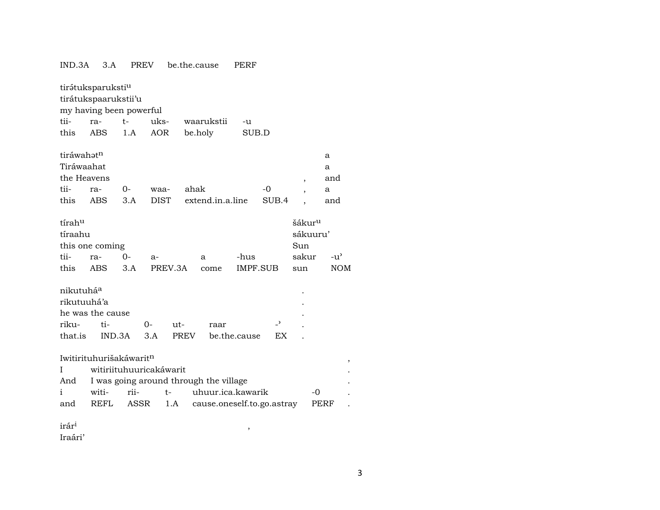| IND.3A                 | 3.A                                    | PREV        |             |             | be.the.cause |                  | PERF              |                            |                          |               |
|------------------------|----------------------------------------|-------------|-------------|-------------|--------------|------------------|-------------------|----------------------------|--------------------------|---------------|
|                        | tirátuksparuksti <sup>u</sup>          |             |             |             |              |                  |                   |                            |                          |               |
|                        | tirátukspaarukstii'u                   |             |             |             |              |                  |                   |                            |                          |               |
|                        | my having been powerful                |             |             |             |              |                  |                   |                            |                          |               |
| tii-                   | ra-                                    | $t-$        | uks-        |             |              | waarukstii       | -u                |                            |                          |               |
| this                   | ABS                                    | 1.A         | <b>AOR</b>  |             | be.holy      |                  | SUB.D             |                            |                          |               |
| tiráwahət <sup>n</sup> |                                        |             |             |             |              |                  |                   |                            |                          | a             |
| Tiráwaahat             |                                        |             |             |             |              |                  |                   |                            |                          | a             |
| the Heavens            |                                        |             |             |             |              |                  |                   |                            | $\overline{\phantom{a}}$ | and           |
| tii-                   | ra-                                    | $O -$       | waa-        |             | ahak         |                  |                   | -0                         |                          | a             |
| this                   | ABS                                    | 3.A         | <b>DIST</b> |             |              | extend.in.a.line |                   | SUB.4                      |                          | and           |
| tírahu                 |                                        |             |             |             |              |                  |                   |                            | šákur <sup>u</sup>       |               |
| tíraahu                |                                        |             |             |             |              |                  |                   |                            | sákuuru'                 |               |
|                        | this one coming                        |             |             |             |              |                  |                   |                            | Sun                      |               |
| tii-                   | ra-                                    | 0-          | $a-$        |             | a            |                  | -hus              |                            | sakur                    | $-u^{\prime}$ |
| this                   | ABS                                    | 3.A         |             | PREV.3A     |              | come             | IMPF.SUB          |                            | sun                      | <b>NOM</b>    |
| nikutuhá <sup>a</sup>  |                                        |             |             |             |              |                  |                   |                            |                          |               |
| rikutuuhá'a            |                                        |             |             |             |              |                  |                   |                            |                          |               |
|                        | he was the cause                       |             |             |             |              |                  |                   |                            |                          |               |
| riku-                  | ti-                                    |             | 0-          | ut-         |              | raar             |                   | ر-                         |                          |               |
| that.is                | IND.3A                                 |             | 3.A         | <b>PREV</b> |              |                  | be.the.cause      | EX                         |                          |               |
|                        | Iwitirituhurišakáwaritn                |             |             |             |              |                  |                   |                            |                          |               |
| I                      | witiriituhuuricakáwarit                |             |             |             |              |                  |                   |                            |                          |               |
| And                    | I was going around through the village |             |             |             |              |                  |                   |                            |                          |               |
| i                      | witi-                                  | rii-        |             | t-          |              |                  | uhuur.ica.kawarik |                            |                          | -0            |
| and                    | <b>REFL</b>                            | <b>ASSR</b> |             | 1.A         |              |                  |                   | cause.oneself.to.go.astray |                          | PERF          |
|                        |                                        |             |             |             |              |                  |                   |                            |                          |               |

 $\overline{\phantom{a}}$ 

 $\overline{a}$  $\overline{a}$ 

 $\mbox{ir\'ar}^{\mbox{\scriptsize i}}$ 

Iraári'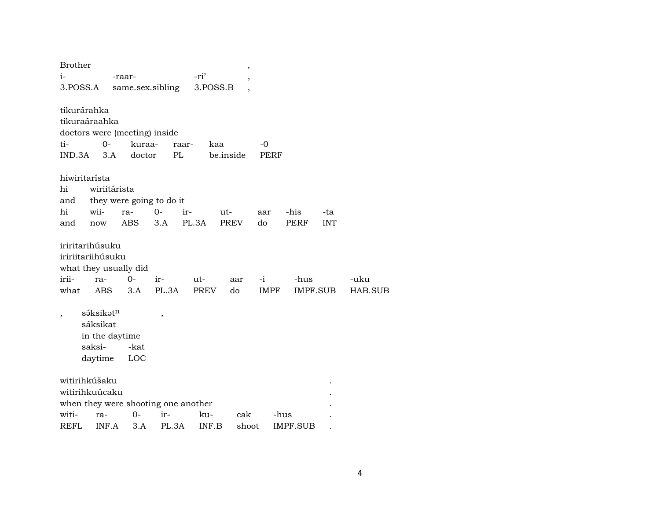| <b>Brother</b> |                       |                               |                                     |          | ,           |             |                 |            |         |
|----------------|-----------------------|-------------------------------|-------------------------------------|----------|-------------|-------------|-----------------|------------|---------|
| i-             |                       | -raar-                        |                                     | -ri'     |             |             |                 |            |         |
| 3.POSS.A       |                       |                               | same.sex.sibling                    | 3.POSS.B |             |             |                 |            |         |
|                | tikurárahka           |                               |                                     |          |             |             |                 |            |         |
|                | tikuraáraahka         |                               |                                     |          |             |             |                 |            |         |
|                |                       | doctors were (meeting) inside |                                     |          |             |             |                 |            |         |
| ti-            | $0-$                  | kuraa-                        | raar-                               | kaa      |             | -0          |                 |            |         |
| IND.3A         | 3.A                   | doctor                        | PL                                  |          | be.inside   | <b>PERF</b> |                 |            |         |
|                | hiwiritarísta         |                               |                                     |          |             |             |                 |            |         |
| hi             | wiriitárista          |                               |                                     |          |             |             |                 |            |         |
| and            |                       |                               | they were going to do it            |          |             |             |                 |            |         |
| hi             | wii-                  | ra-                           | $0-$                                | ir-      | ut-         | aar         | -his            | -ta        |         |
| and            | now                   | ABS                           | 3.A                                 | PL.3A    | <b>PREV</b> | do          | <b>PERF</b>     | <b>INT</b> |         |
|                | iriritarihúsuku       |                               |                                     |          |             |             |                 |            |         |
|                | iririitariihúsuku     |                               |                                     |          |             |             |                 |            |         |
|                |                       | what they usually did         |                                     |          |             |             |                 |            |         |
| irii-          | ra-                   | 0-                            | ir-                                 | ut-      | aar         | $-i$        | -hus            |            | -uku    |
| what           | ABS                   | 3.A                           | PL.3A                               | PREV     | do          | <b>IMPF</b> |                 | IMPF.SUB   | HAB.SUB |
| $\overline{ }$ | sáksikat <sup>n</sup> |                               | $\overline{\phantom{a}}$            |          |             |             |                 |            |         |
|                | sáksikat              |                               |                                     |          |             |             |                 |            |         |
|                | in the daytime        |                               |                                     |          |             |             |                 |            |         |
|                | saksi-                | -kat                          |                                     |          |             |             |                 |            |         |
|                | daytime               | LOC                           |                                     |          |             |             |                 |            |         |
|                | witirihkúšaku         |                               |                                     |          |             |             |                 |            |         |
|                | witirihkuúcaku        |                               |                                     |          |             |             |                 |            |         |
|                |                       |                               | when they were shooting one another |          |             |             |                 |            |         |
| witi-          | ra-                   | 0-                            | ir-                                 | ku-      | cak         | -hus        |                 |            |         |
| <b>REFL</b>    | INF.A                 | 3.A                           | PL.3A                               | INF.B    | shoot       |             | <b>IMPF.SUB</b> |            |         |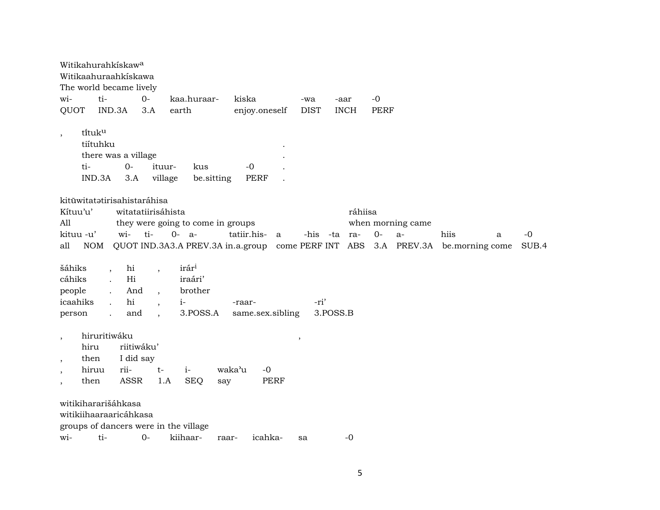|                                     | Witikahurahkískaw <sup>a</sup><br>Witikaahuraahkískawa<br>The world became lively             |                                        |                                            |                                                                      |                          |                         |                                    |                                          |               |
|-------------------------------------|-----------------------------------------------------------------------------------------------|----------------------------------------|--------------------------------------------|----------------------------------------------------------------------|--------------------------|-------------------------|------------------------------------|------------------------------------------|---------------|
| wi-<br>QUOT                         | ti-<br>IND.3A                                                                                 | $0-$<br>3.A                            | kaa.huraar-<br>earth                       | kiska<br>enjoy.oneself                                               | -wa<br><b>DIST</b>       | -aar<br><b>INCH</b>     | $-0$<br><b>PERF</b>                |                                          |               |
| $\cdot$<br>ti-                      | tituk <sup>u</sup><br>tiítuhku<br>there was a village<br>$0-$<br>IND.3A<br>3.A                | ituur-<br>village                      | kus<br>be sitting                          | $-0$<br>PERF                                                         |                          |                         |                                    |                                          |               |
| Kítuu'u'<br>All<br>kituu -u'<br>all | kitūwitatatirisahistaráhisa<br>wi-<br>NOM                                                     | witatatiirisáhista<br>ti-              | they were going to come in groups<br>0- a- | tatiir.his- a<br>QUOT IND.3A3.A PREV.3A in.a.group come PERF INT ABS |                          | ráhiisa<br>-his -ta ra- | when morning came<br>$O -$<br>$a-$ | hiis<br>a<br>3.A PREV.3A be.morning come | $-0$<br>SUB.4 |
| šáhiks<br>cáhiks<br>people          | hi<br>$\overline{\phantom{a}}$<br>Hi<br>$\ddot{\phantom{a}}$<br>And<br>$\ddot{\phantom{a}}$   |                                        | irár <sup>i</sup><br>iraári'<br>brother    |                                                                      |                          |                         |                                    |                                          |               |
| icaahiks<br>person                  | hi<br>and                                                                                     |                                        | $i-$<br>3.POSS.A                           | -raar-<br>same.sex.sibling                                           | -ri'                     | 3.POSS.B                |                                    |                                          |               |
| hiru<br>then<br>$\cdot$<br>then     | hiruritiwáku<br>rii-<br>hiruu<br><b>ASSR</b>                                                  | riitiwáku'<br>I did say<br>$t-$<br>1.A | $i-$<br><b>SEQ</b><br>say                  | waka'u<br>$-0$<br><b>PERF</b>                                        | $\overline{\phantom{a}}$ |                         |                                    |                                          |               |
| wi-                                 | witikihararišáhkasa<br>witikiihaaraaricáhkasa<br>groups of dancers were in the village<br>ti- | $0-$                                   | kiihaar-                                   | icahka-<br>raar-                                                     | sa                       | $-0$                    |                                    |                                          |               |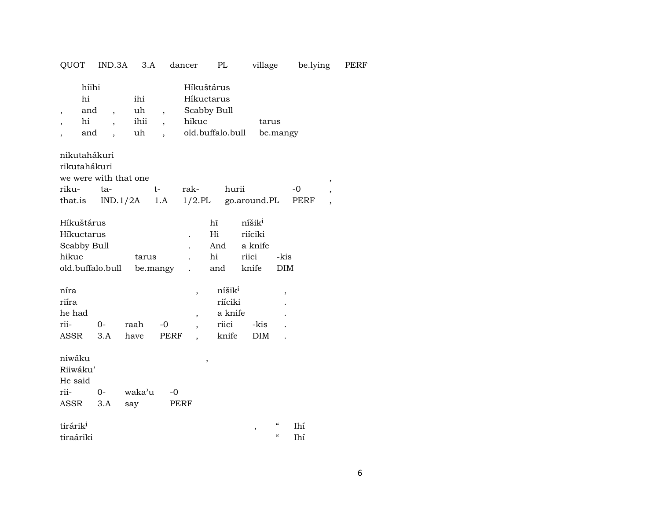| QUOT                                                                      | IND.3A                                                                       | 3.A                     |                                                                    | dancer            | PL                                                          |                                                            | village                  | be.lying     | PERF                                                      |
|---------------------------------------------------------------------------|------------------------------------------------------------------------------|-------------------------|--------------------------------------------------------------------|-------------------|-------------------------------------------------------------|------------------------------------------------------------|--------------------------|--------------|-----------------------------------------------------------|
| híihi<br>hi<br>and<br>$\overline{\phantom{a}}$<br>hi<br>and               | $\overline{\phantom{a}}$<br>$\overline{\phantom{a}}$<br>$\ddot{\phantom{0}}$ | ihi<br>uh<br>ihii<br>uh | $\overline{ }$<br>$\overline{\phantom{a}}$<br>$\ddot{\phantom{0}}$ | hikuc             | Híkuštárus<br>Híkuctarus<br>Scabby Bull<br>old.buffalo.bull |                                                            | tarus<br>be.mangy        |              |                                                           |
| nikutahákuri<br>rikutahákuri<br>we were with that one<br>riku-<br>that.is | ta-                                                                          | t-<br>IND.1/2A          | 1.A                                                                | rak-<br>$1/2$ .PL | hurii                                                       | go.around.PL                                               |                          | $-0$<br>PERF | ,<br>$\overline{\phantom{a}}$<br>$\overline{\phantom{a}}$ |
| Híkuštárus<br>Híkuctarus<br>Scabby Bull<br>hikuc<br>old.buffalo.bull      |                                                                              | tarus<br>be.mangy       |                                                                    |                   | hĩ<br>Hi<br>And<br>hi<br>and                                | níšik <sup>i</sup><br>riíciki<br>a knife<br>riici<br>knife | -kis<br>DIM              |              |                                                           |
| níra<br>riíra<br>he had<br>rii-<br>ASSR                                   | $0-$<br>3.A                                                                  | raah<br>have            | $-0$<br>PERF                                                       | ,<br>,            | níšik <sup>i</sup><br>riíciki<br>a knife<br>riici<br>knife  | -kis<br><b>DIM</b>                                         | ,                        |              |                                                           |
| niwáku<br>Riiwáku'<br>He said<br>rii-<br>ASSR                             | $0 -$<br>3.A                                                                 | waka'u<br>say           | $-0$                                                               | PERF              | ,                                                           |                                                            |                          |              |                                                           |
| tirárik <sup>i</sup><br>tiraáriki                                         |                                                                              |                         |                                                                    |                   |                                                             | $\, ,$                                                     | $\epsilon$<br>$\epsilon$ | Ihí<br>Ihí   |                                                           |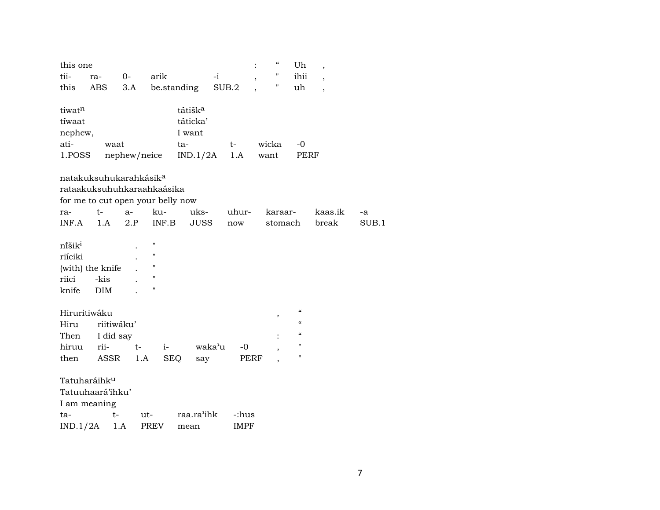| this one           |                                    |              |              |                     |             | $\epsilon\epsilon$             | Uh                         | $\overline{\phantom{a}}$ |       |  |
|--------------------|------------------------------------|--------------|--------------|---------------------|-------------|--------------------------------|----------------------------|--------------------------|-------|--|
| tii-               | ra-                                | $0-$         | arik         |                     | $-i$        | 11<br>$\overline{\phantom{a}}$ | ihii                       | $\ddot{\phantom{0}}$     |       |  |
| this               | <b>ABS</b>                         | 3.A          |              | be.standing         | $\rm SUB.2$ | Ħ                              | uh                         | $\overline{\phantom{a}}$ |       |  |
|                    |                                    |              |              |                     |             |                                |                            |                          |       |  |
| tiwatn             |                                    |              |              | tátišk <sup>a</sup> |             |                                |                            |                          |       |  |
| tíwaat             |                                    |              |              | táticka'            |             |                                |                            |                          |       |  |
| nephew,            |                                    |              |              | I want              |             |                                |                            |                          |       |  |
| ati-               | waat                               |              |              | ta-                 | $t-$        | wicka                          | $-0$                       |                          |       |  |
| 1.POSS             |                                    | nephew/neice |              | IND.1/2A            | 1.A         | want                           | PERF                       |                          |       |  |
|                    | natakuksuhukarahkásik <sup>a</sup> |              |              |                     |             |                                |                            |                          |       |  |
|                    | rataakuksuhuhkaraahkaásika         |              |              |                     |             |                                |                            |                          |       |  |
|                    | for me to cut open your belly now  |              |              |                     |             |                                |                            |                          |       |  |
| ra-                | $t-$                               | $a-$         | ku-          | uks-                | uhur-       | karaar-                        |                            | kaas.ik                  | -a    |  |
| INF.A              | 1.A                                | 2.P          | INF.B        | <b>JUSS</b>         | now         | stomach                        |                            | break                    | SUB.1 |  |
|                    |                                    |              |              |                     |             |                                |                            |                          |       |  |
| nišik <sup>i</sup> |                                    |              | $\mathbf{H}$ |                     |             |                                |                            |                          |       |  |
| riíciki            |                                    |              | Ħ            |                     |             |                                |                            |                          |       |  |
|                    | (with) the knife                   |              | н            |                     |             |                                |                            |                          |       |  |
| riici              | -kis                               |              | н            |                     |             |                                |                            |                          |       |  |
| knife              | DIM                                |              | П            |                     |             |                                |                            |                          |       |  |
|                    |                                    |              |              |                     |             |                                |                            |                          |       |  |
| Hiruritiwáku       |                                    |              |              |                     |             | $\, ,$                         | $\boldsymbol{\mathcal{C}}$ |                          |       |  |
| Hiru               | riitiwáku'                         |              |              |                     |             |                                | $\epsilon$                 |                          |       |  |
| Then               | I did say                          |              |              |                     |             |                                | $\mathcal{C}$              |                          |       |  |
| hiruu              | rii-                               | $t-$         | $i-$         | waka'u              | $-0$        |                                | $\pmb{\mathsf{H}}$         |                          |       |  |
| then               | ASSR                               | 1.A          | <b>SEQ</b>   | say                 |             | <b>PERF</b>                    | $\pmb{\mathsf{H}}$         |                          |       |  |
|                    |                                    |              |              |                     |             |                                |                            |                          |       |  |
| Tatuharáihku       |                                    |              |              |                     |             |                                |                            |                          |       |  |
|                    | Tatuuhaará'ihku'                   |              |              |                     |             |                                |                            |                          |       |  |
|                    | I am meaning                       |              |              |                     |             |                                |                            |                          |       |  |
| ta-                | $t-$                               |              | ut-          | raa.ra'ihk          | -:hus       |                                |                            |                          |       |  |
| IND.1/2A           |                                    | 1.A          | PREV         | mean                | <b>IMPF</b> |                                |                            |                          |       |  |
|                    |                                    |              |              |                     |             |                                |                            |                          |       |  |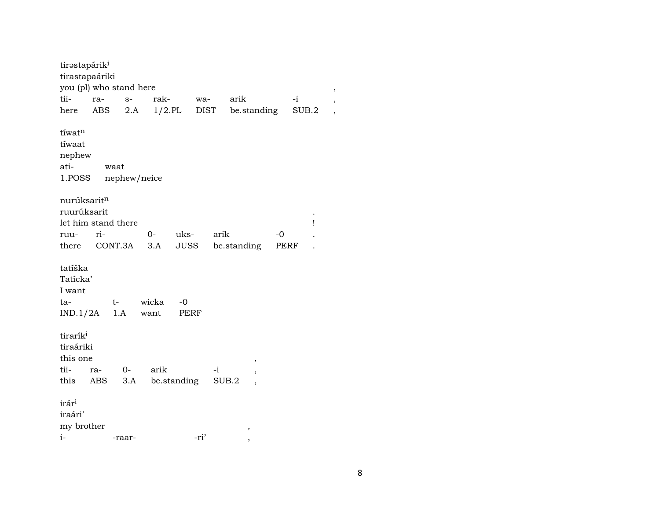| tirastapárik <sup>i</sup><br>tirastapaáriki   | you (pl) who stand here |              |                     |             |       |                |      |       |
|-----------------------------------------------|-------------------------|--------------|---------------------|-------------|-------|----------------|------|-------|
| tii-                                          | ra-                     | $S-$         | rak-                | wa-         | arik  |                | $-i$ |       |
| here                                          | ABS                     | 2.A          | $1/2$ .PL           | DIST        |       | be.standing    |      | SUB.2 |
| tíwatn<br>tíwaat<br>nephew<br>ati-<br>1.POSS  | waat                    | nephew/neice |                     |             |       |                |      |       |
| nurúksarit <sup>n</sup>                       |                         |              |                     |             |       |                |      |       |
| ruurúksarit                                   |                         |              |                     |             |       |                |      |       |
|                                               | let him stand there     |              |                     |             |       |                |      | Ţ     |
| ruu-                                          | ri-                     |              | uks-<br>0-          |             | arik  |                | -0   |       |
| there                                         | CONT.3A                 |              | 3.A                 | JUSS        |       | be.standing    | PERF |       |
| tatíška<br>Tatícka'<br>I want<br>ta-          | $t-$<br>$IND.1/2A$ 1.A  |              | wicka<br>-0<br>want | <b>PERF</b> |       |                |      |       |
| tirarík <sup>i</sup><br>tiraáriki<br>this one |                         |              |                     |             |       | ,              |      |       |
| tii-                                          | ra-                     | $O-$         | arik                |             | -i    | ,              |      |       |
| this                                          | ABS                     | 3.A          | be.standing         |             | SUB.2 | $\overline{ }$ |      |       |
| irár <sup>i</sup><br>iraári'<br>my brother    |                         |              |                     |             |       | ,              |      |       |
| i-                                            |                         | -raar-       |                     | -ri'        |       | ,              |      |       |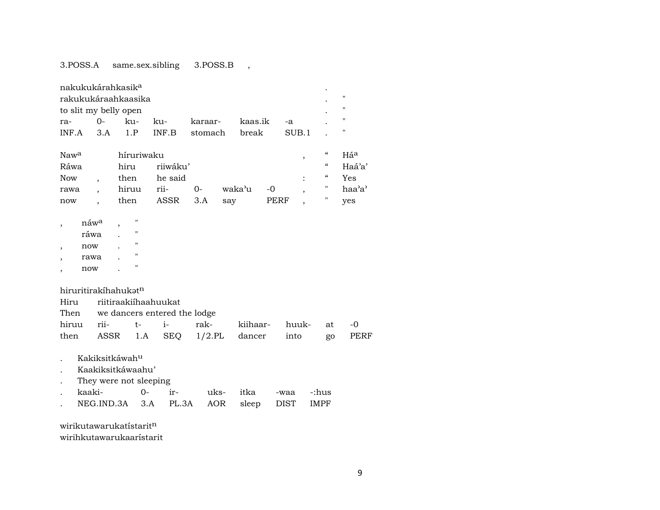#### 3.POSS.A same.sex.sibling 3.POSS.B ,

| nakukukárahkasik <sup>a</sup> |    |     |       |         |         |       | ٠ |  |  |
|-------------------------------|----|-----|-------|---------|---------|-------|---|--|--|
| rakukukáraahkaasika           |    |     |       |         |         |       |   |  |  |
| to slit my belly open         |    |     |       |         |         |       |   |  |  |
| ra-                           | () | ku- | ku-   | karaar- | kaas.ik | $-a$  |   |  |  |
| $INFA$ 3.A 1.P                |    |     | INF B | stomach | break   | SUB 1 |   |  |  |

| Naw <sup>a</sup> | híruriwaku |                |           |      | "                  | Há <sup>a</sup> |
|------------------|------------|----------------|-----------|------|--------------------|-----------------|
| Ráwa             | hiru       | riiwáku'       |           |      | $\epsilon\epsilon$ | Haá'a'          |
| Now              | then       | he said        |           |      | $\epsilon$         | Yes             |
| rawa             |            | hiruu rii-  0- | waka'u -0 |      | н                  | haa'a'          |
| now              | then       | ASSR 3.A say   |           | PERF |                    | <b>ves</b>      |

- , náw $^a$  , " ráwa . " , now . " , rawa . "
- , now . "

hiruritirakíhahukatn

Hiru riitiraakiíhaahuukat

| Then we dancers entered the lodge |  |                                                |  |  |
|-----------------------------------|--|------------------------------------------------|--|--|
|                                   |  | hiruu rii-  t-  i-  rak-  kiihaar- huuk- at -0 |  |  |
|                                   |  | then ASSR 1.A SEQ 1/2.PL dancer into go PERF   |  |  |

- . Kakiksitkáwah<sup>u</sup>
- . Kaakiksitkáwaahu'
- . They were not sleeping

| kaaki-                                   | $0-$ ir- |  | uks- itka -waa -:hus |  |
|------------------------------------------|----------|--|----------------------|--|
| NEG.IND.3A 3.A PL.3A AOR sleep DIST IMPF |          |  |                      |  |

wirikutawarukatístarit $<sup>n</sup>$ </sup> wirihkutawarukaarístarit

9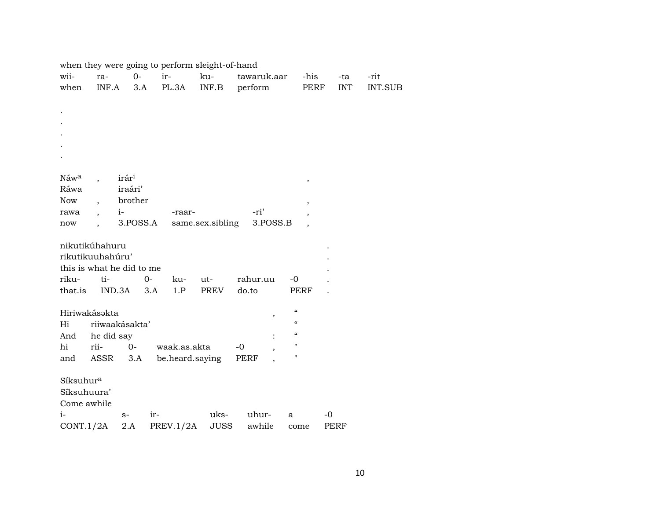|                           |                |                   |              | when they were going to perform sleight-of-hand |             |                                        |            |                |
|---------------------------|----------------|-------------------|--------------|-------------------------------------------------|-------------|----------------------------------------|------------|----------------|
| wii-                      | ra-            | $O -$             | ir-          | ku-                                             | tawaruk.aar | -his                                   | -ta        | -rit           |
| when                      | INF.A          | 3.A               | PL.3A        | INF.B                                           | perform     | PERF                                   | <b>INT</b> | <b>INT.SUB</b> |
|                           |                |                   |              |                                                 |             |                                        |            |                |
|                           |                |                   |              |                                                 |             |                                        |            |                |
|                           |                |                   |              |                                                 |             |                                        |            |                |
|                           |                |                   |              |                                                 |             |                                        |            |                |
|                           |                |                   |              |                                                 |             |                                        |            |                |
|                           |                |                   |              |                                                 |             |                                        |            |                |
|                           |                |                   |              |                                                 |             |                                        |            |                |
| Náwa                      |                | irár <sup>i</sup> |              |                                                 |             | $\, ,$                                 |            |                |
| Ráwa                      |                | iraári'           |              |                                                 |             |                                        |            |                |
| Now                       | $\cdot$        | brother           |              |                                                 |             |                                        |            |                |
| rawa                      | $i-$           |                   | -raar-       |                                                 | -ri'        |                                        |            |                |
| now                       |                | 3.POSS.A          |              | same.sex.sibling                                | 3.POSS.B    |                                        |            |                |
|                           |                |                   |              |                                                 |             |                                        |            |                |
| nikutikúhahuru            |                |                   |              |                                                 |             |                                        |            |                |
| rikutikuuhahúru'          |                |                   |              |                                                 |             |                                        |            |                |
| this is what he did to me |                |                   |              |                                                 |             |                                        |            |                |
| riku-                     | ti-            |                   | $0-$<br>ku-  | ut-                                             | rahur.uu    | -0                                     |            |                |
| that.is IND.3A            |                |                   | 3.A<br>1.P   | PREV                                            | do.to       | <b>PERF</b>                            |            |                |
|                           |                |                   |              |                                                 |             |                                        |            |                |
| Hiriwakásakta             |                |                   |              |                                                 | ,           | $\boldsymbol{\zeta}\boldsymbol{\zeta}$ |            |                |
| Hi                        | riiwaakásakta' |                   |              |                                                 |             | $\boldsymbol{\zeta}\boldsymbol{\zeta}$ |            |                |
| And                       | he did say     |                   |              |                                                 |             | $\boldsymbol{\zeta}\boldsymbol{\zeta}$ |            |                |
| hi                        | rii-           | $0-$              | waak.as.akta |                                                 | -0          | $\pmb{\mathsf{H}}$                     |            |                |
| and                       | ASSR           | 3.A               |              | be.heard.saying                                 | PERF        | $\pmb{\mathsf{H}}$                     |            |                |
|                           |                |                   |              |                                                 |             |                                        |            |                |
| Síksuhur <sup>a</sup>     |                |                   |              |                                                 |             |                                        |            |                |
| Síksuhuura'               |                |                   |              |                                                 |             |                                        |            |                |
| Come awhile               |                |                   |              |                                                 |             |                                        |            |                |
| $i-$                      |                | $S-$              | ir-          | uks-                                            | uhur-       | a                                      | $-0$       |                |
| CONT.1/2A                 |                | 2.A               | PREV.1/2A    | <b>JUSS</b>                                     | awhile      | come                                   | PERF       |                |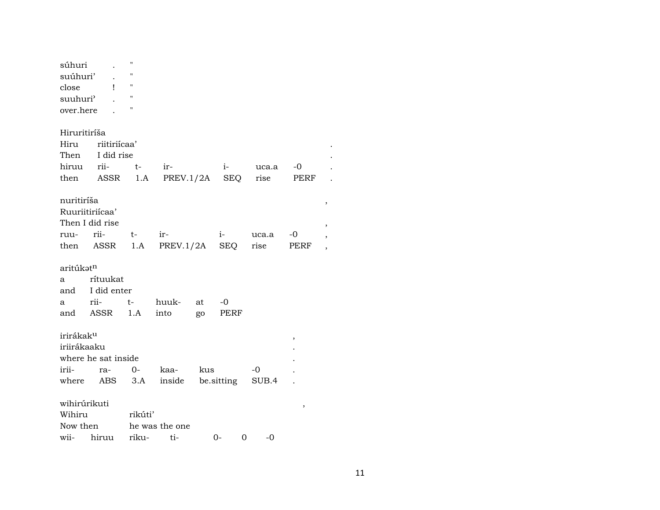| súhuri                |                     | $\pmb{\mathsf{H}}$ |                    |     |                  |       |      |   |
|-----------------------|---------------------|--------------------|--------------------|-----|------------------|-------|------|---|
| suúhuri'              |                     | $\pmb{\mathsf{H}}$ |                    |     |                  |       |      |   |
| close                 | Ţ                   | $\pmb{\mathsf{H}}$ |                    |     |                  |       |      |   |
| suuhuri'              |                     | $\pmb{\mathsf{H}}$ |                    |     |                  |       |      |   |
| over.here             |                     | н                  |                    |     |                  |       |      |   |
|                       |                     |                    |                    |     |                  |       |      |   |
| Hiruritiríša          |                     |                    |                    |     |                  |       |      |   |
| Hiru                  | riitiriícaa'        |                    |                    |     |                  |       |      |   |
|                       | Then I did rise     |                    |                    |     |                  |       |      |   |
| hiruu                 | rii-                | $t-$               | ir-                |     | $i$ <sup>-</sup> | uca.a | $-0$ |   |
|                       | then ASSR           |                    | $1.A$ PREV. $1/2A$ |     | SEQ              | rise  | PERF |   |
| nuritiríša            |                     |                    |                    |     |                  |       |      |   |
|                       | Ruuriitiriícaa'     |                    |                    |     |                  |       |      | , |
|                       | Then I did rise     |                    |                    |     |                  |       |      |   |
| ruu-                  | rii-                | $t-$               | ir-                |     | $i$ - $\sim$     | uca.a | -0   | , |
|                       | then ASSR           | 1.A                | PREV.1/2A          |     | SEQ              | rise  | PERF |   |
|                       |                     |                    |                    |     |                  |       |      |   |
| aritúkat <sup>n</sup> |                     |                    |                    |     |                  |       |      |   |
| a                     | rítuukat            |                    |                    |     |                  |       |      |   |
|                       | and I did enter     |                    |                    |     |                  |       |      |   |
| a                     | rii-                | $t-$               | huuk-              | at  | -0               |       |      |   |
|                       | and ASSR            | 1.A                | into               | go  | PERF             |       |      |   |
|                       |                     |                    |                    |     |                  |       |      |   |
| irirákak <sup>u</sup> |                     |                    |                    |     |                  |       | ,    |   |
| iriirákaaku           |                     |                    |                    |     |                  |       |      |   |
|                       | where he sat inside |                    |                    |     |                  |       |      |   |
| irii-                 | ra-                 | $0-$               | kaa-               | kus |                  | $-0$  |      |   |
|                       | where ABS           | 3.A                | inside             |     | be.sitting       | SUB.4 |      |   |
| wihirúrikuti          |                     |                    |                    |     |                  |       |      |   |
| Wihiru                |                     | rikúti'            |                    |     |                  |       | ,    |   |
| Now then              |                     |                    | he was the one     |     |                  |       |      |   |
| wii-                  | hiruu               | riku-              | ti-                |     | 0-<br>0          | -0    |      |   |
|                       |                     |                    |                    |     |                  |       |      |   |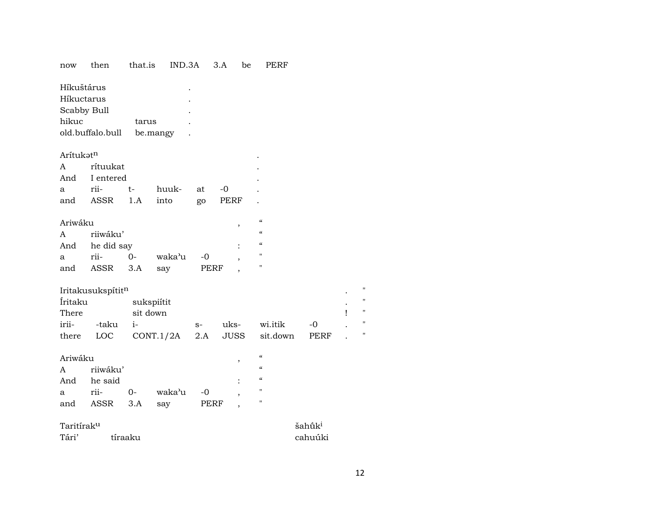| now       | then                                          | that.is    | IND.3A    |       | 3.A  | be                       | PERF                                   |         |  |  |  |  |
|-----------|-----------------------------------------------|------------|-----------|-------|------|--------------------------|----------------------------------------|---------|--|--|--|--|
|           |                                               |            |           |       |      |                          |                                        |         |  |  |  |  |
|           | Híkuštárus<br>Híkuctarus                      |            |           |       |      |                          |                                        |         |  |  |  |  |
|           | Scabby Bull                                   |            |           |       |      |                          |                                        |         |  |  |  |  |
|           | hikuc<br>tarus                                |            |           |       |      |                          |                                        |         |  |  |  |  |
|           |                                               |            |           |       |      |                          |                                        |         |  |  |  |  |
|           | old.buffalo.bull                              |            | be.mangy  |       |      |                          |                                        |         |  |  |  |  |
| Arítukatn |                                               |            |           |       |      |                          |                                        |         |  |  |  |  |
| A         | rítuukat                                      |            |           |       |      |                          |                                        |         |  |  |  |  |
| And       | I entered                                     |            |           |       |      |                          |                                        |         |  |  |  |  |
| a         | rii-                                          | t-         | huuk-     | at    | $-0$ |                          |                                        |         |  |  |  |  |
| and       | <b>ASSR</b>                                   | 1.A        | into      | go    | PERF |                          |                                        |         |  |  |  |  |
|           |                                               |            |           |       |      |                          |                                        |         |  |  |  |  |
| Ariwáku   |                                               |            |           |       |      | ,                        | $\epsilon\epsilon$                     |         |  |  |  |  |
| A         | riiwáku'                                      |            |           |       |      |                          | $\epsilon\epsilon$                     |         |  |  |  |  |
| And       | he did say                                    |            |           |       |      | $\ddot{\cdot}$           | $\boldsymbol{\zeta}\boldsymbol{\zeta}$ |         |  |  |  |  |
| a         | rii-                                          | $0-$       | waka'u    | $-0$  |      | $\overline{\phantom{a}}$ | $\blacksquare$                         |         |  |  |  |  |
| and       | ASSR                                          | 3.A        | say       |       | PERF |                          | "                                      |         |  |  |  |  |
|           |                                               |            |           |       |      |                          |                                        |         |  |  |  |  |
|           | Iritakusukspítitn                             |            |           |       |      |                          |                                        |         |  |  |  |  |
| Íritaku   |                                               | sukspiítit |           |       |      |                          |                                        |         |  |  |  |  |
| There     |                                               | sit down   |           |       |      |                          |                                        |         |  |  |  |  |
| irii-     | -taku                                         | $i-$       |           | $S-$  | uks- |                          | wi.itik                                | -0      |  |  |  |  |
| there     | LOC                                           |            |           | $2.A$ |      | JUSS                     | sit.down                               | PERF    |  |  |  |  |
|           |                                               |            | CONT.1/2A |       |      |                          |                                        |         |  |  |  |  |
| Ariwáku   |                                               |            |           |       |      | ,                        | $\boldsymbol{\zeta}\boldsymbol{\zeta}$ |         |  |  |  |  |
| A         | riiwáku'                                      |            |           |       |      |                          | $\alpha$                               |         |  |  |  |  |
| And       | he said                                       |            |           |       |      | $\ddot{\cdot}$           | $\epsilon$                             |         |  |  |  |  |
| a         | rii-                                          | $0-$       | waka'u    | $-0$  |      |                          | $^{\prime\prime}$                      |         |  |  |  |  |
| and       | ASSR                                          | 3.A        | say       |       | PERF | ,                        | "                                      |         |  |  |  |  |
|           |                                               |            |           |       |      |                          |                                        |         |  |  |  |  |
|           | šahū́k <sup>i</sup><br>Taritírak <sup>u</sup> |            |           |       |      |                          |                                        |         |  |  |  |  |
| Tári'     |                                               | tíraaku    |           |       |      |                          |                                        | cahuúki |  |  |  |  |

 $\mathbf{u}$ 

 $\mathbf{u}$ 

 $\bar{\theta}$ 

 $\ddot{\phantom{a}}$ 

 $\ddot{\phantom{a}}$ 

 $\mathbf{I}$ 

 $\ddot{\phantom{a}}$ 

 $\mathbb{R}^2$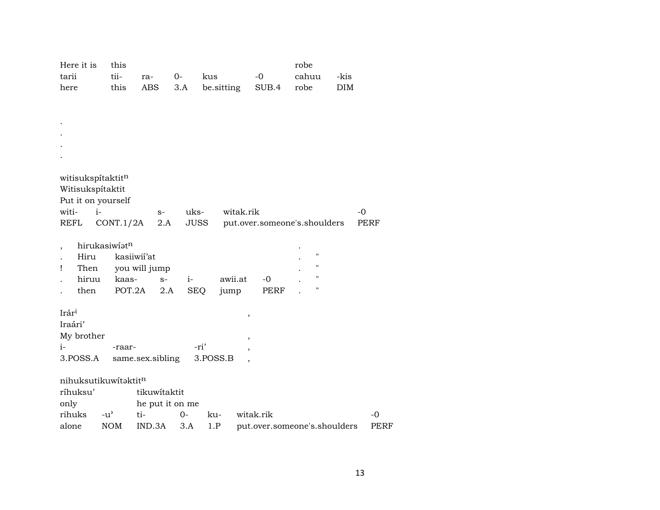| Here it is<br>tarii<br>here                                 | this<br>tii-<br>this | ra-<br>ABS                      | 0-<br>3.A  | kus<br>be.sitting |                          | $-0$<br>SUB.4 | robe<br>cahuu<br>robe        | -kis<br><b>DIM</b> |
|-------------------------------------------------------------|----------------------|---------------------------------|------------|-------------------|--------------------------|---------------|------------------------------|--------------------|
|                                                             |                      |                                 |            |                   |                          |               |                              |                    |
|                                                             |                      |                                 |            |                   |                          |               |                              |                    |
|                                                             |                      |                                 |            |                   |                          |               |                              |                    |
|                                                             |                      |                                 |            |                   |                          |               |                              |                    |
| witisukspítaktitn<br>Witisukspítaktit<br>Put it on yourself |                      |                                 |            |                   |                          |               |                              |                    |
| $i-$<br>witi-                                               |                      | $S-$                            | uks-       |                   | witak.rik                |               |                              | $-0$               |
| <b>REFL</b>                                                 | CONT.1/2A            | 2.A                             |            | JUSS              |                          |               | put.over.someone's.shoulders | <b>PERF</b>        |
| $\overline{\phantom{a}}$<br>Hiru                            | hirukasiwiatn        | kasiiwii'at                     |            |                   |                          |               | 11                           |                    |
| Then<br>Ţ                                                   |                      | you will jump                   |            |                   |                          |               | 11                           |                    |
| hiruu                                                       | kaas-                | $S-$                            | $i-$       |                   | awii.at                  | $-0$          | 11                           |                    |
| then                                                        | POT.2A               | 2.A                             | <b>SEQ</b> | jump              |                          | <b>PERF</b>   | 11                           |                    |
| Irári<br>Iraári'                                            |                      |                                 |            |                   | $\, ,$                   |               |                              |                    |
| My brother<br>$i-$                                          | -raar-               |                                 |            | -ri'              | $\overline{\phantom{a}}$ |               |                              |                    |
| 3.POSS.A                                                    |                      | same.sex.sibling                |            | 3.POSS.B          | $\overline{\phantom{a}}$ |               |                              |                    |
|                                                             |                      |                                 |            |                   |                          |               |                              |                    |
| nihuksutikuwitaktitn                                        |                      |                                 |            |                   |                          |               |                              |                    |
| ríhuksu'<br>only                                            |                      | tikuwitaktit<br>he put it on me |            |                   |                          |               |                              |                    |
| rihuks                                                      | $-u^{\prime}$        | ti-                             | $0-$       | ku-               |                          | witak.rik     |                              | -0                 |
| alone                                                       | <b>NOM</b>           | IND.3A                          | 3.A        | 1.P               |                          |               | put.over.someone's.shoulders | <b>PERF</b>        |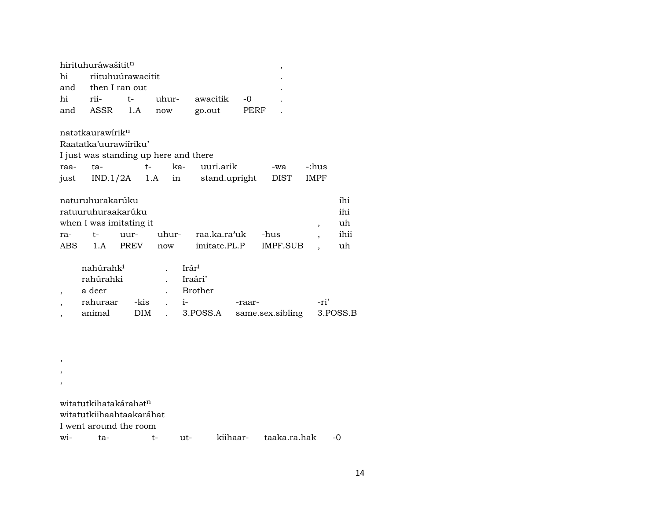| hirituhuráwašitit <sup>n</sup> |                      |  |  |                              |  |  |  |  |  |  |
|--------------------------------|----------------------|--|--|------------------------------|--|--|--|--|--|--|
|                                | hi riituhuúrawacitit |  |  |                              |  |  |  |  |  |  |
|                                | and then I ran out   |  |  |                              |  |  |  |  |  |  |
|                                |                      |  |  | hi rii- t- uhur- awacitik -0 |  |  |  |  |  |  |
|                                |                      |  |  | and ASSR 1.A now go.out PERF |  |  |  |  |  |  |

natətkaurawírik<sup>u</sup>

,

Raatatka'uurawiíriku'

I just was standing up here and there

| raa- ta- |  | t- ka- uuri.arik                             | -wa -:hus |
|----------|--|----------------------------------------------|-----------|
|          |  | just IND.1/2A 1.A in stand.upright DIST IMPF |           |

| naturuhurakarúku        |      |                    |  |                              |  |  |      |  |  |
|-------------------------|------|--------------------|--|------------------------------|--|--|------|--|--|
|                         |      | ratuuruhuraakarúku |  |                              |  |  | ihi  |  |  |
| when I was imitating it |      |                    |  |                              |  |  |      |  |  |
| ra-                     | $t-$ |                    |  | uur- uhur- raa.ka.ra'uk -hus |  |  | ihii |  |  |
| ABS 1.A                 |      | PREV               |  | now imitate.PL.P IMPF.SUB    |  |  | uh   |  |  |

| nahúrahk <sup>i</sup> |      |                                                         | $Ir$ ár <sup>i</sup> |                           |      |
|-----------------------|------|---------------------------------------------------------|----------------------|---------------------------|------|
| rahúrahki             |      |                                                         | Iraári'              |                           |      |
| a deer                |      |                                                         | Brother              |                           |      |
| rahuraar              | -kis | $\cdot$ $\cdot$ $\cdot$ $\cdot$ $\cdot$ $\cdot$ $\cdot$ |                      | -raar-                    | -ri' |
| animal                |      |                                                         | DIM . 3.POSS.A       | same.sex.sibling 3.POSS.B |      |

, , witatutkihatakárah $\mathfrak{t}^n$ witatutkiihaahtaakaráhat I went around the room wi- ta- t- ut- kiihaar- taaka.ra.hak -0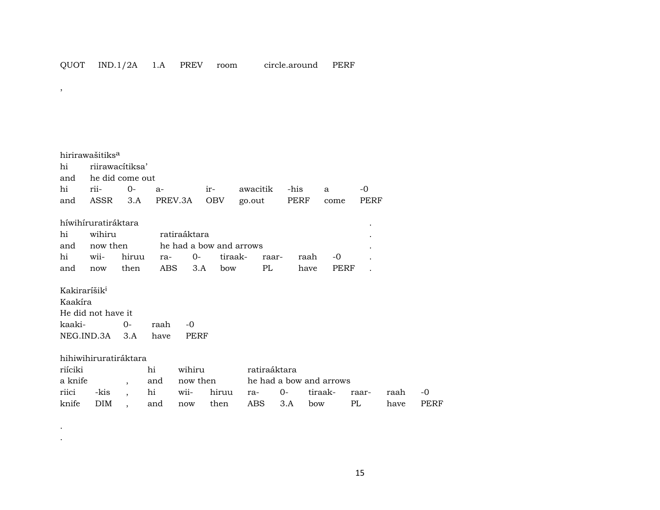#### ,

## hirirawašitiks° hi riirawacítiksa' and he did come out hi rii- 0- a- ir- awacitik -his a -0 and ASSR 3.A PREV.3A OBV go.out PERF come PERF

### híwihíruratiráktara . hi wihiru ratiraáktara . and now then he had a bow and arrows . hi wii- hiruu ra- 0- tiraak- raar- raah -0 . and now then ABS 3.A bow PL have PERF .

#### Kakiraríšik<sup>i</sup>

| Kaakira                  |            |         |  |  |  |  |  |  |  |  |
|--------------------------|------------|---------|--|--|--|--|--|--|--|--|
| He did not have it       |            |         |  |  |  |  |  |  |  |  |
| kaaki-                   | $\Omega$ - | raah -0 |  |  |  |  |  |  |  |  |
| NEG.IND.3A 3.A have PERF |            |         |  |  |  |  |  |  |  |  |

#### hihiwihiruratiráktara

| riíciki |  | hi | wihiru       | ratiraáktara            |  |                                                         |  |      |      |
|---------|--|----|--------------|-------------------------|--|---------------------------------------------------------|--|------|------|
| a knife |  |    | and now then | he had a bow and arrows |  |                                                         |  |      |      |
|         |  |    |              |                         |  | riici -kis , hi wii- hiruu ra- 0- tiraak- raar- raah -0 |  |      |      |
|         |  |    |              |                         |  | knife DIM , and now then ABS 3.A bow PL                 |  | have | PERF |

. .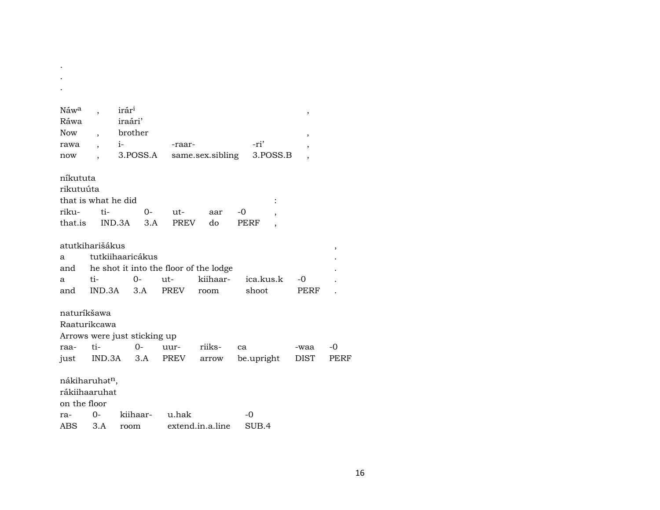| Náw <sup>a</sup>             |                          | irár <sup>i</sup> |          |             |                                        |            |          | $\,$           |             |
|------------------------------|--------------------------|-------------------|----------|-------------|----------------------------------------|------------|----------|----------------|-------------|
| Ráwa                         |                          | iraári'           |          |             |                                        |            |          |                |             |
| <b>Now</b>                   |                          | brother           |          |             |                                        |            |          | $\,$           |             |
| rawa                         | $\overline{\phantom{a}}$ | $i-$              |          | -raar-      |                                        | -ri'       |          | ,              |             |
| now                          |                          |                   | 3.POSS.A |             | same.sex.sibling                       |            | 3.POSS.B | $\overline{ }$ |             |
|                              |                          |                   |          |             |                                        |            |          |                |             |
| níkututa                     |                          |                   |          |             |                                        |            |          |                |             |
| rikutuúta                    |                          |                   |          |             |                                        |            |          |                |             |
| that is what he did          |                          |                   |          |             |                                        |            |          |                |             |
| riku-                        | ti-                      |                   | $0-$     | ut-         | aar                                    | -0         |          |                |             |
| that.is                      |                          | IND.3A            | 3.A      | <b>PREV</b> | do                                     | PERF       |          |                |             |
|                              |                          |                   |          |             |                                        |            |          |                |             |
| atutkiharišákus              |                          |                   |          |             |                                        |            |          |                | $\,$        |
| a                            | tutkiihaaricákus         |                   |          |             |                                        |            |          |                |             |
| and                          |                          |                   |          |             | he shot it into the floor of the lodge |            |          |                |             |
| a                            | ti-                      |                   | $0-$     | $ut-$       | kiihaar-                               | ica.kus.k  |          | -0             |             |
| and                          | IND.3A                   |                   | 3.A      | PREV        | room                                   | shoot      |          | PERF           |             |
| naturíkšawa                  |                          |                   |          |             |                                        |            |          |                |             |
|                              |                          |                   |          |             |                                        |            |          |                |             |
| Raaturikcawa                 |                          |                   |          |             |                                        |            |          |                |             |
| Arrows were just sticking up |                          |                   |          |             |                                        |            |          |                |             |
| raa-                         | ti-                      |                   | $0-$     | uur-        | riiks-                                 | ca         |          | -waa           | -0          |
| just                         | IND.3A                   |                   | 3.A      | PREV        | arrow                                  | be.upright |          | <b>DIST</b>    | <b>PERF</b> |
|                              |                          |                   |          |             |                                        |            |          |                |             |
| nákiharuhət <sup>n</sup> ,   |                          |                   |          |             |                                        |            |          |                |             |
| rákiihaaruhat                |                          |                   |          |             |                                        |            |          |                |             |
| on the floor                 |                          |                   |          |             |                                        |            |          |                |             |
| ra-                          | $0 -$                    |                   | kiihaar- | u.hak       |                                        | -0         |          |                |             |
| ABS                          | 3.A                      | room              |          |             | extend.in.a.line                       | SUB.4      |          |                |             |

 $\sim$ 

16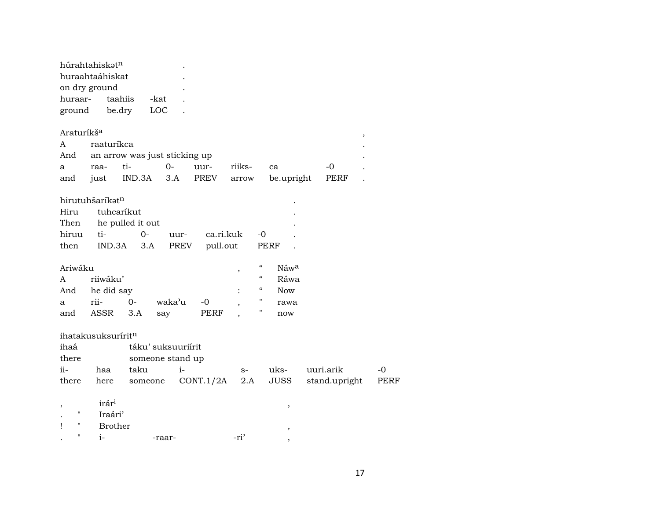| húrahtahiskat <sup>n</sup><br>٠ |         |      |  |  |  |  |  |  |
|---------------------------------|---------|------|--|--|--|--|--|--|
| huraahtaáhiskat<br>٠            |         |      |  |  |  |  |  |  |
| on dry ground                   |         | ٠    |  |  |  |  |  |  |
| huraar-                         | taahiis | -kat |  |  |  |  |  |  |
| ground                          | be.dry  | LOC  |  |  |  |  |  |  |
|                                 |         |      |  |  |  |  |  |  |

| Araturíkš <sup>a</sup> |              |                                   |  |        |                                                |           |  |
|------------------------|--------------|-----------------------------------|--|--------|------------------------------------------------|-----------|--|
|                        | A raaturíkca |                                   |  |        |                                                |           |  |
|                        |              | And an arrow was just sticking up |  |        |                                                |           |  |
| a                      |              | raa- ti-        0-       uur-     |  | riiks- | ca.                                            | $-\Omega$ |  |
|                        |              |                                   |  |        | and just IND.3A 3.A PREV arrow be upright PERF |           |  |

hirutuhšarík $\mathfrak{h}^{\mathfrak{n}}$ 

| Hiru tuhcaríkut       |  |                                                  | $\cdot$ |
|-----------------------|--|--------------------------------------------------|---------|
| Then he pulled it out |  |                                                  | $\cdot$ |
|                       |  | hiruu ti-        0-    uur-     ca.ri.kuk     -0 |         |
|                       |  | then IND.3A 3.A PREV pullout PERF.               |         |

| Ariwáku   |                |          |        |            | $\epsilon$ | Náw <sup>a</sup> |
|-----------|----------------|----------|--------|------------|------------|------------------|
| $A \quad$ | riiwáku'       |          |        |            | $\epsilon$ | Ráwa             |
|           | And he did say |          |        | $\epsilon$ | <b>Now</b> |                  |
| a         | rii-           | $\Omega$ | waka'u | $-0$       | "          | rawa             |
| and       | ASSR 3.A       |          | say    | PERF       |            | now              |

| ihatakusuksurírit <sup>n</sup> |
|--------------------------------|
|--------------------------------|

| ihaá           |                   | táku' suksuuriírit |           |      |          |               |             |
|----------------|-------------------|--------------------|-----------|------|----------|---------------|-------------|
| there          |                   | someone stand up   |           |      |          |               |             |
| $ii-$          | haa               | taku               | $i-$      | $S-$ | uks-     | uuri.arik     | -0          |
| there          | here              | someone            | CONT.1/2A |      | 2.A JUSS | stand.upright | <b>PERF</b> |
|                |                   |                    |           |      |          |               |             |
|                | irár <sup>i</sup> |                    |           |      | ,        |               |             |
| $\blacksquare$ | Iraári'           |                    |           |      |          |               |             |
| п              | <b>Brother</b>    |                    |           |      | ,        |               |             |
| $\blacksquare$ | $1-$              | -raar-             |           | -ri' |          |               |             |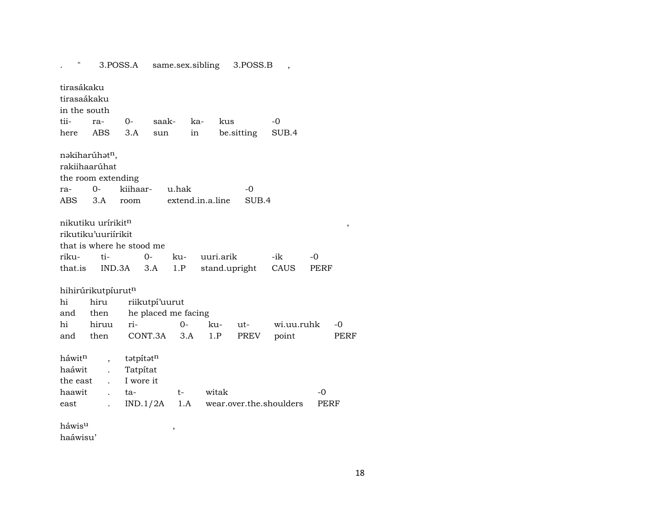. " 3.POSS.A same.sex.sibling 3.POSS.B , tirasákaku tirasaákaku in the south tii- ra- 0- saak- ka- kus -0 here ABS 3.A sun in be.sitting SUB.4 nəkiharúhət<sup>n</sup>, rakiihaarúhat the room extending ra- 0- kiihaar- u.hak -0 ABS 3.A room extend.in.a.line SUB.4 nikutiku urírikit $\mathfrak n$ rikutiku'uuriírikit that is where he stood me riku- ti- 0- ku- uuri.arik -ik -0 that.is IND.3A 3.A 1.P stand.upright CAUS PERF hihirúrikutpíurutn hi hiru riikutpí'uurut and then he placed me facing hi hiruu ri- 0- ku- ut- wi.uu.ruhk -0 and then CONT.3A 3.A 1.P PREV point PERF háwit<sup>n</sup> , tətpítət<sup>n</sup> haáwit . Tatpítat the east . I wore it haawit . ta- t- witak -0 east . IND.1/2A 1.A wear.over.the.shoulders PERF

háwisµ , haáwisu'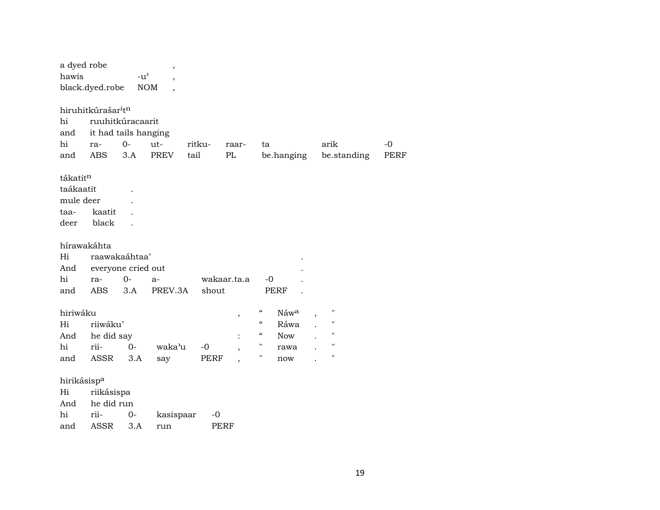| a dyed robe<br>hawis                               |                                                                                                             | $-u^{\prime}$ | ,<br><b>NOM</b> |                |                                    |                                                                                              |                                                |                                                                  |              |
|----------------------------------------------------|-------------------------------------------------------------------------------------------------------------|---------------|-----------------|----------------|------------------------------------|----------------------------------------------------------------------------------------------|------------------------------------------------|------------------------------------------------------------------|--------------|
|                                                    | black.dyed.robe                                                                                             |               |                 |                |                                    |                                                                                              |                                                |                                                                  |              |
| hi<br>and<br>hi<br>and                             | hiruhitkúrašar <sup>i</sup> t <sup>n</sup><br>ruuhitkúracaarit<br>it had tails hanging<br>ra-<br><b>ABS</b> | $0 -$<br>3.A  | ut-<br>PREV     | ritku-<br>tail | raar-<br>PL                        | ta                                                                                           | be.hanging                                     | arik<br>be.standing                                              | $-0$<br>PERF |
| tákatitn<br>taákaatit<br>mule deer<br>taa-<br>deer | kaatit<br>black                                                                                             |               |                 |                |                                    |                                                                                              |                                                |                                                                  |              |
| Hi<br>And<br>hi<br>and                             | hírawakáhta<br>raawakaáhtaa'<br>everyone cried out<br>ra-<br><b>ABS</b>                                     | $0-$<br>3.A   | $a-$<br>PREV.3A | shout          | wakaar.ta.a                        | $-0$                                                                                         | <b>PERF</b>                                    |                                                                  |              |
| hiriwáku<br>Hi<br>And<br>hi<br>and                 | riiwáku'<br>he did say<br>rii-<br>ASSR                                                                      | $0 -$<br>3.A  | waka'u<br>say   | $-0$<br>PERF   | $\, ,$<br>$\overline{\phantom{a}}$ | $\boldsymbol{\zeta}\boldsymbol{\zeta}$<br>$\epsilon$<br>$\boldsymbol{\mathcal{C}}$<br>П<br>П | Náw <sup>a</sup><br>Ráwa<br>Now<br>rawa<br>now | П<br>н<br>$\pmb{\mathsf{H}}$<br>$\blacksquare$<br>$\blacksquare$ |              |
| hirikásisp <sup>a</sup><br>Hi<br>And<br>hi         | riikásispa<br>he did run<br>rii-                                                                            | 0-            | kasispaar       | $-0$           |                                    |                                                                                              |                                                |                                                                  |              |

and ASSR 3.A run PERF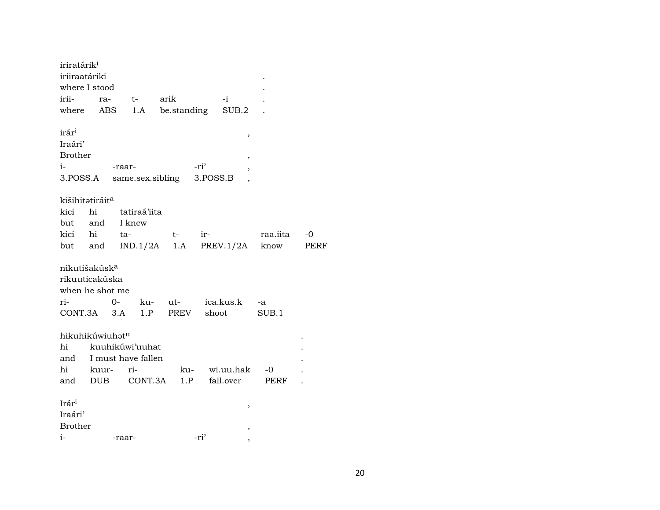| iriratárik <sup>i</sup>   |     |           |                           |      |             |          |                          |          |      |
|---------------------------|-----|-----------|---------------------------|------|-------------|----------|--------------------------|----------|------|
| iriiraatáriki             |     |           |                           |      |             |          |                          |          |      |
| where I stood<br>irii-    |     |           | $t-$                      | arik |             |          | $-i$                     |          |      |
| where                     |     | ra-       |                           |      |             |          | SUB.2                    |          |      |
|                           |     | ABS       | 1.A                       |      | be.standing |          |                          |          |      |
| irár <sup>i</sup>         |     |           |                           |      |             |          | $\,$                     |          |      |
| Iraári'                   |     |           |                           |      |             |          |                          |          |      |
| <b>Brother</b>            |     |           |                           |      |             |          | ,                        |          |      |
| $i-$                      |     | -raar-    |                           |      |             | -ri'     |                          |          |      |
|                           |     |           | 3.POSS.A same.sex.sibling |      |             | 3.POSS.B |                          |          |      |
| kišihitatiráita           |     |           |                           |      |             |          |                          |          |      |
| kici                      | hi  |           | tatiraá'iita              |      |             |          |                          |          |      |
| but                       |     |           | and I knew                |      |             |          |                          |          |      |
| kici                      | hi  |           | ta-                       |      | t-          | ir-      |                          | raa.iita | $-0$ |
| but                       | and |           |                           |      |             |          | $IND.1/2A$ 1.A PREV.1/2A | know     | PERF |
| nikutišakúsk <sup>a</sup> |     |           |                           |      |             |          |                          |          |      |
| rikuuticakúska            |     |           |                           |      |             |          |                          |          |      |
| when he shot me           |     |           |                           |      |             |          |                          |          |      |
| ri-                       |     | 0-        | ku-                       |      |             |          | ut- ica.kus.k            | -a       |      |
| CONT.3A 3.A               |     |           | 1.P                       |      | PREV shoot  |          |                          | SUB.1    |      |
| hikuhikúwiuhatn           |     |           |                           |      |             |          |                          |          |      |
| hi                        |     |           | kuuhikúwi'uuhat           |      |             |          |                          |          |      |
|                           |     |           | and I must have fallen    |      |             |          |                          |          |      |
| hi                        |     | kuur- ri- |                           |      | ku-         |          | wi.uu.hak                | -0       |      |
|                           |     |           | and DUB CONT.3A           |      | 1.P         |          | fall.over                | PERF     |      |
| Irári                     |     |           |                           |      |             |          |                          |          |      |
| Iraári'                   |     |           |                           |      |             |          | ,                        |          |      |
| <b>Brother</b>            |     |           |                           |      |             |          | ,                        |          |      |
| $i-$                      |     | -raar-    |                           |      |             | -ri'     |                          |          |      |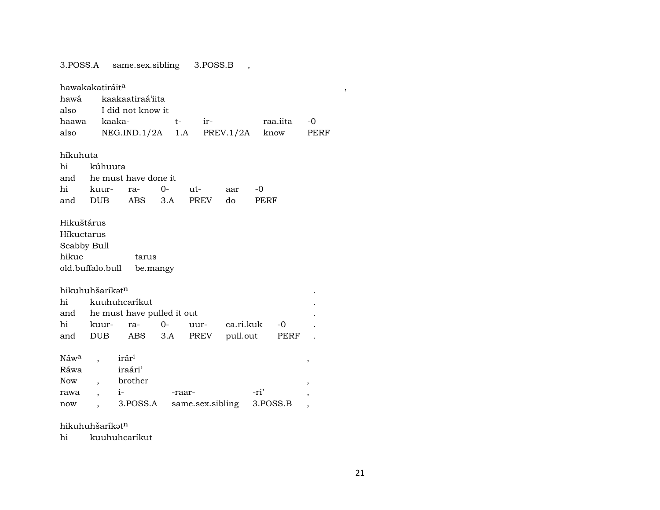3.POSS.A same.sex.sibling 3.POSS.B ,

 $h$ awakakatiráit $\alpha$ hawá kaakaatiraá'iita also I did not know it haawa kaaka- t- ir- raa.iita -0 also NEG.IND.1/2A 1.A PREV.1/2A know PERF híkuhuta hi kúhuuta and he must have done it hi kuur- ra- 0- ut- aar -0 and DUB ABS 3.A PREV do PERF Hikuštárus Híkuctarus Scabby Bull hikuc tarus old.buffalo.bull be.mangy hikuhuhšarík $t^n$ hi kuuhuhcaríkut . and he must have pulled it out hi kuur- ra- 0- uur- ca.ri.kuk -0 . and DUB ABS 3.A PREV pull.out PERF .  $N$ áw $\alpha$  , irár $\iota$  , , Ráwa iraári' Now, brother rawa , i- -raar- -ri' , now , 3.POSS.A same.sex.sibling 3.POSS.B ,

hikuhuhšarík $_1$ tn

hi kuuhuhcaríkut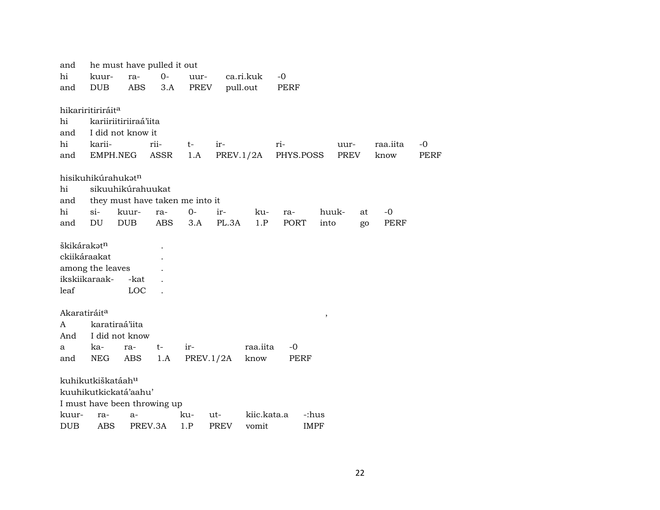| and        | he must have pulled it out              |            |            |                                 |             |             |             |             |      |    |          |             |
|------------|-----------------------------------------|------------|------------|---------------------------------|-------------|-------------|-------------|-------------|------|----|----------|-------------|
| hi         | kuur-                                   | ra-        | $0-$       | uur-                            |             | ca.ri.kuk   | $-0$        |             |      |    |          |             |
| and        | <b>DUB</b>                              | <b>ABS</b> | 3.A        | PREV                            |             | pull.out    | <b>PERF</b> |             |      |    |          |             |
|            |                                         |            |            |                                 |             |             |             |             |      |    |          |             |
|            | hikariritiriráit <sup>a</sup>           |            |            |                                 |             |             |             |             |      |    |          |             |
| hi         | kariiriitiriiraá'iita                   |            |            |                                 |             |             |             |             |      |    |          |             |
| and        | I did not know it                       |            |            |                                 |             |             |             |             |      |    |          |             |
| hi         | karii-                                  |            | rii-       | t-                              | ir-         |             | ri-         |             | uur- |    | raa.iita | -0          |
| and        | EMPH.NEG                                |            | ASSR       | 1.A                             | PREV.1/2A   |             | PHYS.POSS   |             | PREV |    | know     | <b>PERF</b> |
|            |                                         |            |            |                                 |             |             |             |             |      |    |          |             |
|            | hisikuhikúrahukatn                      |            |            |                                 |             |             |             |             |      |    |          |             |
| hi         | sikuuhikúrahuukat                       |            |            |                                 |             |             |             |             |      |    |          |             |
| and        |                                         |            |            | they must have taken me into it |             |             |             |             |      |    |          |             |
| hi         | $\sin$                                  | kuur-      | ra-        | $0-$                            | ir-         | ku-         | ra-         | huuk-       |      | at | $-0$     |             |
| and        | DU                                      | <b>DUB</b> | <b>ABS</b> | 3.A                             | PL.3A       | 1.P         | PORT        | into        |      | go | PERF     |             |
|            |                                         |            |            |                                 |             |             |             |             |      |    |          |             |
|            | škikárakət <sup>n</sup><br>ckiikáraakat |            |            |                                 |             |             |             |             |      |    |          |             |
|            |                                         |            |            |                                 |             |             |             |             |      |    |          |             |
|            | among the leaves<br>ikskiikaraak-       |            |            |                                 |             |             |             |             |      |    |          |             |
|            |                                         | -kat       |            |                                 |             |             |             |             |      |    |          |             |
| leaf       |                                         | LOC        |            |                                 |             |             |             |             |      |    |          |             |
|            | Akaratiráit <sup>a</sup>                |            |            |                                 |             |             |             |             |      |    |          |             |
| A          | karatiraá'iita                          |            |            |                                 |             |             |             | $\, ,$      |      |    |          |             |
| And        | I did not know                          |            |            |                                 |             |             |             |             |      |    |          |             |
| a          | ka-                                     | ra-        | $t-$       | ir-                             |             | raa.iita    | $-0$        |             |      |    |          |             |
| and        | <b>NEG</b>                              | ABS        | 1.A        |                                 | PREV.1/2A   | know        | PERF        |             |      |    |          |             |
|            |                                         |            |            |                                 |             |             |             |             |      |    |          |             |
|            | kuhikutkiškatáah <sup>u</sup>           |            |            |                                 |             |             |             |             |      |    |          |             |
|            | kuuhikutkickatá'aahu'                   |            |            |                                 |             |             |             |             |      |    |          |             |
|            | I must have been throwing up            |            |            |                                 |             |             |             |             |      |    |          |             |
| kuur-      | ra-                                     | $a-$       |            | ku-                             | ut-         | kiic.kata.a |             | -:hus       |      |    |          |             |
| <b>DUB</b> | ABS                                     | PREV.3A    |            | 1.P                             | <b>PREV</b> | vomit       |             | <b>IMPF</b> |      |    |          |             |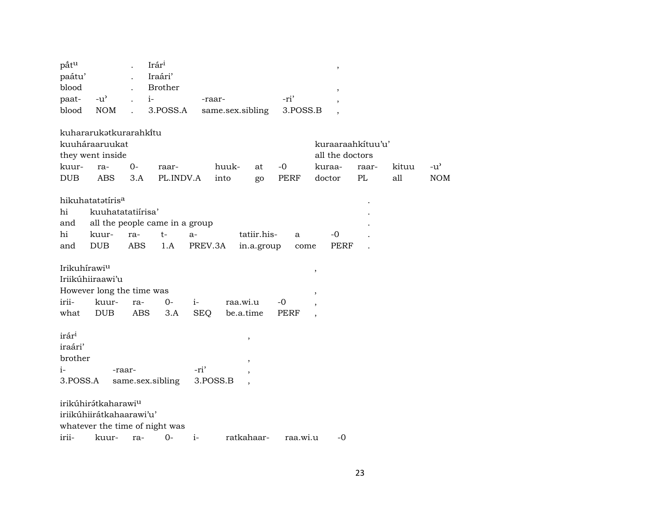| pắt <sup>u</sup> |     | Irár <sup>i</sup> |                                        |      |  |
|------------------|-----|-------------------|----------------------------------------|------|--|
| paátu'           |     | Iraári'           |                                        |      |  |
| blood            |     | Brother           |                                        |      |  |
| paat- -u'        |     | $\sim$ 1-         | -raar-                                 | -ri' |  |
| blood            | NOM |                   | . 3. POSS.A same.sex.sibling 3. POSS.B |      |  |

kuhararukatkurarahkitu

| kuuháraaruukat   |     |      | kuraaraahkituu'u'  |       |     |           |              |                 |       |        |  |
|------------------|-----|------|--------------------|-------|-----|-----------|--------------|-----------------|-------|--------|--|
| they went inside |     |      |                    |       |     |           |              | all the doctors |       |        |  |
| kuur- ra-        |     | - 0- | raar-              | huuk- | at. | $-\Omega$ | kuraa- raar- |                 | kituu | $-11'$ |  |
| <b>DUB</b>       | ABS |      | 3.A PL.INDV.A into |       | go  | PERF      | doctor PL    |                 | all   | NOM.   |  |

hikuhatatŸtíris° .

| hi |                                    | kuuhatatatiirisa' |  |  |                                                |  |       |  |  |  |  |  |
|----|------------------------------------|-------------------|--|--|------------------------------------------------|--|-------|--|--|--|--|--|
|    | and all the people came in a group |                   |  |  |                                                |  |       |  |  |  |  |  |
| hi | kuur- ra-  t-  a-                  |                   |  |  | tatiir.his- a                                  |  | $-()$ |  |  |  |  |  |
|    |                                    |                   |  |  | and DUB ABS 1.A PREV.3A in.a.group come PERF . |  |       |  |  |  |  |  |

 $\label{eq:irikub} \text{Irikuhírawi}^{\text{u}} \qquad \qquad ,$ 

| Iriikúhiiraawi'u |                           |  |                                     |  |
|------------------|---------------------------|--|-------------------------------------|--|
|                  | However long the time was |  |                                     |  |
|                  |                           |  | irii- kuur- ra- 0- i- raa.wi.u -0   |  |
|                  |                           |  | what DUB ABS 3.A SEQ be.a.time PERF |  |

 $\hat{\mathbf{r}}$ ár $\hat{\mathbf{r}}$ <sup>1</sup>,  $\hat{\mathbf{r}}$ 

| iraári'   |                  |                   |  |
|-----------|------------------|-------------------|--|
| brother   |                  |                   |  |
| $i-$      | -raar-           | -ri'              |  |
| ? DO CC ∧ | come cey cibling | ם α αסחם <i>ב</i> |  |

3.POSS.A same.sex.sibling 3.POSS.B ,

irikúhirátkaharawi<sup>u</sup> iriikúhiirátkahaarawi'u' whatever the time of night was irii- kuur- ra- 0- i- ratkahaar- raa.wi.u -0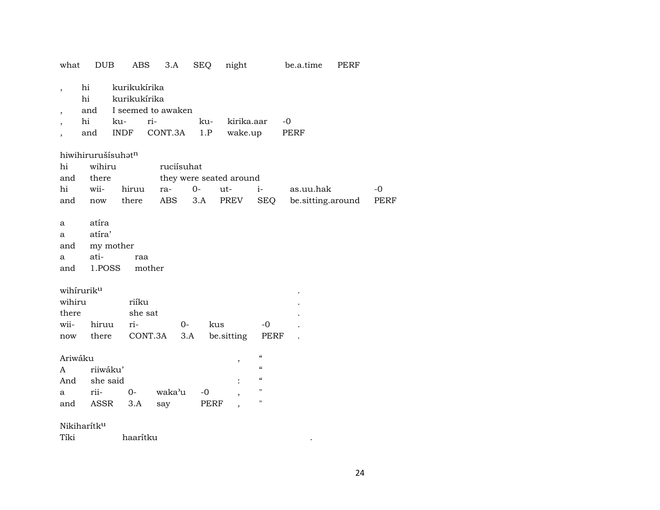| what                    | <b>DUB</b>         | ABS                          | 3.A     | <b>SEQ</b> |      | night                   |                            | be.a.time         | <b>PERF</b> |             |
|-------------------------|--------------------|------------------------------|---------|------------|------|-------------------------|----------------------------|-------------------|-------------|-------------|
| $\, ,$                  | hi<br>hi           | kurikukírika<br>kurikukírika |         |            |      |                         |                            |                   |             |             |
| $\overline{ }$          | and                | I seemed to awaken           |         |            |      |                         |                            |                   |             |             |
|                         | hi                 | ku-                          | ri-     |            | ku-  | kirika.aar              |                            | $-0$              |             |             |
|                         | and                | <b>INDF</b>                  | CONT.3A |            | 1.P  | wake.up                 |                            | PERF              |             |             |
|                         | hiwihirurušísuhatn |                              |         |            |      |                         |                            |                   |             |             |
| hi                      | wihiru             |                              |         | ruciísuhat |      |                         |                            |                   |             |             |
| and                     | there              |                              |         |            |      | they were seated around |                            |                   |             |             |
| hi                      | wii-               | hiruu                        | ra-     | $0-$       |      | ut-                     | $i-$                       | as.uu.hak         |             | $-0$        |
| and                     | now                | there                        | ABS     | 3.A        |      | PREV                    | SEQ                        | be.sitting.around |             | <b>PERF</b> |
|                         |                    |                              |         |            |      |                         |                            |                   |             |             |
| a                       | atíra              |                              |         |            |      |                         |                            |                   |             |             |
| a                       | atíra'             |                              |         |            |      |                         |                            |                   |             |             |
| and                     | my mother          |                              |         |            |      |                         |                            |                   |             |             |
| а                       | ati-               | raa                          |         |            |      |                         |                            |                   |             |             |
| and                     | 1.POSS             |                              | mother  |            |      |                         |                            |                   |             |             |
| wihiruriku              |                    |                              |         |            |      |                         |                            |                   |             |             |
| wihiru                  |                    | riíku                        |         |            |      |                         |                            |                   |             |             |
| there                   |                    | she sat                      |         |            |      |                         |                            |                   |             |             |
| wii-                    | hiruu              | ri-                          |         | $0-$       | kus  |                         | $-0$                       |                   |             |             |
| now                     | there              |                              | CONT.3A | 3.A        |      | be sitting              | PERF                       |                   |             |             |
|                         |                    |                              |         |            |      |                         |                            |                   |             |             |
| Ariwáku                 |                    |                              |         |            |      | ,                       | $\mathcal{C}$              |                   |             |             |
| A                       | riiwáku'           |                              |         |            |      |                         | $\boldsymbol{\mathcal{C}}$ |                   |             |             |
| And                     | she said           |                              |         |            |      |                         | $\epsilon$                 |                   |             |             |
| а                       | rii-               | $O -$                        | waka'u  |            | $-0$ |                         | 11                         |                   |             |             |
| and                     | ASSR               | 3.A                          | say     |            | PERF |                         | 11                         |                   |             |             |
| Nikiharítk <sup>u</sup> |                    |                              |         |            |      |                         |                            |                   |             |             |

Tíki haarítku .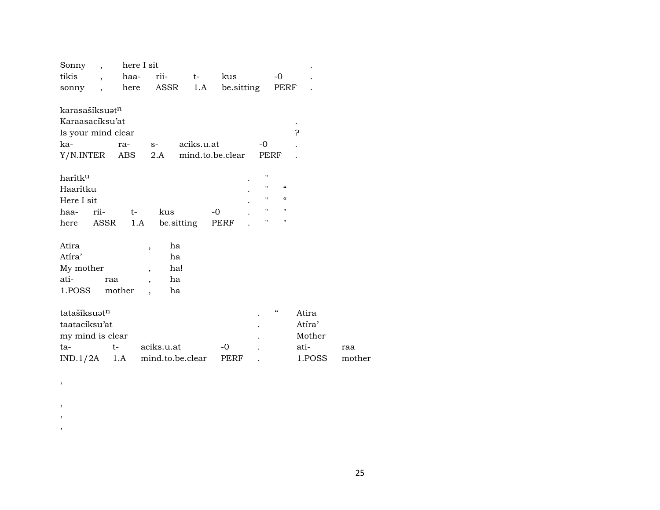| Sonny<br>$\overline{\phantom{a}}$ |        | here I sit               |               |                  |                    |                            |        |        |
|-----------------------------------|--------|--------------------------|---------------|------------------|--------------------|----------------------------|--------|--------|
| tikis                             | haa-   | rii-                     | $t-$          | kus              |                    | $-0$                       |        |        |
| sonny<br>$\overline{\phantom{a}}$ |        | here                     | ASSR 1.A      | be.sitting       |                    | PERF                       |        |        |
|                                   |        |                          |               |                  |                    |                            |        |        |
| karasašíksuət <sup>n</sup>        |        |                          |               |                  |                    |                            |        |        |
| Karaasacíksu'at                   |        |                          |               |                  |                    |                            |        |        |
| Is your mind clear                |        |                          |               |                  |                    |                            | P      |        |
| ka-                               | ra-    |                          | s- aciks.u.at |                  | $-0$               |                            |        |        |
| Y/N.INTER ABS                     |        | 2.A                      |               | mind.to.be.clear |                    | PERF                       |        |        |
|                                   |        |                          |               |                  |                    |                            |        |        |
| harítk <sup>u</sup>               |        |                          |               |                  | $\pmb{\mathsf{H}}$ |                            |        |        |
| Haarítku                          |        |                          |               |                  | Ħ                  | $\boldsymbol{\mathcal{C}}$ |        |        |
| Here I sit                        |        |                          |               |                  | $\mathbf{H}$       | $\boldsymbol{\mathcal{C}}$ |        |        |
| rii-<br>haa-                      | $t-$   | kus                      |               | $-0$             | $\mathbf{H}$       | $\pmb{\mathsf{H}}$         |        |        |
| ASSR<br>here                      |        | 1.A                      | be.sitting    | PERF             | 11                 | $\pmb{\mathsf{H}}$         |        |        |
|                                   |        |                          |               |                  |                    |                            |        |        |
| Atira                             |        | $\overline{\phantom{a}}$ | ha            |                  |                    |                            |        |        |
| Atíra'                            |        |                          | ha            |                  |                    |                            |        |        |
| My mother                         |        | $\overline{\phantom{a}}$ | ha!           |                  |                    |                            |        |        |
| ati-                              | raa    | $\overline{\phantom{a}}$ | ha            |                  |                    |                            |        |        |
| 1.POSS                            | mother | ha                       |               |                  |                    |                            |        |        |
|                                   |        |                          |               |                  |                    |                            |        |        |
| tatašíksuat <sup>n</sup>          |        |                          |               |                  |                    | "                          | Atira  |        |
| taatacíksu'at                     |        |                          |               |                  |                    |                            | Atíra' |        |
| my mind is clear                  |        |                          |               |                  |                    |                            | Mother |        |
| ta-                               | $t-$   | aciks.u.at               |               | $-0$             |                    |                            | ati-   | raa    |
| IND.1/2A                          | 1.A    | mind.to.be.clear         |               | <b>PERF</b>      |                    |                            | 1.POSS | mother |

,

 $\,$ ,  $\,$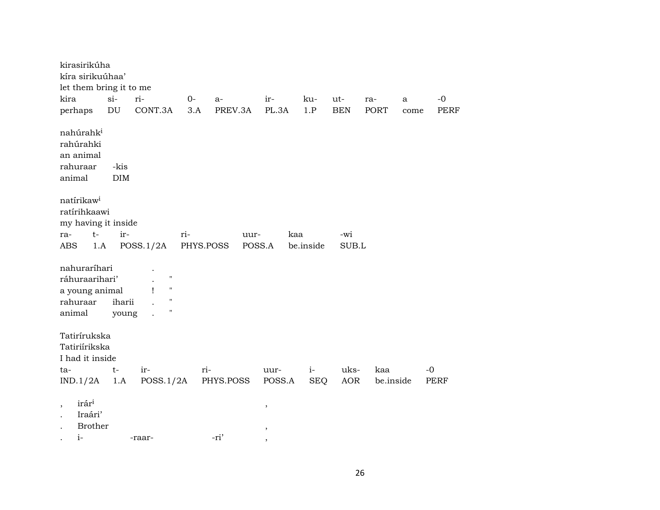| kirasirikúha                                                                               |                    |                                                                     |                  |                |        |            |              |             |      |             |
|--------------------------------------------------------------------------------------------|--------------------|---------------------------------------------------------------------|------------------|----------------|--------|------------|--------------|-------------|------|-------------|
| kíra sirikuúhaa'                                                                           |                    |                                                                     |                  |                |        |            |              |             |      |             |
| let them bring it to me                                                                    |                    |                                                                     |                  |                |        |            |              |             |      |             |
| kira                                                                                       | $si-$              | ri-                                                                 | $0-$             | a-             | ir-    | ku-        | ut-          | ra-         | a    | $-0$        |
| perhaps                                                                                    | DU                 | CONT.3A                                                             | 3.A              | PREV.3A        | PL.3A  | 1.P        | <b>BEN</b>   | <b>PORT</b> | come | <b>PERF</b> |
| nahúrahk <sup>i</sup><br>rahúrahki<br>an animal<br>rahuraar<br>animal                      | -kis<br><b>DIM</b> |                                                                     |                  |                |        |            |              |             |      |             |
| natírikaw <sup>i</sup><br>ratírihkaawi<br>my having it inside<br>$t-$<br>ra-<br>ABS<br>1.A | ir-                | POSS.1/2A                                                           | ri-<br>PHYS.POSS | uur-<br>POSS.A | kaa    | be.inside  | -wi<br>SUB.L |             |      |             |
| nahuraríhari<br>ráhuraarihari'<br>a young animal<br>rahuraar<br>animal                     | iharii<br>young    | $\pmb{\mathsf{H}}$<br>$\pmb{\mathsf{H}}$<br>$\pmb{\mathsf{H}}$<br>П |                  |                |        |            |              |             |      |             |
| Tatirírukska<br>Tatiriírikska<br>I had it inside                                           |                    |                                                                     |                  |                |        |            |              |             |      |             |
| ta-                                                                                        | $t-$               | ir-                                                                 | ri-              |                | uur-   | $i-$       | uks-         | kaa         | $-0$ |             |
| IND.1/2A                                                                                   | 1.A                | POSS.1/2A                                                           |                  | PHYS.POSS      | POSS.A | <b>SEQ</b> | AOR          | be.inside   |      | <b>PERF</b> |
| irári<br>$\,$<br>Iraári'<br><b>Brother</b>                                                 |                    |                                                                     |                  |                | ,<br>, |            |              |             |      |             |
| $i-$                                                                                       |                    | -raar-                                                              |                  | -ri'           |        |            |              |             |      |             |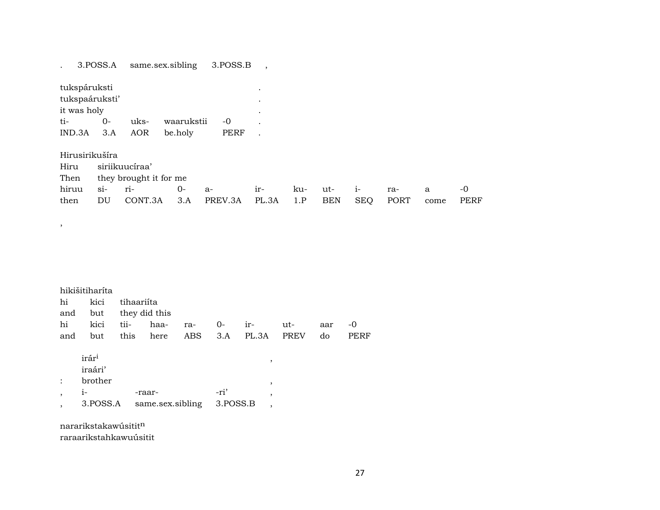3.POSS.A same.sex.sibling 3.POSS.B ,  $\mathcal{L}^{\text{max}}$ 

| tukspáruksti   |     |      |            |      |  |  |  |  |  |
|----------------|-----|------|------------|------|--|--|--|--|--|
| tukspaáruksti' |     |      |            |      |  |  |  |  |  |
| it was holy    |     |      |            |      |  |  |  |  |  |
| $ti-$          | 0-  | uks- | waarukstii | $-0$ |  |  |  |  |  |
| IND.3A         | 3.A | AOR  | be.holy    | PERF |  |  |  |  |  |

| Hirusirikušíra |  |  |
|----------------|--|--|
|                |  |  |

 $\,$ 

siriikuucíraa' Hiru Then they brought it for me

|  | then DU CONT.3A 3.A PREV.3A PL.3A 1.P BEN SEQ PORT come PERF |  |  |  |  |  |
|--|--------------------------------------------------------------|--|--|--|--|--|

| hikišitiharíta |  |                       |  |  |                                      |  |     |       |  |
|----------------|--|-----------------------|--|--|--------------------------------------|--|-----|-------|--|
|                |  | hi kici tihaariita    |  |  |                                      |  |     |       |  |
|                |  | and but they did this |  |  |                                      |  |     |       |  |
|                |  |                       |  |  | hi kici tii- haa- ra- 0- ir- ut-     |  | aar | $-()$ |  |
|                |  |                       |  |  | and but this here ABS 3.A PL.3A PREV |  | do. | PERF  |  |

| irár <sup>i</sup> |                           |      |  |
|-------------------|---------------------------|------|--|
| iraári'           |                           |      |  |
| brother           |                           |      |  |
|                   | -raar-                    | -ri' |  |
| 3.POSS.A          | same.sex.sibling 3.POSS.B |      |  |

nararikstakawúsitit $\mathfrak n$ 

raraarikstahkawuúsitit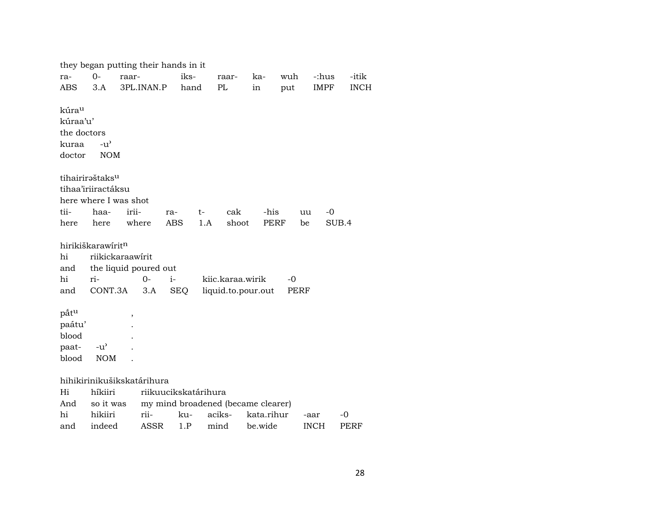|                   | they began putting their hands in it |       |            |            |                      |                                    |            |             |             |       |             |
|-------------------|--------------------------------------|-------|------------|------------|----------------------|------------------------------------|------------|-------------|-------------|-------|-------------|
| ra-               | $O -$                                | raar- |            |            | iks-                 | raar-                              | ka-        | wuh         | -:hus       |       | -itik       |
| ABS.              | 3.A                                  |       | 3PL.INAN.P |            | hand                 | PL                                 | in         | put         | <b>IMPF</b> |       | <b>INCH</b> |
|                   |                                      |       |            |            |                      |                                    |            |             |             |       |             |
| kúra <sup>u</sup> |                                      |       |            |            |                      |                                    |            |             |             |       |             |
| kúraa'u'          |                                      |       |            |            |                      |                                    |            |             |             |       |             |
| the doctors       |                                      |       |            |            |                      |                                    |            |             |             |       |             |
| kuraa             | $-u^{\prime}$                        |       |            |            |                      |                                    |            |             |             |       |             |
| doctor            | <b>NOM</b>                           |       |            |            |                      |                                    |            |             |             |       |             |
|                   |                                      |       |            |            |                      |                                    |            |             |             |       |             |
|                   | tihairirəštaks <sup>u</sup>          |       |            |            |                      |                                    |            |             |             |       |             |
|                   | tihaa'iriiractáksu                   |       |            |            |                      |                                    |            |             |             |       |             |
|                   | here where I was shot                |       |            |            |                      |                                    |            |             |             |       |             |
| tii-              | haa-                                 | irii- |            | ra-        | t-                   | cak                                | -his       |             | uu          | $-0$  |             |
| here              | here                                 |       | where      | <b>ABS</b> | 1.A                  | shoot                              |            | <b>PERF</b> | be          | SUB.4 |             |
|                   |                                      |       |            |            |                      |                                    |            |             |             |       |             |
|                   | hirikiškarawírit <sup>n</sup>        |       |            |            |                      |                                    |            |             |             |       |             |
| hi                | riikickaraawirit                     |       |            |            |                      |                                    |            |             |             |       |             |
| and               | the liquid poured out                |       |            |            |                      |                                    |            |             |             |       |             |
| hi                | ri-                                  |       | 0-         | $i-$       |                      | kiic.karaa.wirik                   |            | -0          |             |       |             |
| and               | CONT.3A                              |       | 3.A        | <b>SEQ</b> |                      | liquid.to.pour.out                 |            | PERF        |             |       |             |
| påt <sup>u</sup>  |                                      |       |            |            |                      |                                    |            |             |             |       |             |
| paátu'            |                                      | ,     |            |            |                      |                                    |            |             |             |       |             |
| blood             |                                      |       |            |            |                      |                                    |            |             |             |       |             |
| paat-             | $-u^{\prime}$                        |       |            |            |                      |                                    |            |             |             |       |             |
| blood             | <b>NOM</b>                           |       |            |            |                      |                                    |            |             |             |       |             |
|                   |                                      |       |            |            |                      |                                    |            |             |             |       |             |
|                   | hihikirinikušikskatárihura           |       |            |            |                      |                                    |            |             |             |       |             |
| Hi                | híkiiri                              |       |            |            | riikuucikskatárihura |                                    |            |             |             |       |             |
| And               | so it was                            |       |            |            |                      | my mind broadened (became clearer) |            |             |             |       |             |
| hi                | hikiiri                              |       | rii-       |            | ku-                  | aciks-                             | kata.rihur |             | -aar        | -0    |             |
| and               | indeed                               |       | ASSR       |            | 1.P                  | mind                               | be.wide    |             | <b>INCH</b> |       | PERF        |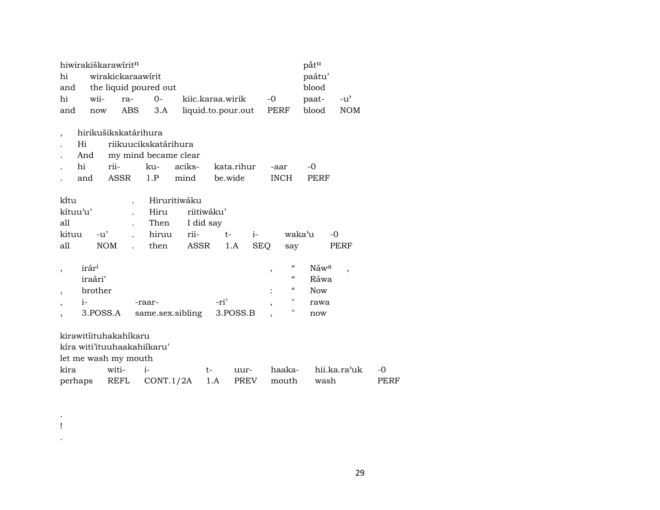|                          | hiwirakiškarawíritn         |            |                   |                       |                  |            |                    |            |      |                                        | påtu             |                          |      |
|--------------------------|-----------------------------|------------|-------------------|-----------------------|------------------|------------|--------------------|------------|------|----------------------------------------|------------------|--------------------------|------|
| hi                       |                             |            | wirakickaraawirit |                       |                  |            |                    |            |      |                                        | paátu'           |                          |      |
| and                      |                             |            |                   | the liquid poured out |                  |            |                    |            |      |                                        | blood            |                          |      |
| hi                       | wii-                        |            | ra-               | $0-$                  |                  |            | kiic.karaa.wirik   |            | $-0$ |                                        | paat-            | $-u^{\prime}$            |      |
| and                      | now                         |            | ABS               | 3.A                   |                  |            | liquid.to.pour.out |            | PERF |                                        | blood            | <b>NOM</b>               |      |
|                          |                             |            |                   |                       |                  |            |                    |            |      |                                        |                  |                          |      |
|                          | hirikušikskatárihura        |            |                   |                       |                  |            |                    |            |      |                                        |                  |                          |      |
|                          | Hi                          |            |                   | riikuucikskatárihura  |                  |            |                    |            |      |                                        |                  |                          |      |
|                          | And                         |            |                   | my mind became clear  |                  |            |                    |            |      |                                        |                  |                          |      |
|                          | hi                          | rii-       |                   | ku-                   | aciks-           |            | kata.rihur         |            | -aar |                                        | $-0$             |                          |      |
|                          | and                         |            | ASSR              | 1.P                   | mind             |            | be.wide            |            |      | <b>INCH</b>                            | PERF             |                          |      |
|                          |                             |            |                   |                       |                  |            |                    |            |      |                                        |                  |                          |      |
| ki̇̃tu                   |                             |            |                   |                       | Hiruritiwáku     |            |                    |            |      |                                        |                  |                          |      |
|                          | kítuu'u'                    |            |                   | Hiru                  |                  | riitiwáku' |                    |            |      |                                        |                  |                          |      |
| all                      |                             |            |                   | Then                  |                  | I did say  |                    |            |      |                                        |                  |                          |      |
| kituu                    | $-u'$                       |            |                   | hiruu                 | rii-             |            | $t-$               | $i-$       |      | waka'u                                 |                  | $-0$                     |      |
| all                      |                             | <b>NOM</b> | $\overline{a}$    | then                  | ASSR             |            | 1.A                | <b>SEQ</b> |      | say                                    |                  | PERF                     |      |
|                          |                             |            |                   |                       |                  |            |                    |            |      |                                        |                  |                          |      |
| $\overline{\phantom{a}}$ | irár <sup>i</sup>           |            |                   |                       |                  |            |                    |            | ,    | "                                      | Náw <sup>a</sup> | $\overline{\phantom{a}}$ |      |
|                          | iraári'                     |            |                   |                       |                  |            |                    |            |      | $\boldsymbol{\zeta}\boldsymbol{\zeta}$ | Ráwa             |                          |      |
| $\overline{\phantom{a}}$ | brother                     |            |                   |                       |                  |            |                    |            |      | $\pmb{\zeta}\pmb{\zeta}$               | <b>Now</b>       |                          |      |
| $\overline{\phantom{a}}$ | $i-$                        |            |                   | -raar-                |                  | -ri'       |                    |            |      | н                                      | rawa             |                          |      |
|                          | 3.POSS.A                    |            |                   |                       | same.sex.sibling |            | 3.POSS.B           |            |      | "                                      | now              |                          |      |
|                          |                             |            |                   |                       |                  |            |                    |            |      |                                        |                  |                          |      |
|                          | kirawitiituhakahikaru       |            |                   |                       |                  |            |                    |            |      |                                        |                  |                          |      |
|                          | kíra witi'ituuhaakahiíkaru' |            |                   |                       |                  |            |                    |            |      |                                        |                  |                          |      |
|                          | let me wash my mouth        |            |                   |                       |                  |            |                    |            |      |                                        |                  |                          |      |
| kira                     |                             | witi-      |                   | $i-$                  |                  | $t-$       | uur-               |            |      | haaka-                                 |                  | hii.ka.ra'uk             | -0   |
|                          | perhaps                     |            | REFL              | CONT.1/2A             |                  | 1.A        | PREV               |            |      | mouth                                  | wash             |                          | PERF |
|                          |                             |            |                   |                       |                  |            |                    |            |      |                                        |                  |                          |      |

 $\mathcal{A}$  $\mathbf{I}$  $\langle \cdot \rangle$ 

29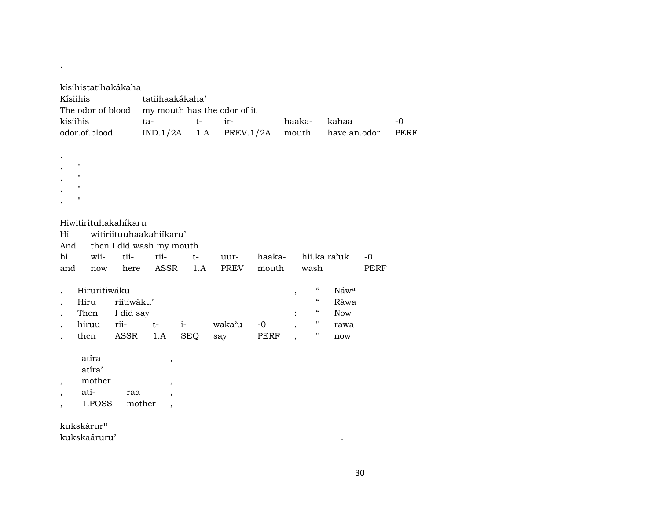| kísihistatihakákaha                |                                    |                             |                                                         |                      |             |
|------------------------------------|------------------------------------|-----------------------------|---------------------------------------------------------|----------------------|-------------|
| Kísiihis                           | tatiihaakákaha'                    |                             |                                                         |                      |             |
| The odor of blood                  |                                    | my mouth has the odor of it |                                                         |                      |             |
| kisiihis                           | ta-                                | $t-$<br>ir-                 | haaka-                                                  | kahaa                | $-0$        |
| odor.of.blood                      | IND.1/2A                           | 1.A<br>PREV.1/2A            | mouth                                                   | have.an.odor         | <b>PERF</b> |
|                                    |                                    |                             |                                                         |                      |             |
|                                    |                                    |                             |                                                         |                      |             |
| $\mathbf{H}$                       |                                    |                             |                                                         |                      |             |
| $\pmb{\mathsf{H}}$                 |                                    |                             |                                                         |                      |             |
| $\mathbf H$                        |                                    |                             |                                                         |                      |             |
| 11                                 |                                    |                             |                                                         |                      |             |
|                                    |                                    |                             |                                                         |                      |             |
| Hiwitirituhakahíkaru               |                                    |                             |                                                         |                      |             |
| Hi                                 | witiriituuhaakahiikaru'            |                             |                                                         |                      |             |
| And                                | then I did wash my mouth           |                             |                                                         |                      |             |
| hi<br>tii-<br>wii-                 | rii-                               | $t-$<br>uur-                | haaka-                                                  | hii.ka.ra'uk<br>$-0$ |             |
| and<br>here<br>now                 | ASSR                               | 1.A<br>PREV                 | mouth<br>wash                                           | PERF                 |             |
| Hiruritiwáku                       |                                    |                             | $\boldsymbol{\zeta}\boldsymbol{\zeta}$                  | Náwa                 |             |
| Hiru<br>riitiwáku'                 |                                    |                             | $^\mathrm{,}$<br>$\boldsymbol{\zeta}\boldsymbol{\zeta}$ | Ráwa                 |             |
| Then<br>I did say                  |                                    |                             | $\boldsymbol{\mathcal{C}}$                              | <b>Now</b>           |             |
| hiruu<br>rii-                      | $t-$<br>$i-$                       | waka'u                      | "<br>$-0$<br>$\overline{\phantom{a}}$                   | rawa                 |             |
| ASSR<br>then                       | 1.A<br><b>SEQ</b>                  | say                         | $\mathbf{H}$<br>PERF                                    | now                  |             |
|                                    |                                    |                             |                                                         |                      |             |
| atíra                              | $\, ,$                             |                             |                                                         |                      |             |
| atíra'                             |                                    |                             |                                                         |                      |             |
| mother<br>$\overline{\phantom{a}}$ | $^\mathrm{,}$                      |                             |                                                         |                      |             |
| ati-<br>raa<br>$^\mathrm{,}$       | $\overline{ }$                     |                             |                                                         |                      |             |
| 1.POSS                             | mother<br>$\overline{\phantom{a}}$ |                             |                                                         |                      |             |
|                                    |                                    |                             |                                                         |                      |             |
| kukskárur <sup>u</sup>             |                                    |                             |                                                         |                      |             |
| kukskaáruru'                       |                                    |                             |                                                         |                      |             |

.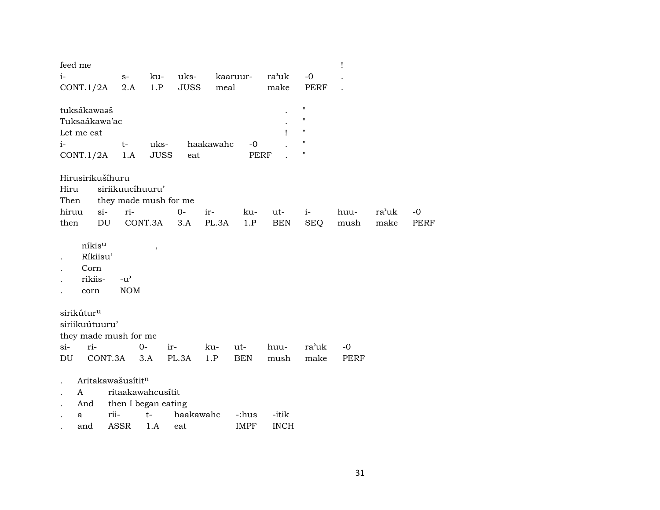| feed me                |                       |                          |           |             |            |                    | Ţ           |       |      |
|------------------------|-----------------------|--------------------------|-----------|-------------|------------|--------------------|-------------|-------|------|
| $i-$                   | $S-$                  | uks-<br>ku-              |           | kaaruur-    | ra'uk      | $-0$               |             |       |      |
| CONT.1/2A              | 2.A                   | 1.P<br><b>JUSS</b>       | meal      |             | make       | PERF               |             |       |      |
|                        |                       |                          |           |             |            |                    |             |       |      |
| tuksákawaaš            |                       |                          |           |             |            | $\pmb{\mathsf{H}}$ |             |       |      |
| Tuksaákawa'ac          |                       |                          |           |             |            | $\pmb{\mathsf{H}}$ |             |       |      |
| Let me eat             |                       |                          |           |             | I          | $\pmb{\mathsf{H}}$ |             |       |      |
| $i-$                   | $t-$                  | uks-                     | haakawahc | $-0$        |            | $\blacksquare$     |             |       |      |
| CONT.1/2A              | 1.A                   | <b>JUSS</b><br>eat       |           | <b>PERF</b> |            | п                  |             |       |      |
|                        |                       |                          |           |             |            |                    |             |       |      |
| Hirusirikušíhuru       |                       |                          |           |             |            |                    |             |       |      |
| Hiru                   | siriikuucíhuuru'      |                          |           |             |            |                    |             |       |      |
| Then                   | they made mush for me |                          |           |             |            |                    |             |       |      |
| hiruu<br>$si-$         | ri-                   | $0-$                     | ir-       | ku-         | ut-        | $i-$               | huu-        | ra'uk | $-0$ |
| DU<br>then             | CONT.3A               | 3.A                      | PL.3A     | 1.P         | <b>BEN</b> | SEQ                | mush        | make  | PERF |
|                        |                       |                          |           |             |            |                    |             |       |      |
| níkisu                 |                       | $\overline{\phantom{a}}$ |           |             |            |                    |             |       |      |
| Ríkiisu'               |                       |                          |           |             |            |                    |             |       |      |
| Corn                   |                       |                          |           |             |            |                    |             |       |      |
| rikiis-                | $-u^{\prime}$         |                          |           |             |            |                    |             |       |      |
| corn                   | <b>NOM</b>            |                          |           |             |            |                    |             |       |      |
|                        |                       |                          |           |             |            |                    |             |       |      |
| sirikútur <sup>u</sup> |                       |                          |           |             |            |                    |             |       |      |
| siriikuútuuru'         |                       |                          |           |             |            |                    |             |       |      |
| they made mush for me  |                       |                          |           |             |            |                    |             |       |      |
| $si-$<br>ri-           | $0-$                  | ir-                      | ku-       | ut-         | huu-       | ra'uk              | $-0$        |       |      |
| CONT.3A<br>DU          | 3.A                   | PL.3A                    | 1.P       | <b>BEN</b>  | mush       | make               | <b>PERF</b> |       |      |
|                        |                       |                          |           |             |            |                    |             |       |      |
| Aritakawašusítitn      |                       |                          |           |             |            |                    |             |       |      |
| $\mathsf{A}$           | ritaakawahcusitit     |                          |           |             |            |                    |             |       |      |
| And                    | then I began eating   |                          |           |             |            |                    |             |       |      |
| rii-<br>a              | $t-$                  | haakawahc                |           | -:hus       | -itik      |                    |             |       |      |

. and ASSR 1.A eat IMPF INCH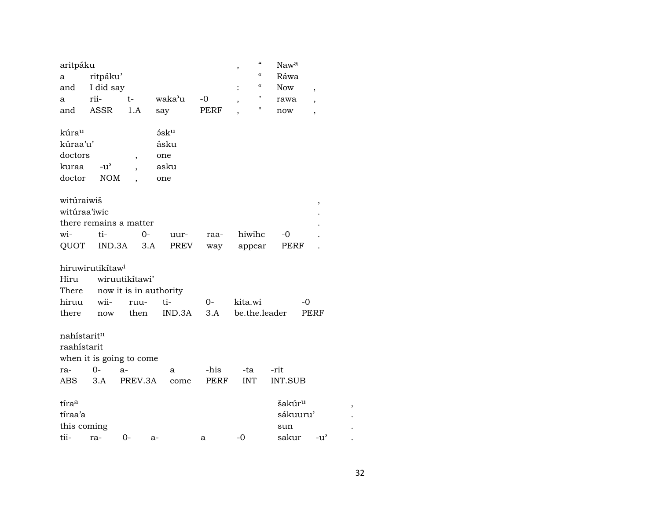| aritpáku                |                              |                |      |                        |             | ,              | $\boldsymbol{\zeta}\boldsymbol{\zeta}$<br>Nawa       |                          |  |
|-------------------------|------------------------------|----------------|------|------------------------|-------------|----------------|------------------------------------------------------|--------------------------|--|
| а                       | ritpáku'                     |                |      |                        |             |                | $\zeta\zeta$<br>Ráwa                                 |                          |  |
| and                     | I did say                    |                |      |                        |             | $\ddot{\cdot}$ | $\boldsymbol{\zeta}\boldsymbol{\zeta}$<br><b>Now</b> | $\overline{\phantom{a}}$ |  |
| a                       | rii-                         | $t-$           |      | waka'u                 | $-0$        |                | н<br>rawa                                            | $\overline{ }$           |  |
| and                     | ASSR                         | 1.A            |      | say                    | PERF        |                | 11<br>now                                            | $\overline{\phantom{a}}$ |  |
| kúra <sup>u</sup>       |                              |                |      | $5$ s $ku$             |             |                |                                                      |                          |  |
| kúraa'u'                |                              |                |      | ásku                   |             |                |                                                      |                          |  |
| doctors                 |                              | $\overline{ }$ |      | one                    |             |                |                                                      |                          |  |
| kuraa                   | $-u^{\prime}$                |                |      | asku                   |             |                |                                                      |                          |  |
| doctor                  | <b>NOM</b>                   |                |      | one                    |             |                |                                                      |                          |  |
| witúraiwiš              |                              |                |      |                        |             |                |                                                      | ,                        |  |
| witúraa'iwic            |                              |                |      |                        |             |                |                                                      |                          |  |
|                         | there remains a matter       |                |      |                        |             |                |                                                      |                          |  |
| wi-                     | ti-                          |                | $0-$ | uur-                   | raa-        | hiwihc         | -0                                                   |                          |  |
| QUOT                    |                              | IND.3A         | 3.A  | PREV                   | way         | appear         | PERF                                                 |                          |  |
|                         | hiruwirutikítaw <sup>i</sup> |                |      |                        |             |                |                                                      |                          |  |
| Hiru                    |                              | wiruutikítawi' |      |                        |             |                |                                                      |                          |  |
| There                   |                              |                |      | now it is in authority |             |                |                                                      |                          |  |
| hiruu                   | wii-                         | ruu-           |      | ti-                    | 0-          | kita.wi        |                                                      | -0                       |  |
| there                   | now                          | then           |      | IND.3A                 | 3.A         |                | be.the.leader                                        | PERF                     |  |
| nahístarit <sup>n</sup> |                              |                |      |                        |             |                |                                                      |                          |  |
| raahístarit             |                              |                |      |                        |             |                |                                                      |                          |  |
|                         | when it is going to come     |                |      |                        |             |                |                                                      |                          |  |
| ra-                     | $0-$                         | a-             |      | a                      | -his        | -ta            | -rit                                                 |                          |  |
| ABS                     | 3.A                          | PREV.3A        |      | come                   | <b>PERF</b> | <b>INT</b>     | <b>INT.SUB</b>                                       |                          |  |
| tíraa                   |                              |                |      |                        |             |                | šakúr <sup>u</sup>                                   |                          |  |
| tíraa'a                 |                              |                |      |                        |             |                | sákuuru'                                             |                          |  |
| this coming             |                              |                |      |                        |             |                | sun                                                  |                          |  |
| tii-                    | ra-                          | 0-             | $a-$ |                        | a           | $-0$           | sakur                                                | $-u^{\prime}$            |  |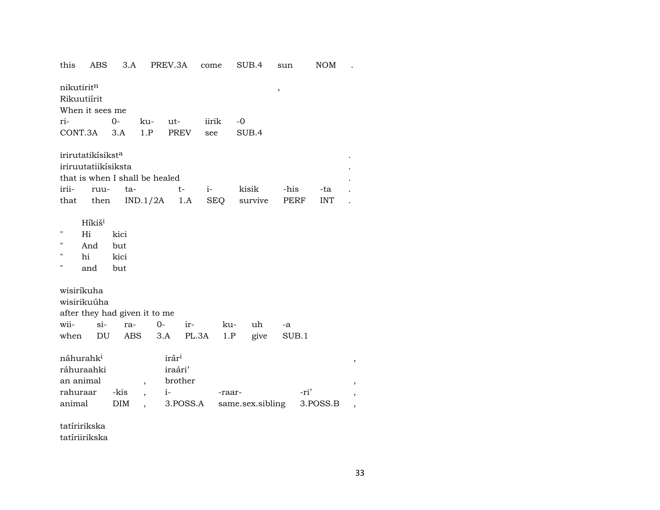| this                      | ABS                           | 3.A  |                                | PREV.3A come      |       |        | SUB.4            | sun    |      | <b>NOM</b> |   |
|---------------------------|-------------------------------|------|--------------------------------|-------------------|-------|--------|------------------|--------|------|------------|---|
| nikutiritn<br>Rikuutiírit |                               |      |                                |                   |       |        |                  | $\, ,$ |      |            |   |
|                           | When it sees me               |      |                                |                   |       |        |                  |        |      |            |   |
| ri-                       |                               | $0-$ | ku-                            | ut-               | iirik |        | -0               |        |      |            |   |
|                           | CONT.3A 3.A                   |      | 1.P                            | PREV              | see   |        | SUB.4            |        |      |            |   |
|                           | irirutatikísikst <sup>a</sup> |      |                                |                   |       |        |                  |        |      |            |   |
|                           | iriruutatiikísiksta           |      |                                |                   |       |        |                  |        |      |            |   |
|                           |                               |      | that is when I shall be healed |                   |       |        |                  |        |      |            |   |
| irii-                     | ruu-                          | ta-  |                                | $t-$              | $i-1$ |        | kisik            | -his   |      | -ta        |   |
|                           | that then                     |      |                                | $IND.1/2A$ 1.A    |       |        | SEQ survive      |        | PERF | <b>INT</b> |   |
|                           |                               |      |                                |                   |       |        |                  |        |      |            |   |
|                           | Híkiš <sup>i</sup>            |      |                                |                   |       |        |                  |        |      |            |   |
| $\pmb{\mathsf{H}}$        | Hi                            | kici |                                |                   |       |        |                  |        |      |            |   |
| н                         | And                           | but  |                                |                   |       |        |                  |        |      |            |   |
| н                         | hi                            | kici |                                |                   |       |        |                  |        |      |            |   |
| н                         | and                           | but  |                                |                   |       |        |                  |        |      |            |   |
|                           |                               |      |                                |                   |       |        |                  |        |      |            |   |
| wisiríkuha                |                               |      |                                |                   |       |        |                  |        |      |            |   |
|                           | wisirikuúha                   |      |                                |                   |       |        |                  |        |      |            |   |
|                           |                               |      | after they had given it to me  |                   |       |        |                  |        |      |            |   |
| wii-                      | $\sin$                        | ra-  | $O-$                           |                   | ir-   | ku-    | uh               | $-a$   |      |            |   |
| when                      | DU                            |      | ABS                            | 3.A               | PL.3A | 1.P    | give             | SUB.1  |      |            |   |
|                           |                               |      |                                |                   |       |        |                  |        |      |            |   |
| náhurahk <sup>i</sup>     |                               |      |                                | irár <sup>i</sup> |       |        |                  |        |      |            |   |
|                           | ráhuraahki                    |      |                                | iraári'           |       |        |                  |        |      |            | , |
| an animal                 |                               |      | $\overline{ }$ ,               | brother           |       |        |                  |        |      |            |   |
|                           | rahuraar                      | -kis | $\ddot{\phantom{0}}$           | $i$ - $i$         |       | -raar- |                  |        | -ri' |            |   |
| animal                    |                               | DIM  |                                | 3.POSS.A          |       |        | same.sex.sibling |        |      | 3.POSS.B   | , |
|                           |                               |      |                                |                   |       |        |                  |        |      |            |   |

tatíririkska tatíriirikska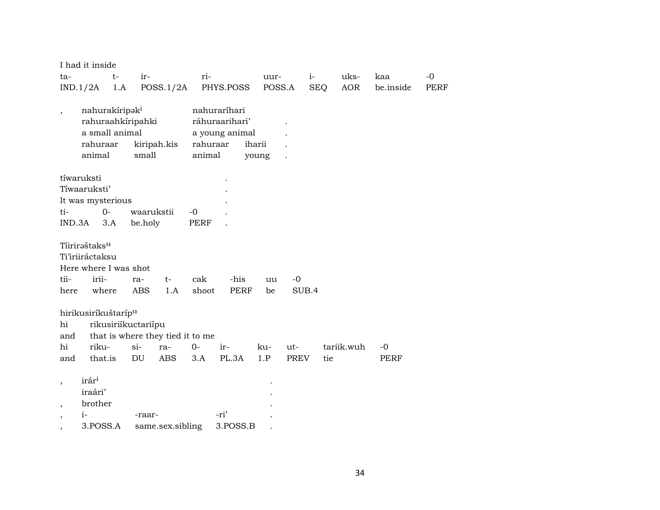| I had it inside                                                                            |                                                                                         |                   |                                  |                    |                                                  |                 |               |            |            |           |             |
|--------------------------------------------------------------------------------------------|-----------------------------------------------------------------------------------------|-------------------|----------------------------------|--------------------|--------------------------------------------------|-----------------|---------------|------------|------------|-----------|-------------|
| ta-                                                                                        | $t-$                                                                                    | ir-               |                                  | ri-                |                                                  | uur-            | $i-$          |            | uks-       | kaa       | $-0$        |
| IND.1/2A                                                                                   | 1.A                                                                                     |                   | POSS.1/2A                        |                    | PHYS.POSS                                        | POSS.A          |               | <b>SEQ</b> | <b>AOR</b> | be.inside | <b>PERF</b> |
| $\overline{\phantom{a}}$                                                                   | nahurakíripak <sup>i</sup><br>rahuraahkiripahki<br>a small animal<br>rahuraar<br>animal | small             | kiripah.kis                      | rahuraar<br>animal | nahuraríhari<br>ráhuraarihari'<br>a young animal | iharii<br>young |               |            |            |           |             |
| tíwaruksti                                                                                 |                                                                                         |                   |                                  |                    |                                                  |                 |               |            |            |           |             |
| Tíwaaruksti'                                                                               |                                                                                         |                   |                                  |                    |                                                  |                 |               |            |            |           |             |
| It was mysterious                                                                          |                                                                                         |                   |                                  |                    |                                                  |                 |               |            |            |           |             |
| ti-                                                                                        | $0-$                                                                                    | waarukstii        |                                  | $-0$               |                                                  |                 |               |            |            |           |             |
| IND.3A                                                                                     | 3.A                                                                                     | be.holy           |                                  | PERF               |                                                  |                 |               |            |            |           |             |
| Tíiriraštaks <sup>u</sup><br>Ti'iriiráctaksu<br>Here where I was shot<br>tii-<br>here      | irii-<br>where                                                                          | ra-<br><b>ABS</b> | t-<br>1.A                        | cak<br>shoot       | -his<br><b>PERF</b>                              | uu<br>be        | $-0$<br>SUB.4 |            |            |           |             |
| hirikusiríkuštaríp <sup>u</sup>                                                            |                                                                                         |                   |                                  |                    |                                                  |                 |               |            |            |           |             |
| hi                                                                                         | rikusiriíkuctariípu                                                                     |                   |                                  |                    |                                                  |                 |               |            |            |           |             |
| and                                                                                        |                                                                                         |                   | that is where they tied it to me |                    |                                                  |                 |               |            |            |           |             |
| hi                                                                                         | riku-                                                                                   | $si$ -            | ra-                              | $O -$              | ir-                                              | ku-             | ut-           |            | tariik.wuh | $-0$      |             |
| and                                                                                        | that.is                                                                                 | DU                | <b>ABS</b>                       | 3.A                | PL.3A                                            | 1.P             | <b>PREV</b>   | tie        |            | PERF      |             |
| irári<br>$\overline{\phantom{a}}$<br>iraári'<br>$\overline{\phantom{a}}$<br>$i-$<br>$\, ,$ | brother                                                                                 | -raar-            |                                  |                    | -ri'                                             |                 |               |            |            |           |             |
|                                                                                            | 3.POSS.A                                                                                |                   | same.sex.sibling                 |                    | 3.POSS.B                                         |                 |               |            |            |           |             |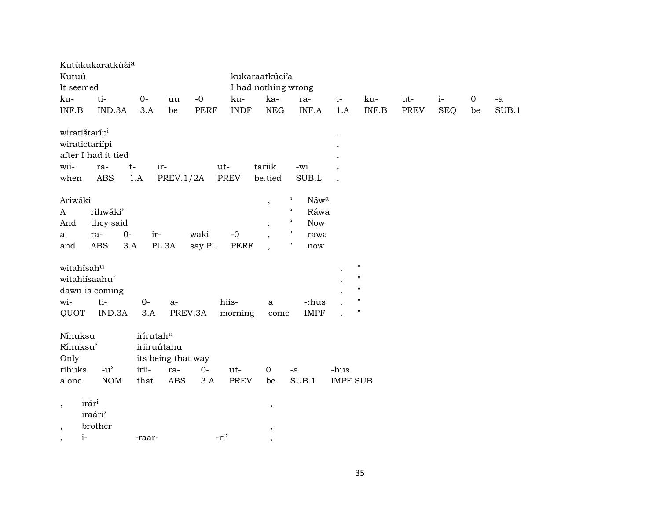| Kutúkukaratkúši <sup>a</sup>                  |               |             |                    |             |             |                          |                                        |                 |                           |      |            |             |       |
|-----------------------------------------------|---------------|-------------|--------------------|-------------|-------------|--------------------------|----------------------------------------|-----------------|---------------------------|------|------------|-------------|-------|
| Kutuú                                         |               |             |                    |             |             | kukaraatkúci'a           |                                        |                 |                           |      |            |             |       |
| It seemed                                     |               |             |                    |             |             | I had nothing wrong      |                                        |                 |                           |      |            |             |       |
| ku-                                           | ti-           | $O -$       | uu                 | $-0$        | ku-         | ka-                      | ra-                                    | $t-$            | ku-                       | ut-  | $i-$       | $\mathbf 0$ | -a    |
| INF.B                                         | IND.3A        | 3.A         | be                 | <b>PERF</b> | <b>INDF</b> | <b>NEG</b>               | INF.A                                  | 1.A             | $\textsf{INF}.\textsf{B}$ | PREV | <b>SEQ</b> | be          | SUB.1 |
|                                               |               |             |                    |             |             |                          |                                        |                 |                           |      |            |             |       |
| wiratištaríp <sup>i</sup>                     |               |             |                    |             |             |                          |                                        |                 |                           |      |            |             |       |
| wiratictariipi                                |               |             |                    |             |             |                          |                                        |                 |                           |      |            |             |       |
| after I had it tied                           |               |             |                    |             |             |                          |                                        |                 |                           |      |            |             |       |
| wii-                                          | ra-           | ir-<br>$t-$ |                    |             | ut-         | tariik                   | -wi                                    |                 |                           |      |            |             |       |
| when                                          | <b>ABS</b>    | 1.A         | PREV.1/2A          |             | PREV        | be.tied                  | SUB.L                                  |                 |                           |      |            |             |       |
|                                               |               |             |                    |             |             |                          |                                        |                 |                           |      |            |             |       |
| Ariwáki                                       |               |             |                    |             |             |                          | $\boldsymbol{\mathcal{C}}$<br>Náwa     |                 |                           |      |            |             |       |
| $\mathbf{A}$                                  | rihwáki'      |             |                    |             |             | $\, ,$                   | $\boldsymbol{\mathcal{U}}$<br>Ráwa     |                 |                           |      |            |             |       |
| And                                           | they said     |             |                    |             |             | $\ddot{\cdot}$           | $\mathcal{C}\mathcal{C}$<br><b>Now</b> |                 |                           |      |            |             |       |
|                                               | $O -$         |             |                    |             |             |                          | $\pmb{\mathsf{H}}$                     |                 |                           |      |            |             |       |
| ra-<br>a                                      |               | ir-         |                    | waki        | $-0$        | $\cdot$                  | rawa<br>Π.                             |                 |                           |      |            |             |       |
| and                                           | ABS<br>3.A    |             | PL.3A              | say.PL      | <b>PERF</b> | $\overline{\phantom{a}}$ | $\operatorname{now}$                   |                 |                           |      |            |             |       |
|                                               |               |             |                    |             |             |                          |                                        |                 | $\mathbf{H}$              |      |            |             |       |
| witahisahu                                    |               |             |                    |             |             |                          |                                        |                 | $\pmb{\mathsf{H}}$        |      |            |             |       |
| witahiisaahu'                                 |               |             |                    |             |             |                          |                                        |                 | $\mathbf{H}$              |      |            |             |       |
| dawn is coming                                |               |             |                    |             |             |                          |                                        |                 | $\mathbf{H}$              |      |            |             |       |
| wi-                                           | ti-           | $O -$       | a-                 |             | hiis-       | $\mathbf{a}$             | -:hus                                  |                 |                           |      |            |             |       |
| QUOT                                          | IND.3A        | 3.A         | PREV.3A            |             | morning     | come                     | <b>IMPF</b>                            |                 | $\blacksquare$            |      |            |             |       |
|                                               |               |             |                    |             |             |                          |                                        |                 |                           |      |            |             |       |
| Níhuksu                                       |               | irírutahu   |                    |             |             |                          |                                        |                 |                           |      |            |             |       |
| Ríhuksu'                                      |               | iriiruútahu |                    |             |             |                          |                                        |                 |                           |      |            |             |       |
| Only                                          |               |             | its being that way |             |             |                          |                                        |                 |                           |      |            |             |       |
| rihuks                                        | $-u^{\prime}$ | irii-       | ra-                | $0-$        | ut-         | $\mathbf{0}$             | $-a$                                   | -hus            |                           |      |            |             |       |
| alone                                         | $\rm{NOM}$    | that        | <b>ABS</b>         | 3.A         | <b>PREV</b> | be                       | SUB.1                                  | <b>IMPF.SUB</b> |                           |      |            |             |       |
|                                               |               |             |                    |             |             |                          |                                        |                 |                           |      |            |             |       |
| irár <sup>i</sup><br>$\overline{\phantom{a}}$ |               |             |                    |             |             | $\, ,$                   |                                        |                 |                           |      |            |             |       |
| iraári'                                       |               |             |                    |             |             |                          |                                        |                 |                           |      |            |             |       |
| brother<br>$\overline{\phantom{a}}$           |               |             |                    |             |             | $\overline{\phantom{a}}$ |                                        |                 |                           |      |            |             |       |
| $i-$                                          |               | -raar-      |                    |             | -ri'        |                          |                                        |                 |                           |      |            |             |       |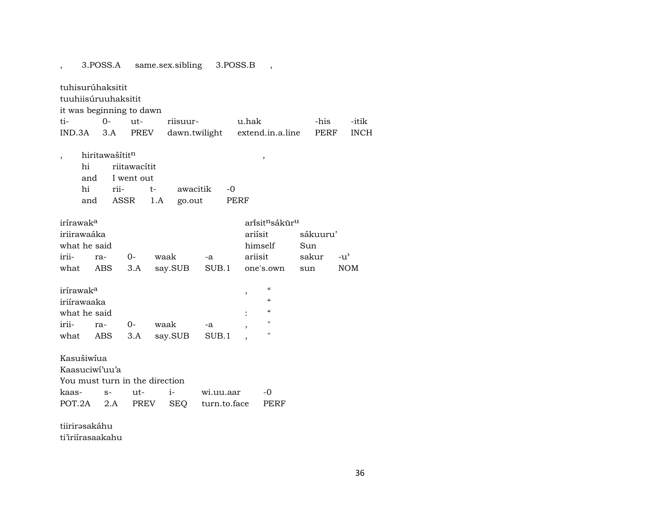same.sex.sibling 3.POSS.A 3.POSS.B  $\overline{\phantom{a}}$  $\overline{\phantom{a}}$ 

tuhisurúhaksitit

tuuhiisúruuhaksitit

it was beginning to dawn

|  |  |                                                          | -his -itik |  |
|--|--|----------------------------------------------------------|------------|--|
|  |  | IND.3A 3.A PREV dawn.twilight extend.in.a.line PERF INCH |            |  |

 $\,$  ,

hiritawašítit<sup>n</sup>  $\overline{\phantom{a}}$ 

> hi riitawacítit

I went out and

| hi  | rii- | $+ -$ | awacitik |      |
|-----|------|-------|----------|------|
| and | ASSR | 1.A   | go.out   | PERF |

| irírawak <sup>a</sup> |     |      |                                      |    | ari̇̃sit <sup>n</sup> sákūr <sup>u</sup> |           |      |
|-----------------------|-----|------|--------------------------------------|----|------------------------------------------|-----------|------|
| iriirawaáka           |     |      |                                      |    | ariísit                                  | sákuuru'  |      |
| what he said          |     |      |                                      |    | himself                                  | Sun       |      |
| irii-                 | ra- | $O-$ | waak                                 | -a | ariisit                                  | sakur -u' |      |
|                       |     |      | what ABS 3.A say.SUB SUB.1 one's.own |    |                                          | sun       | NOM. |
|                       |     |      |                                      |    |                                          |           |      |

| irírawak <sup>a</sup> |     |      |                            |    | $\epsilon$        |
|-----------------------|-----|------|----------------------------|----|-------------------|
| iriírawaaka           |     |      |                            |    | $\epsilon$        |
| what he said          |     |      |                            |    | $\epsilon$        |
| irii-                 | ra- | $O-$ | waak                       | -а | $^{\prime\prime}$ |
|                       |     |      | what ABS 3.A say.SUB SUB.1 |    |                   |

Kasušiwiua

Kaasuciwi'uu'a

| You must turn in the direction |  |  |  |                                       |  |  |  |  |  |
|--------------------------------|--|--|--|---------------------------------------|--|--|--|--|--|
|                                |  |  |  | kaas- s- ut- i- wi.uu.aar -0          |  |  |  |  |  |
|                                |  |  |  | POT.2A 2.A PREV SEQ turn.to.face PERF |  |  |  |  |  |

tiirirəsakáhu ti'iriirasaakahu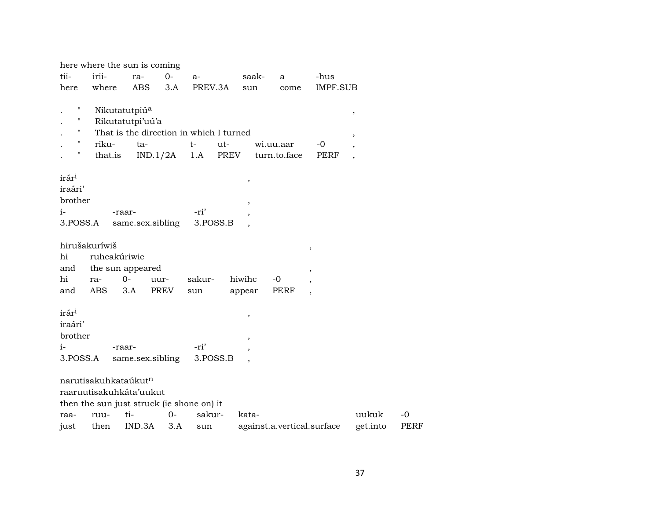|                                                             |                                             | here where the sun is coming                                                                                |              |                  |                              |       |                            |                                                                                          |          |             |
|-------------------------------------------------------------|---------------------------------------------|-------------------------------------------------------------------------------------------------------------|--------------|------------------|------------------------------|-------|----------------------------|------------------------------------------------------------------------------------------|----------|-------------|
| tii-                                                        | irii-                                       | ra-                                                                                                         | $0-$         | a-               |                              | saak- | a                          | -hus                                                                                     |          |             |
| here                                                        | where                                       | <b>ABS</b>                                                                                                  | 3.A          | PREV.3A          |                              | sun   | come                       | IMPF.SUB                                                                                 |          |             |
| Η<br>Н<br>н<br>11<br>П                                      | riku-<br>that.is                            | Nikutatutpiú <sup>a</sup><br>Rikutatutpi'uú'a<br>That is the direction in which I turned<br>ta-<br>IND.1/2A |              | $t-$<br>1.A      | $ut-$<br>PREV                |       | wi.uu.aar<br>turn.to.face  | -0<br><b>PERF</b>                                                                        | ,<br>,   |             |
| irár <sup>i</sup><br>iraári'<br>brother<br>$i-$<br>3.POSS.A |                                             | -raar-<br>same.sex.sibling                                                                                  |              | -ri'<br>3.POSS.B | $\, ,$<br>$^\mathrm{,}$      |       |                            |                                                                                          |          |             |
| hi<br>and<br>hi<br>and                                      | hirušakuríwiš<br>ruhcakúriwic<br>ra-<br>ABS | the sun appeared<br>0-<br>3.A                                                                               | uur-<br>PREV | sakur-<br>sun    | hiwihc<br>appear             |       | $-0$<br>PERF               | $\,$<br>$\overline{\phantom{a}}$<br>$\overline{\phantom{a}}$<br>$\overline{\phantom{a}}$ |          |             |
| irár <sup>i</sup><br>iraári'<br>brother<br>$i-$<br>3.POSS.A |                                             | -raar-<br>same.sex.sibling                                                                                  |              | -ri'<br>3.POSS.B | ,<br>$\, ,$<br>$^\mathrm{,}$ |       |                            |                                                                                          |          |             |
|                                                             | narutisakuhkataúkutn                        | raaruutisakuhkáta'uukut<br>then the sun just struck (ie shone on) it                                        |              |                  |                              |       |                            |                                                                                          |          |             |
| raa-                                                        | ruu-                                        | ti-                                                                                                         | $0-$         | sakur-           | kata-                        |       |                            |                                                                                          | uukuk    | $-0$        |
| just                                                        | then                                        | IND.3A                                                                                                      | 3.A          | sun              |                              |       | against.a.vertical.surface |                                                                                          | get.into | <b>PERF</b> |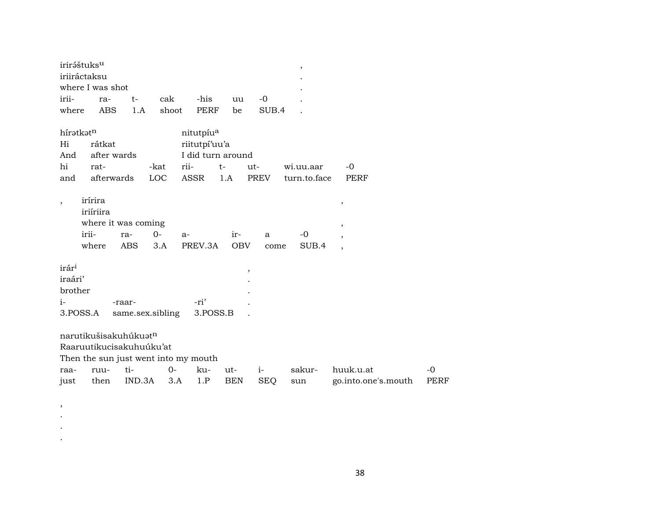| iriráštuks <sup>u</sup> |         |       |       |      |    |       |   |
|-------------------------|---------|-------|-------|------|----|-------|---|
| iriiráctaksu            |         |       |       |      |    |       | ٠ |
| where I was shot        |         |       |       |      |    |       | ٠ |
| irii-                   | ra-     | $+ -$ | cak   | -his | uu | $-()$ |   |
| where                   | ABS 1.A |       | shoot | PERF | be | SUB.4 |   |

| hírətkət <sup>n</sup> |                 |      |                   | nitutpíu <sup>a</sup> |     |                                |           |  |  |  |  |
|-----------------------|-----------------|------|-------------------|-----------------------|-----|--------------------------------|-----------|--|--|--|--|
| Hi                    | rátkat          |      | riitutpi'uu'a     |                       |     |                                |           |  |  |  |  |
|                       | And after wards |      | I did turn around |                       |     |                                |           |  |  |  |  |
| hi                    | rat-            | -kat | rii-              | $t -$                 | ut- | wi.uu.aar                      | $-\Omega$ |  |  |  |  |
| and                   | afterwards      |      |                   |                       |     | LOC ASSR 1.A PREV turn.to.face | PERF      |  |  |  |  |

| ırırıra             |     |      |                     |       |      |       |  |
|---------------------|-----|------|---------------------|-------|------|-------|--|
| iriíriira           |     |      |                     |       |      |       |  |
| where it was coming |     |      |                     |       |      |       |  |
| irii-               | ra- | $O-$ | а-                  | $ir-$ | a    | -0    |  |
| where               |     |      | ABS 3.A PREV.3A OBV |       | come | SUB.4 |  |

| -raar- | -ri' |                                      |
|--------|------|--------------------------------------|
|        |      |                                      |
|        |      | 3. POSS.A same.sex.sibling 3. POSS.B |

 $\,$  $\bullet$  $\langle \cdot \rangle$  $\mathcal{A}^{\pm}$ 

|  | narutikušisakuhúkuət <sup>n</sup>    |  |  |                          |  |
|--|--------------------------------------|--|--|--------------------------|--|
|  | Raaruutikucisakuhuúku'at             |  |  |                          |  |
|  | Then the sun just went into my mouth |  |  |                          |  |
|  |                                      |  |  | sakur- huuk.u.at         |  |
|  | just then IND.3A 3.A 1.P BEN SEO sun |  |  | go.into.one's.mouth PERF |  |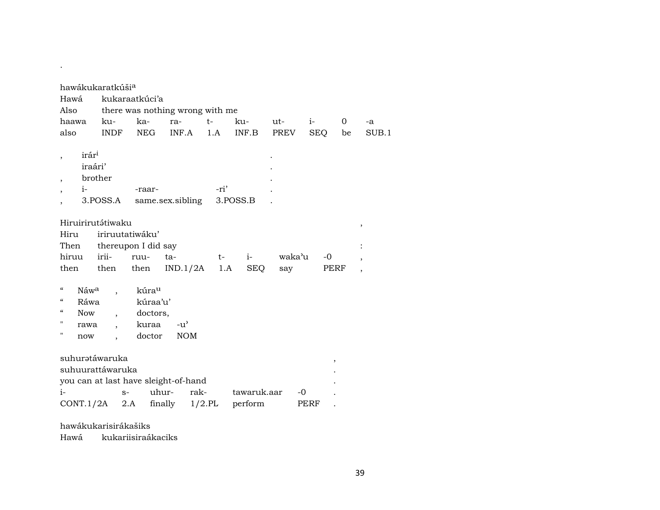| hawákukaratkúši <sup>a</sup><br>Hawá<br>Also<br>haawa<br>also                                                                 | ku-<br><b>INDF</b>                           | kukaraatkúci'a<br>ka-<br>NEG                     | there was nothing wrong with me<br>ra-<br>INF.A | $t-$<br>1.A | ku-<br>INF.B           | ut-<br>PREV   | $i-$<br><b>SEQ</b> | 0<br>be | -a<br>SUB.1 |
|-------------------------------------------------------------------------------------------------------------------------------|----------------------------------------------|--------------------------------------------------|-------------------------------------------------|-------------|------------------------|---------------|--------------------|---------|-------------|
| irár <sup>i</sup><br>iraári'<br>brother<br>$i-$                                                                               | 3.POSS.A                                     | -raar-                                           | same.sex.sibling                                | -ri'        | 3.POSS.B               |               |                    |         |             |
| Hiruirirutátiwaku<br>Hiru<br>Then<br>hiruu<br>then                                                                            | iriruutatiwáku'<br>irii-<br>then             | thereupon I did say<br>ruu-<br>then              | $ta-$<br>$IND.1/2A$ 1.A                         | $t-$        | $i-$<br><b>SEQ</b>     | waka'u<br>say | -0                 | PERF    | ,<br>,      |
| $\boldsymbol{\zeta}\boldsymbol{\zeta}$<br>Náw <sup>a</sup><br>4<br>Ráwa<br>$\epsilon\epsilon$<br>Now<br>н<br>rawa<br>П<br>now | $\ddot{\phantom{0}}$<br>$\ddot{\phantom{0}}$ | kúrau<br>kúraa'u'<br>doctors,<br>kuraa<br>doctor | $-u^{\prime}$<br><b>NOM</b>                     |             |                        |               |                    |         |             |
| suhuratáwaruka<br>suhuurattáwaruka<br>you can at last have sleight-of-hand<br>i-<br>$CONT.1/2A$ 2.A finally $1/2.PL$          | $S-$                                         | uhur-                                            | rak-                                            |             | tawaruk.aar<br>perform | -0            | PERF               |         |             |

hawákukarisirákašiks

.

Hawá kukariisiraákaciks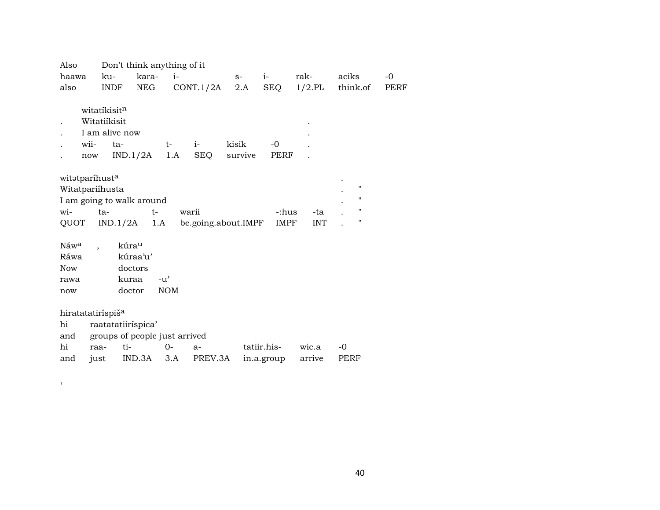| Also                          |                          | Don't think anything of it    |                                     |            |                     |             |            |                    |             |
|-------------------------------|--------------------------|-------------------------------|-------------------------------------|------------|---------------------|-------------|------------|--------------------|-------------|
| haawa                         | ku-                      | kara-                         | $i-$                                |            | $S-$                | $i-$        | rak-       | aciks              | $-0$        |
| also                          | <b>INDF</b>              | NEG                           |                                     | CONT.1/2A  | 2.A                 | SEQ         | $1/2$ .PL  | think.of           | <b>PERF</b> |
|                               |                          |                               |                                     |            |                     |             |            |                    |             |
|                               | witatíkisitn             |                               |                                     |            |                     |             |            |                    |             |
|                               | Witatiíkisit             |                               |                                     |            |                     |             |            |                    |             |
|                               | I am alive now           |                               |                                     |            |                     |             |            |                    |             |
| wii-                          | ta-                      |                               | $t-$                                | $i-$       | kisik               | $-0$        |            |                    |             |
| now                           |                          | IND.1/2A                      | 1.A                                 | <b>SEQ</b> | survive             | PERF        |            |                    |             |
|                               |                          |                               |                                     |            |                     |             |            |                    |             |
| witatparíhusta                |                          |                               |                                     |            |                     |             |            | $\pmb{\mathsf{H}}$ |             |
| Witatpariíhusta               |                          |                               |                                     |            |                     |             |            | $\pmb{\mathsf{H}}$ |             |
|                               |                          | I am going to walk around     |                                     |            |                     |             |            | $\pmb{\mathsf{H}}$ |             |
| wi-                           | ta-                      | $t-$                          | warii                               |            |                     | -:hus       | -ta        | $\pmb{\mathsf{H}}$ |             |
| QUOT                          | IND.1/2A                 | 1.A                           |                                     |            | be.going.about.IMPF | <b>IMPF</b> | <b>INT</b> |                    |             |
| Náwa                          | $\overline{\phantom{a}}$ | kúrau                         |                                     |            |                     |             |            |                    |             |
| Ráwa                          |                          | kúraa'u'                      |                                     |            |                     |             |            |                    |             |
| Now                           |                          | doctors                       |                                     |            |                     |             |            |                    |             |
| rawa                          |                          | kuraa                         | $-u$ <sup><math>\prime</math></sup> |            |                     |             |            |                    |             |
| now                           |                          | doctor                        | <b>NOM</b>                          |            |                     |             |            |                    |             |
|                               |                          |                               |                                     |            |                     |             |            |                    |             |
| hiratatatiríspiš <sup>a</sup> |                          |                               |                                     |            |                     |             |            |                    |             |
| hi                            |                          | raatatatiiríspica'            |                                     |            |                     |             |            |                    |             |
| and                           |                          | groups of people just arrived |                                     |            |                     |             |            |                    |             |
| hi                            | raa-                     | ti-                           | 0-                                  | $a-$       |                     | tatiir.his- | wic.a      | $-0$               |             |
| and                           | just                     | IND.3A                        | 3.A                                 | PREV.3A    |                     | in.a.group  | arrive     | <b>PERF</b>        |             |

 $\overline{\phantom{a}}$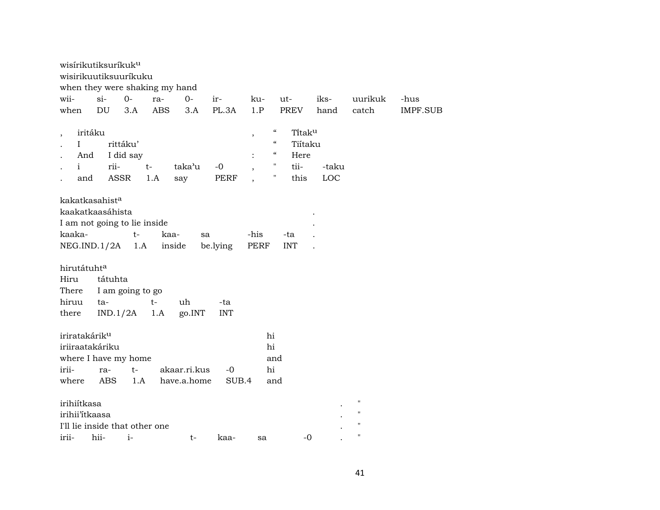| when they were shaking my hand                                                                                                                                                                                                                                                                                                                     |                 |
|----------------------------------------------------------------------------------------------------------------------------------------------------------------------------------------------------------------------------------------------------------------------------------------------------------------------------------------------------|-----------------|
| $si-$<br>$O -$<br>$0-$<br>wii-<br>iks-<br>ra-<br>ir-<br>ku-<br>ut-<br>uurikuk<br>-hus                                                                                                                                                                                                                                                              |                 |
| DU<br>3.A<br><b>ABS</b><br>3.A<br>PL.3A<br>1.P<br><b>PREV</b><br>when<br>hand<br>catch                                                                                                                                                                                                                                                             | <b>IMPF.SUB</b> |
| $\boldsymbol{\zeta}\boldsymbol{\zeta}$<br>iritáku<br>Titaku<br>$\overline{\phantom{a}}$<br>$\, ,$<br>$\boldsymbol{\mathcal{C}}$<br>rittáku'<br>Tiítaku<br>$\mathbf{I}$<br>$\epsilon$<br>And<br>I did say<br>Here<br>rii-<br>tii-<br>$-0$<br>-taku<br>$t-$<br>taka'u<br>i<br>$\, ,$<br>Ħ<br>LOC<br>ASSR<br><b>PERF</b><br>this<br>and<br>1.A<br>say |                 |
| kakatkasahista<br>kaakatkaasáhista<br>I am not going to lie inside<br>kaaka-<br>$t-$<br>kaa-<br>-his<br>-ta<br>sa<br>NEG.IND.1/2A<br>1.A<br>inside<br>be.lying<br>PERF<br><b>INT</b>                                                                                                                                                               |                 |
| hirutátuhta                                                                                                                                                                                                                                                                                                                                        |                 |
| Hiru<br>tátuhta                                                                                                                                                                                                                                                                                                                                    |                 |
| There<br>I am going to go                                                                                                                                                                                                                                                                                                                          |                 |
| hiruu<br>ta-<br>$t-$<br>uh<br>-ta                                                                                                                                                                                                                                                                                                                  |                 |
| there<br>IND.1/2A<br>1.A<br>go.INT<br><b>INT</b>                                                                                                                                                                                                                                                                                                   |                 |
| iriratakárik <sup>u</sup><br>hi<br>iriiraatakáriku<br>hi<br>where I have my home<br>and<br>hi<br>irii-<br>akaar.ri.kus<br>$-0$<br>ra-<br>$t-$<br>ABS<br>1.A<br>have.a.home<br>SUB.4<br>where<br>and                                                                                                                                                |                 |
| irihiítkasa<br>$\blacksquare$                                                                                                                                                                                                                                                                                                                      |                 |
| $\mathbf{H}$<br>irihii'itkaasa                                                                                                                                                                                                                                                                                                                     |                 |
| $\mathbf{H}$<br>I'll lie inside that other one                                                                                                                                                                                                                                                                                                     |                 |
| $^{\prime}$<br>hii-<br>$i-$<br>$-0$<br>irii-<br>t-<br>kaa-<br>sa                                                                                                                                                                                                                                                                                   |                 |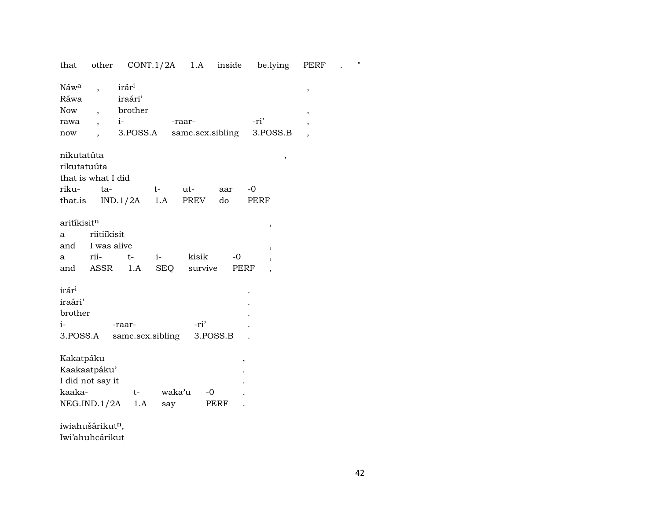| that                                                                    | other                                      |                              |               |                  | $CONT.1/2A$ 1.A inside | be.lying             | PERF                     | Ħ |
|-------------------------------------------------------------------------|--------------------------------------------|------------------------------|---------------|------------------|------------------------|----------------------|--------------------------|---|
| Náw <sup>a</sup><br>Ráwa                                                | $\overline{\phantom{a}}$                   | irár <sup>i</sup><br>iraári' |               |                  |                        |                      | $\, ,$                   |   |
| Now                                                                     | $\overline{\phantom{a}}$                   | brother                      |               |                  |                        |                      | $\overline{\phantom{a}}$ |   |
| rawa                                                                    |                                            | $i-$                         |               | -raar-           |                        | -ri'                 | $\overline{\phantom{a}}$ |   |
| now                                                                     |                                            | 3.POSS.A                     |               |                  | same.sex.sibling       | 3.POSS.B             |                          |   |
| nikutatúta<br>rikutatuúta<br>that is what I did<br>riku-                | ta-                                        | that.is $IND.1/2A$ 1.A       | $t-$          | ut-<br>PREV      | aar<br>do              | $\,$<br>$-0$<br>PERF |                          |   |
| aritíkisit <sup>n</sup><br>a<br>and<br>a<br>and                         | riitiíkisit<br>I was alive<br>rii-<br>ASSR | $t-$<br>1.A                  | $i-$<br>SEQ   | kisik<br>survive | $-0$<br>PERF           | $\,$<br>,            |                          |   |
| irár <sup>i</sup><br>iraári'<br>brother<br>$i-$<br>3.POSS.A             |                                            | -raar-<br>same.sex.sibling   |               | -ri'             | 3.POSS.B               |                      |                          |   |
| Kakatpáku<br>Kaakaatpáku'<br>I did not say it<br>kaaka-<br>NEG.IND.1/2A |                                            | $t-$<br>1.A                  | waka'u<br>say | $-0$             | ,<br>PERF              |                      |                          |   |

iwiahušárikut<sup>n</sup>, Iwi'ahuhcárikut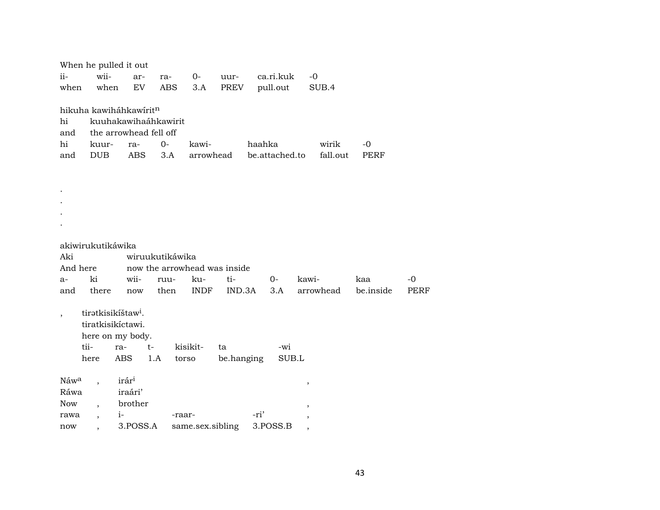| ii-<br>when              | wii-<br>when             | When he pulled it out<br>ar-<br>EV                                                    | ra-<br>ABS                   | $0-$<br>3.A       | uur-<br>PREV     | ca.ri.kuk<br>pull.out | $-0$<br>SUB.4 |           |             |
|--------------------------|--------------------------|---------------------------------------------------------------------------------------|------------------------------|-------------------|------------------|-----------------------|---------------|-----------|-------------|
| hi<br>and<br>hi          |                          | hikuha kawiháhkawírit <sup>n</sup><br>the arrowhead fell off                          | kuuhakawihaáhkawirit<br>$0-$ | kawi-             |                  | haahka                | wirik         | $-0$      |             |
| and                      | kuur-<br><b>DUB</b>      | ra-<br><b>ABS</b>                                                                     | 3.A                          | arrowhead         |                  | be.attached.to        | fall.out      | PERF      |             |
|                          |                          |                                                                                       |                              |                   |                  |                       |               |           |             |
|                          | akiwirukutikáwika        |                                                                                       |                              |                   |                  |                       |               |           |             |
| Aki                      |                          |                                                                                       | wiruukutikáwika              |                   |                  |                       |               |           |             |
| And here                 |                          |                                                                                       | now the arrowhead was inside |                   |                  |                       |               |           |             |
| $a-$                     | ki                       | wii-                                                                                  | ruu-                         | ku-               | ti-              | $O -$                 | kawi-         | kaa       | $-0$        |
| and                      | there                    | now                                                                                   | then                         | <b>INDF</b>       | IND.3A           | 3.A                   | arrowhead     | be.inside | <b>PERF</b> |
| $\overline{\phantom{a}}$ | tii-<br>here             | tiratkisikíštaw <sup>i</sup> .<br>tiratkisikíctawi.<br>here on my body.<br>ra-<br>ABS | $t-$<br>1.A                  | kisikit-<br>torso | ta<br>be.hanging | -wi<br>SUB.L          |               |           |             |
| Náw <sup>a</sup>         | $\ddot{\phantom{0}}$     | irár <sup>i</sup>                                                                     |                              |                   |                  |                       | $\, ,$        |           |             |
| Ráwa                     |                          | iraári'                                                                               |                              |                   |                  |                       |               |           |             |
| Now                      |                          | brother                                                                               |                              |                   |                  |                       |               |           |             |
| rawa                     | $\overline{\phantom{a}}$ | $i-$                                                                                  | -raar-                       |                   |                  | -ri'                  |               |           |             |
| now                      |                          | 3.POSS.A                                                                              |                              | same.sex.sibling  |                  | 3.POSS.B              |               |           |             |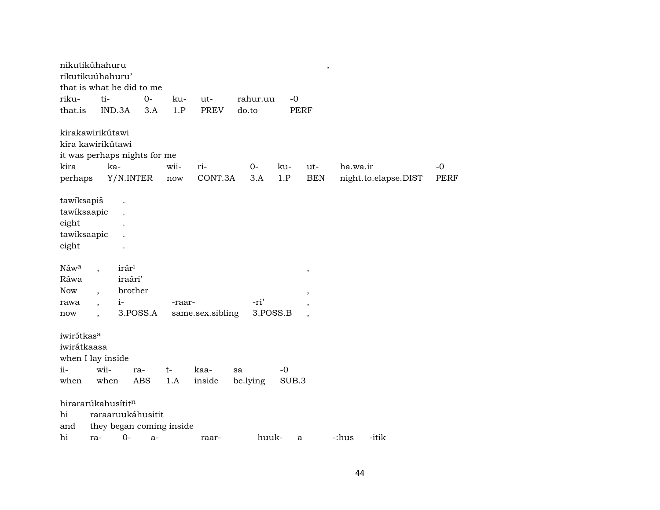| nikutikúhahuru<br>rikutikuúhahuru'                                        |                          |                              |      |             |                  |                |               | $\,$                     |          |                      |             |
|---------------------------------------------------------------------------|--------------------------|------------------------------|------|-------------|------------------|----------------|---------------|--------------------------|----------|----------------------|-------------|
|                                                                           |                          | that is what he did to me    |      |             |                  |                |               |                          |          |                      |             |
| riku-                                                                     | ti-                      |                              | $0-$ | ku-         | ut-              | rahur.uu       | $-0$          |                          |          |                      |             |
| that.is                                                                   |                          | IND.3A                       | 3.A  | 1.P         | <b>PREV</b>      | do.to          |               | <b>PERF</b>              |          |                      |             |
| kirakawirikútawi                                                          |                          |                              |      |             |                  |                |               |                          |          |                      |             |
| kíra kawirikútawi                                                         |                          |                              |      |             |                  |                |               |                          |          |                      |             |
|                                                                           |                          | it was perhaps nights for me |      |             |                  |                |               |                          |          |                      |             |
| kira                                                                      |                          | ka-                          |      | wii-        | ri-              | $0-$           | ku-           | $ut-$                    | ha.wa.ir |                      | $-0$        |
| perhaps                                                                   |                          | Y/N.INTER                    |      | now         | CONT.3A          | 3.A            | 1.P           | <b>BEN</b>               |          | night.to.elapse.DIST | <b>PERF</b> |
| tawiksapiš<br>tawiksaapic<br>eight<br>tawiksaapic<br>eight                |                          |                              |      |             |                  |                |               |                          |          |                      |             |
| Náw <sup>a</sup>                                                          |                          | irár <sup>i</sup>            |      |             |                  |                |               | $^\mathrm{,}$            |          |                      |             |
| Ráwa                                                                      |                          | iraári'                      |      |             |                  |                |               |                          |          |                      |             |
| Now                                                                       |                          | brother                      |      |             |                  |                |               | ,                        |          |                      |             |
| rawa                                                                      |                          | $i-$                         |      | -raar-      |                  | -ri'           |               | $\overline{ }$           |          |                      |             |
| now                                                                       | $\overline{\phantom{a}}$ | 3.POSS.A                     |      |             | same.sex.sibling |                | 3.POSS.B      | $\overline{\phantom{a}}$ |          |                      |             |
| iwirátkas <sup>a</sup><br>iwirátkaasa<br>when I lay inside<br>ii-<br>when | wii-<br>when             | ra-                          | ABS  | $t-$<br>1.A | kaa-<br>inside   | sa<br>be.lying | $-0$<br>SUB.3 |                          |          |                      |             |
|                                                                           |                          |                              |      |             |                  |                |               |                          |          |                      |             |
| hirararúkahusítit <sup>n</sup>                                            |                          |                              |      |             |                  |                |               |                          |          |                      |             |
| hi                                                                        |                          | raraaruukáhusitit            |      |             |                  |                |               |                          |          |                      |             |
| and                                                                       |                          | they began coming inside     |      |             |                  |                |               |                          |          |                      |             |
| hi                                                                        | ra-                      | $0-$                         | $a-$ |             | raar-            |                | huuk-         | a                        | -:hus    | -itik                |             |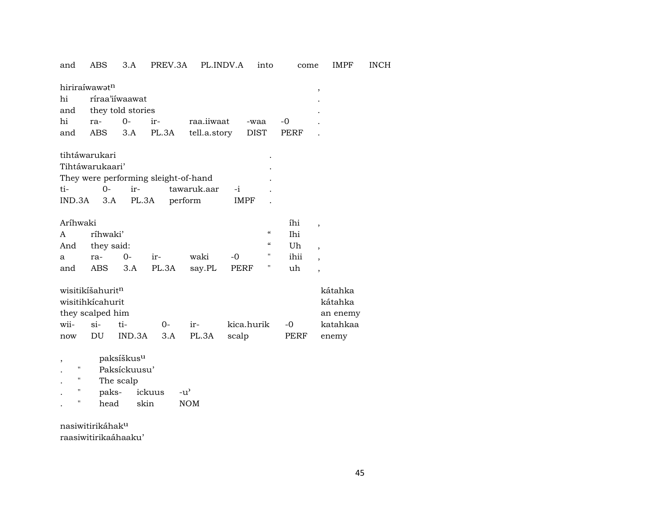and ABS 3.A PREV.3A PL.INDV.A into come IMPF INCH

| hi<br>and<br>hi | hiriraíwawatn<br>ra-                                                                                                                                                                                                               | ríraa'iíwaawat<br>they told stories<br>$0-$ | ir-                                  | raa.iiwaat             |      | -waa                                   | $-0$ | ,                        |  |  |
|-----------------|------------------------------------------------------------------------------------------------------------------------------------------------------------------------------------------------------------------------------------|---------------------------------------------|--------------------------------------|------------------------|------|----------------------------------------|------|--------------------------|--|--|
| and             | ABS.                                                                                                                                                                                                                               | 3.A                                         | PL.3A                                | tell.a.story           |      | <b>DIST</b>                            | PERF |                          |  |  |
| ti-<br>IND.3A   | tihtáwarukari<br>Tihtáwarukaari'<br>$0-$<br>3.A                                                                                                                                                                                    | ir-<br>PL.3A                                | They were performing sleight-of-hand | tawaruk.aar<br>perform | $-i$ | <b>IMPF</b>                            |      |                          |  |  |
| Aríhwaki        |                                                                                                                                                                                                                                    |                                             |                                      |                        |      |                                        | íhi  |                          |  |  |
|                 |                                                                                                                                                                                                                                    |                                             |                                      |                        |      | $\boldsymbol{\zeta}\boldsymbol{\zeta}$ |      | $\overline{\phantom{a}}$ |  |  |
| A               | ríhwaki'                                                                                                                                                                                                                           |                                             |                                      |                        |      |                                        | Ihi  |                          |  |  |
| And             | they said:                                                                                                                                                                                                                         |                                             |                                      |                        |      | "                                      | Uh   | $\overline{\phantom{a}}$ |  |  |
| a               | $ra-$                                                                                                                                                                                                                              | $0 -$                                       | ir-                                  | waki                   | $-0$ | п                                      | ihii | $\overline{\phantom{a}}$ |  |  |
| and             | ABS                                                                                                                                                                                                                                | 3.A                                         | PL.3A                                | say.PL                 | PERF | н                                      | uh   | $\overline{\phantom{a}}$ |  |  |
| wii-<br>now     | kátahka<br>wisitikíšahurit <sup>n</sup><br>wisitihkícahurit<br>kátahka<br>they scalped him<br>an enemy<br>$si$ -<br>ti-<br>kica.hurik<br>katahkaa<br>$0-$<br>ir-<br>$-0$<br>DU<br>IND.3A<br>3.A<br>PL.3A<br>scalp<br>PERF<br>enemy |                                             |                                      |                        |      |                                        |      |                          |  |  |
|                 |                                                                                                                                                                                                                                    |                                             |                                      |                        |      |                                        |      |                          |  |  |
| ,               | paksíškus <sup>u</sup>                                                                                                                                                                                                             |                                             |                                      |                        |      |                                        |      |                          |  |  |
| Н               | Paksíckuusu'                                                                                                                                                                                                                       |                                             |                                      |                        |      |                                        |      |                          |  |  |
|                 | н<br>The scalp                                                                                                                                                                                                                     |                                             |                                      |                        |      |                                        |      |                          |  |  |
| п               |                                                                                                                                                                                                                                    | paks-                                       | ickuus                               | -u'                    |      |                                        |      |                          |  |  |

. " head skin NOM

nasiwitirikáhakµ raasiwitirikaáhaaku'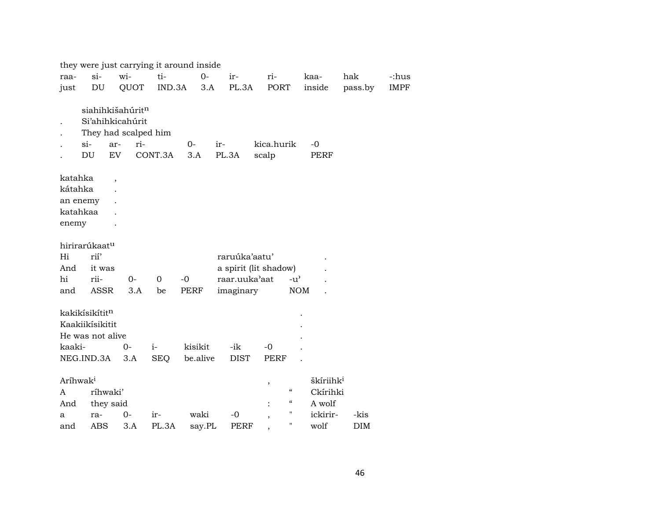|                                                     |                                                                                           |             |                    | they were just carrying it around inside |                                                                      |                     |                                                                                                                          |                    |             |
|-----------------------------------------------------|-------------------------------------------------------------------------------------------|-------------|--------------------|------------------------------------------|----------------------------------------------------------------------|---------------------|--------------------------------------------------------------------------------------------------------------------------|--------------------|-------------|
| raa-                                                | si-                                                                                       | wi-         | ti-                | $0-$                                     | ir-                                                                  | ri-                 | kaa-                                                                                                                     | hak                | -:hus       |
| just                                                | $\mathop{\rm DU}\nolimits$                                                                | QUOT        | IND.3A             | 3.A                                      | PL.3A                                                                | PORT                | inside                                                                                                                   | pass.by            | <b>IMPF</b> |
|                                                     | siahihkišahúritn<br>Si'ahihkicahúrit<br>They had scalped him<br>$\sin$<br>ar-<br>DU<br>EV | ri-         | CONT.3A            | $O -$<br>3.A                             | ir-<br>PL.3A                                                         | kica.hurik<br>scalp | $-0$<br>PERF                                                                                                             |                    |             |
| katahka<br>kátahka<br>an enemy<br>katahkaa<br>enemy | $\overline{\phantom{a}}$                                                                  |             |                    |                                          |                                                                      |                     |                                                                                                                          |                    |             |
| Hi<br>And<br>hi<br>and                              | hirirarúkaat <sup>u</sup><br>rií'<br>it was<br>rii-<br><b>ASSR</b>                        | $0-$<br>3.A | $\mathbf 0$<br>be  | $-0$<br><b>PERF</b>                      | raruúka'aatu'<br>a spirit (lit shadow)<br>raar.uuka'aat<br>imaginary |                     | $-u^{\prime}$<br><b>NOM</b>                                                                                              |                    |             |
| kaaki-                                              | kakikísikítit <sup>n</sup><br>Kaakiikísikitit<br>He was not alive<br>NEG.IND.3A           | $0-$<br>3.A | $i-$<br><b>SEQ</b> | kisikit<br>be.alive                      | -ik<br><b>DIST</b>                                                   | $-0$<br><b>PERF</b> |                                                                                                                          |                    |             |
| Aríhwak <sup>i</sup><br>A<br>And<br>а<br>and        | ríhwaki'<br>they said<br>ra-<br>ABS                                                       | $0-$<br>3.A | ir-<br>PL.3A       | waki<br>say.PL                           | $-0$<br>PERF                                                         | $\, ,$              | škíriihk <sup>i</sup><br>$\boldsymbol{\mathcal{C}}$<br>Ckírihki<br>$\epsilon\epsilon$<br>A wolf<br>ickirir-<br>Ħ<br>wolf | -kis<br><b>DIM</b> |             |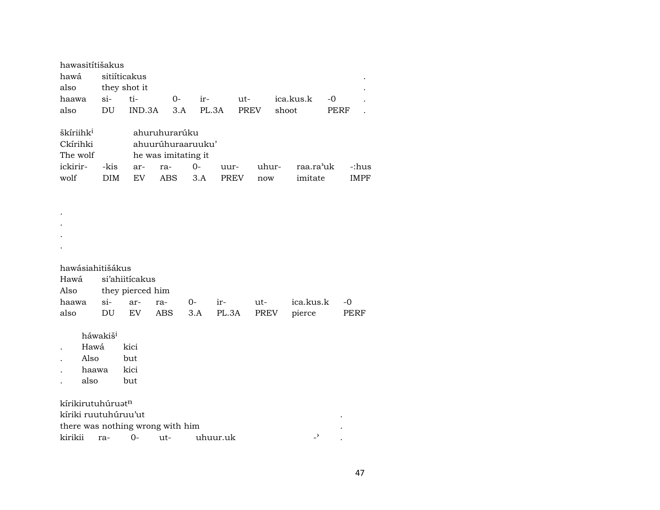| hawasitítišakus<br>hawá<br>also                           |                               |                      | sitiíticakus<br>they shot it     |            |                                                           |       |       |                          |       |       |           |      |             |
|-----------------------------------------------------------|-------------------------------|----------------------|----------------------------------|------------|-----------------------------------------------------------|-------|-------|--------------------------|-------|-------|-----------|------|-------------|
| haawa                                                     |                               | si-                  | ti-                              |            | $0-$                                                      | ir-   |       | ut-                      |       |       | ica.kus.k | $-0$ |             |
| also                                                      |                               | DU                   | IND.3A                           |            | 3.A                                                       | PL.3A |       | <b>PREV</b>              |       | shoot |           | PERF |             |
| škíriihk <sup>i</sup><br>Ckírihki<br>The wolf<br>ickirir- |                               | -kis                 | ar-                              | ra-        | ahuruhurarúku<br>ahuurúhuraaruuku'<br>he was imitating it | $0-$  | uur-  |                          | uhur- |       | raa.ra'uk |      | -:hus       |
| wolf                                                      |                               | <b>DIM</b>           | EV                               | <b>ABS</b> |                                                           | 3.A   | PREV  |                          | now   |       | imitate   |      | <b>IMPF</b> |
|                                                           |                               |                      |                                  |            |                                                           |       |       |                          |       |       |           |      |             |
|                                                           |                               |                      |                                  |            |                                                           |       |       |                          |       |       |           |      |             |
| hawásiahitišákus                                          |                               |                      |                                  |            |                                                           |       |       |                          |       |       |           |      |             |
| Hawá                                                      |                               |                      | si'ahiitícakus                   |            |                                                           |       |       |                          |       |       |           |      |             |
| Also                                                      |                               |                      | they pierced him                 |            |                                                           |       |       |                          |       |       |           |      |             |
| haawa                                                     |                               | si-                  | ar-                              | ra-        | 0-                                                        |       | ir-   |                          | ut-   |       | ica.kus.k |      | -0          |
| also                                                      |                               | DU                   | EV                               | <b>ABS</b> | 3.A                                                       |       | PL.3A |                          | PREV  |       | pierce    |      | PERF        |
|                                                           | Hawá<br>Also<br>haawa<br>also | háwakiš <sup>i</sup> | kici<br>but<br>kici<br>but       |            |                                                           |       |       |                          |       |       |           |      |             |
| kírikirutuhúruat <sup>n</sup>                             |                               |                      |                                  |            |                                                           |       |       |                          |       |       |           |      |             |
| kíriki ruutuhúruu'ut                                      |                               |                      |                                  |            |                                                           |       |       |                          |       |       |           |      |             |
|                                                           |                               |                      | there was nothing wrong with him |            |                                                           |       |       |                          |       |       |           |      |             |
| kirikii<br>$O -$<br>$ut-$<br>uhuur.uk<br>ra-              |                               |                      |                                  |            |                                                           |       |       | $\overline{\phantom{0}}$ |       |       |           |      |             |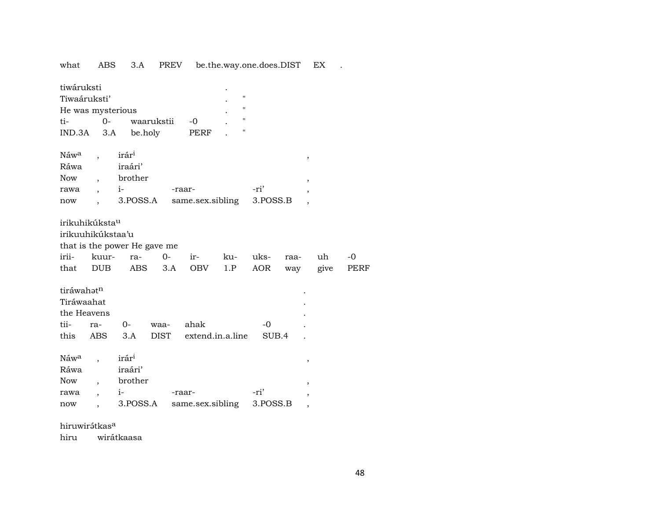3.A PREV be.the.way.one.does.DIST EX . what ABS

| tiwáruksti<br>Tiwaáruksti' |                          |                              |                              |        |                  |     | $\blacksquare$<br>$\pmb{\mathsf{H}}$ |            |      |                          |      |
|----------------------------|--------------------------|------------------------------|------------------------------|--------|------------------|-----|--------------------------------------|------------|------|--------------------------|------|
| He was mysterious          |                          |                              |                              |        |                  |     | $\pmb{\mathsf{H}}$                   |            |      |                          |      |
| ti-                        | $0 -$                    |                              | waarukstii                   |        | $-0$             |     |                                      |            |      |                          |      |
| IND.3A                     | 3.A                      | be.holy                      |                              |        | PERF             |     | 11                                   |            |      |                          |      |
| Náw <sup>a</sup>           | $\overline{\phantom{a}}$ | irár <sup>i</sup>            |                              |        |                  |     |                                      |            |      | ,                        |      |
| Ráwa                       |                          | iraári'                      |                              |        |                  |     |                                      |            |      |                          |      |
| <b>Now</b>                 | $\overline{\phantom{a}}$ | brother                      |                              |        |                  |     |                                      |            |      | ,                        |      |
| rawa                       |                          | $i-$                         |                              | -raar- |                  |     |                                      | -ri'       |      | ,                        |      |
| now                        |                          |                              | 3.POSS.A<br>same.sex.sibling |        |                  |     |                                      | 3.POSS.B   |      | $\overline{ }$           |      |
| irikuhikúksta <sup>u</sup> |                          |                              |                              |        |                  |     |                                      |            |      |                          |      |
| irikuuhikúkstaa'u          |                          |                              |                              |        |                  |     |                                      |            |      |                          |      |
|                            |                          | that is the power He gave me |                              |        |                  |     |                                      |            |      |                          |      |
| irii-                      | kuur-                    | ra-                          | 0-                           |        | ir-              | ku- |                                      | uks-       | raa- |                          | uh   |
| that                       | <b>DUB</b>               | ABS                          |                              | 3.A    | OBV              | 1.P |                                      | <b>AOR</b> | way  |                          | give |
| tiráwahatn                 |                          |                              |                              |        |                  |     |                                      |            |      |                          |      |
| Tiráwaahat                 |                          |                              |                              |        |                  |     |                                      |            |      |                          |      |
| the Heavens                |                          |                              |                              |        |                  |     |                                      |            |      |                          |      |
| tii-                       | ra-                      | $0-$                         | waa-                         |        | ahak             |     |                                      | -0         |      |                          |      |
| this                       | <b>ABS</b>               | 3.A                          | <b>DIST</b>                  |        | extend.in.a.line |     |                                      | SUB.4      |      |                          |      |
| Náw <sup>a</sup>           | $\overline{ }$           | irár <sup>i</sup>            |                              |        |                  |     |                                      |            |      | ,                        |      |
| Ráwa                       |                          | iraári'                      |                              |        |                  |     |                                      |            |      |                          |      |
| <b>Now</b>                 |                          | brother                      |                              |        |                  |     |                                      |            |      | ,                        |      |
| rawa                       |                          | $i-$                         |                              | -raar- |                  |     |                                      | -ri'       |      | ,                        |      |
| now                        |                          | 3.POSS.A                     |                              |        | same.sex.sibling |     |                                      | 3.POSS.B   |      | $\overline{\phantom{a}}$ |      |

hiruwirátkas<sup>a</sup>

hiru wirátkaasa  $-0$ PERF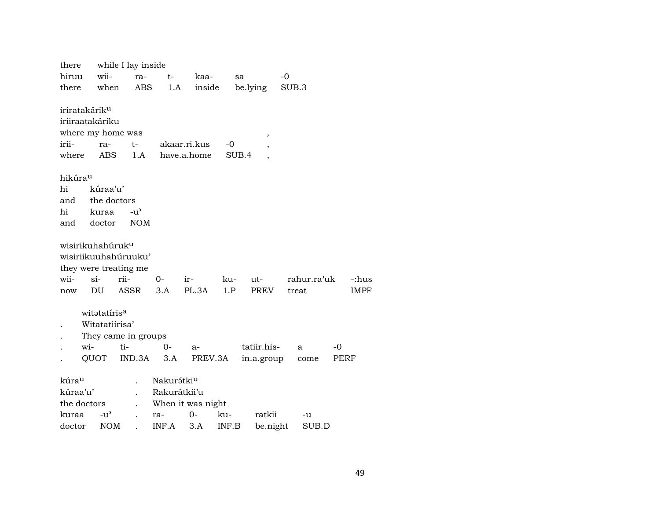| while I lay inside<br>there                                             |                      |
|-------------------------------------------------------------------------|----------------------|
| wii-<br>hiruu<br>$t-$<br>kaa-<br>$-0$<br>ra-<br>sa                      |                      |
| ABS<br>inside<br>be.lying<br>when<br>1.A<br>there<br>SUB.3              |                      |
|                                                                         |                      |
| iriratakárik <sup>u</sup>                                               |                      |
| iriiraatakáriku                                                         |                      |
| where my home was<br>$\,$                                               |                      |
| irii-<br>$t-$<br>akaar.ri.kus<br>$-0$<br>ra-<br>,                       |                      |
| where<br>ABS<br>have.a.home<br>SUB.4<br>1.A<br>$\overline{\phantom{a}}$ |                      |
| hikúra <sup>u</sup>                                                     |                      |
| hi<br>kúraa'u'                                                          |                      |
| the doctors<br>and                                                      |                      |
| hi<br>$-u^{\prime}$<br>kuraa                                            |                      |
| doctor<br><b>NOM</b><br>and                                             |                      |
|                                                                         |                      |
| wisirikuhahúruk <sup>u</sup>                                            |                      |
| wisiriikuuhahúruuku'                                                    |                      |
| they were treating me                                                   |                      |
| $si-$<br>rii-<br>wii-<br>$0-$<br>ku-<br>ir-<br>$ut-$                    | rahur.ra'uk<br>-:hus |
| PL.3A<br>DU<br>ASSR<br>3.A<br>1.P<br>PREV<br>treat<br>now               | <b>IMPF</b>          |
|                                                                         |                      |
| witatiris <sup>a</sup>                                                  |                      |
| Witatatiírisa'                                                          |                      |
| They came in groups                                                     |                      |
| tatiir.his-<br>wi-<br>ti-<br>$0-$<br>a<br>a-                            | -0                   |
| QUOT<br>IND.3A<br>PREV.3A<br>in.a.group<br>3.A                          | PERF<br>come         |
| kúra <sup>u</sup><br>Nakurátki <sup>u</sup>                             |                      |
| kúraa'u'<br>Rakurátkii'u                                                |                      |
| the doctors<br>When it was night                                        |                      |
| $0-$<br>$-u^{\prime}$<br>ratkii<br>kuraa<br>ku-<br>ra-                  | -u                   |
| <b>NOM</b><br>INF.A<br>3.A<br>INF.B<br>be.night<br>doctor               | SUB.D                |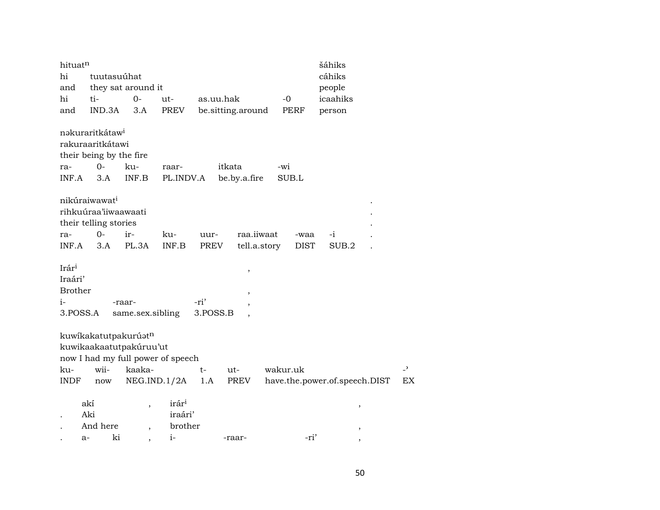| hituatn           |                             |                          |                                   |                           |              |                               | šáhiks   |  |
|-------------------|-----------------------------|--------------------------|-----------------------------------|---------------------------|--------------|-------------------------------|----------|--|
| hi                | tuutasuúhat                 |                          |                                   |                           |              |                               | cáhiks   |  |
| and               |                             | they sat around it       |                                   |                           |              |                               | people   |  |
| hi                | ti-                         | $0-$                     | ut-                               | as.uu.hak                 |              | $-0$                          | icaahiks |  |
| and               | IND.3A                      | 3.A                      | PREV                              | be.sitting.around<br>PERF |              |                               | person   |  |
|                   |                             |                          |                                   |                           |              |                               |          |  |
|                   | nəkuraritkátaw <sup>i</sup> |                          |                                   |                           |              |                               |          |  |
|                   | rakuraaritkátawi            |                          |                                   |                           |              |                               |          |  |
|                   | their being by the fire     |                          |                                   |                           |              |                               |          |  |
|                   |                             |                          |                                   |                           |              |                               |          |  |
| ra-               | $0-$                        | ku-                      | raar-                             |                           | itkata       | -wi                           |          |  |
| INF.A             | 3.A                         | INF.B                    | PL.INDV.A                         |                           | be.by.a.fire | SUB.L                         |          |  |
|                   |                             |                          |                                   |                           |              |                               |          |  |
|                   | nikúraiwawat <sup>i</sup>   |                          |                                   |                           |              |                               |          |  |
|                   | rihkuúraa'iiwaawaati        |                          |                                   |                           |              |                               |          |  |
|                   | their telling stories       |                          |                                   |                           |              |                               |          |  |
| ra-               | $0-$                        | ir-                      | ku-                               | uur-                      | raa.iiwaat   | -waa                          | $-i$     |  |
| INF.A             | 3.A                         | PL.3A                    | INF.B                             | PREV                      | tell.a.story | <b>DIST</b>                   | SUB.2    |  |
|                   |                             |                          |                                   |                           |              |                               |          |  |
| Irár <sup>i</sup> |                             |                          |                                   |                           | ,            |                               |          |  |
| Iraári'           |                             |                          |                                   |                           |              |                               |          |  |
| <b>Brother</b>    |                             |                          |                                   |                           |              |                               |          |  |
| $i-$              |                             | -raar-                   |                                   | -ri'                      | ,            |                               |          |  |
| 3.POSS.A          |                             | same.sex.sibling         |                                   | 3.POSS.B                  |              |                               |          |  |
|                   |                             |                          |                                   |                           |              |                               |          |  |
|                   |                             |                          |                                   |                           |              |                               |          |  |
|                   | kuwikakatutpakurúatn        |                          |                                   |                           |              |                               |          |  |
|                   | kuwikaakaatutpakúruu'ut     |                          |                                   |                           |              |                               |          |  |
|                   |                             |                          | now I had my full power of speech |                           |              |                               |          |  |
| ku-               | wii-                        | kaaka-                   |                                   | t-                        | ut-          | wakur.uk                      |          |  |
| INDF              | now                         |                          | NEG.IND.1/2A                      | 1.A                       | PREV         | have.the.power.of.speech.DIST |          |  |
|                   |                             |                          |                                   |                           |              |                               |          |  |
|                   | akí                         | $\,$                     | irár <sup>i</sup>                 |                           |              |                               | ,        |  |
|                   | Aki                         |                          | iraári'                           |                           |              |                               |          |  |
|                   | And here                    |                          | brother                           |                           |              |                               | $\,$     |  |
|                   | ki<br>a-                    | $\overline{\phantom{a}}$ | $i-$                              |                           | -raar-       | -ri'                          | $\cdot$  |  |
|                   |                             |                          |                                   |                           |              |                               |          |  |

 $\rightarrow$  $\mathop{\rm EX}\nolimits$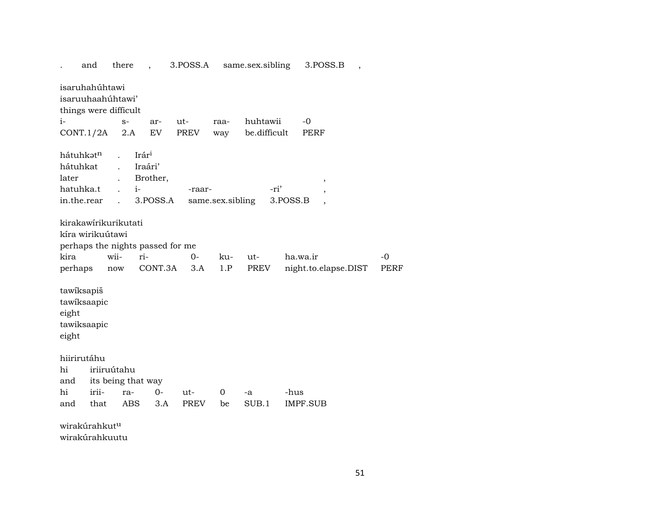. and there , 3.POSS.A same.sex.sibling 3.POSS.B , isaruhahúhtawi isaruuhaahúhtawi' things were difficult i- s- ar- ut- raa- huhtawii -0 CONT.1/2A 2.A EV PREV way be.difficult PERF hátuhkət<sup>n</sup> . Irár<sup>i</sup> hátuhkat . Iraári' later . Brother, , hatuhka.t . i- -raar- -ri' , in.the.rear . 3.POSS.A same.sex.sibling 3.POSS.B , kirakawírikurikutati kíra wirikuútawi perhaps the nights passed for me kira wii- ri- 0- ku- ut- ha.wa.ir -0 perhaps now CONT.3A 3.A 1.P PREV night.to.elapse.DIST PERF tawíksapiš tawíksaapic eight tawiksaapic eight hiirirutáhu hi iriiruútahu and its being that way hi irii- ra- 0- ut- 0 -a -hus and that ABS 3.A PREV be SUB.1 IMPF.SUB wirakúrahkutµ wirakúrahkuutu

51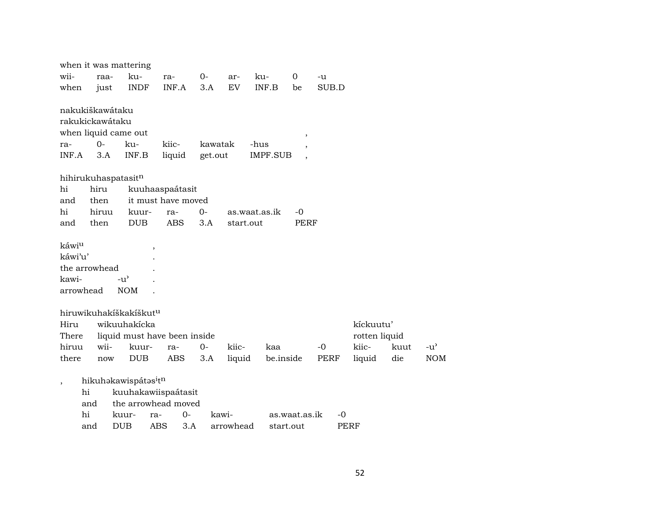|         | when it was mattering              |            |                                              |                              |            |         |           |           |                 |                          |       |               |      |                                     |
|---------|------------------------------------|------------|----------------------------------------------|------------------------------|------------|---------|-----------|-----------|-----------------|--------------------------|-------|---------------|------|-------------------------------------|
| wii-    | raa-                               |            | ku-                                          | ra-                          |            | $0-$    | ar-       | ku-       |                 | $\mathbf 0$              | -u    |               |      |                                     |
| when    | just                               |            | <b>INDF</b>                                  | INF.A                        |            | 3.A     | EV        |           | INF.B           | be                       | SUB.D |               |      |                                     |
|         |                                    |            |                                              |                              |            |         |           |           |                 |                          |       |               |      |                                     |
|         | nakukiškawátaku                    |            |                                              |                              |            |         |           |           |                 |                          |       |               |      |                                     |
|         | rakukickawátaku                    |            |                                              |                              |            |         |           |           |                 |                          |       |               |      |                                     |
|         | when liquid came out               |            |                                              |                              |            |         |           |           |                 | $\overline{\phantom{a}}$ |       |               |      |                                     |
| ra-     | $0-$                               |            | ku-                                          | kiic-                        |            | kawatak |           | -hus      |                 |                          |       |               |      |                                     |
| INF.A   | 3.A                                |            | $\textsf{INF}.\textsf{B}$                    | liquid                       |            | get.out |           |           | <b>IMPF.SUB</b> | $\overline{\phantom{a}}$ |       |               |      |                                     |
|         |                                    |            |                                              |                              |            |         |           |           |                 |                          |       |               |      |                                     |
|         | hihirukuhaspatasitn                |            |                                              |                              |            |         |           |           |                 |                          |       |               |      |                                     |
| hi      | hiru                               |            |                                              | kuuhaaspaátasit              |            |         |           |           |                 |                          |       |               |      |                                     |
| and     | then                               |            |                                              | it must have moved           |            |         |           |           |                 |                          |       |               |      |                                     |
| hi      | hiruu                              |            | kuur-                                        | ra-                          |            | $0-$    |           |           | as.waat.as.ik   | $-0$                     |       |               |      |                                     |
| and     | then                               |            | <b>DUB</b>                                   | <b>ABS</b>                   |            | 3.A     |           | start.out |                 | <b>PERF</b>              |       |               |      |                                     |
|         |                                    |            |                                              |                              |            |         |           |           |                 |                          |       |               |      |                                     |
| káwiu   |                                    |            |                                              | $\, ,$                       |            |         |           |           |                 |                          |       |               |      |                                     |
| káwi'u' |                                    |            |                                              |                              |            |         |           |           |                 |                          |       |               |      |                                     |
|         | the arrowhead                      |            |                                              |                              |            |         |           |           |                 |                          |       |               |      |                                     |
| kawi-   |                                    |            | $-u^{\prime}$                                |                              |            |         |           |           |                 |                          |       |               |      |                                     |
|         | arrowhead                          |            | <b>NOM</b>                                   |                              |            |         |           |           |                 |                          |       |               |      |                                     |
|         |                                    |            |                                              |                              |            |         |           |           |                 |                          |       |               |      |                                     |
|         | hiruwikuhakíškakíškut <sup>u</sup> |            |                                              |                              |            |         |           |           |                 |                          |       |               |      |                                     |
| Hiru    |                                    |            | wikuuhakícka                                 |                              |            |         |           |           |                 |                          |       | kíckuutu'     |      |                                     |
| There   |                                    |            |                                              | liquid must have been inside |            |         |           |           |                 |                          |       | rotten liquid |      |                                     |
| hiruu   | wii-                               |            | kuur-                                        | ra-                          |            | $O -$   | kiic-     |           | kaa             |                          | $-0$  | kiic-         | kuut | $-u$ <sup><math>\prime</math></sup> |
| there   | now                                |            | <b>DUB</b>                                   |                              | <b>ABS</b> | 3.A     | liquid    |           | be.inside       |                          | PERF  | liquid        | die  | <b>NOM</b>                          |
|         |                                    |            |                                              |                              |            |         |           |           |                 |                          |       |               |      |                                     |
| $\cdot$ |                                    |            | hikuhakawispátas <sup>i</sup> t <sup>n</sup> |                              |            |         |           |           |                 |                          |       |               |      |                                     |
|         | hi                                 |            |                                              | kuuhakawiispaátasit          |            |         |           |           |                 |                          |       |               |      |                                     |
|         | and                                |            |                                              | the arrowhead moved          |            |         |           |           |                 |                          |       |               |      |                                     |
|         | hi                                 |            | kuur-                                        | ra-                          | 0-         | kawi-   |           |           |                 | as.waat.as.ik            | -0    |               |      |                                     |
|         | and                                | <b>DUB</b> |                                              | <b>ABS</b>                   | 3.A        |         | arrowhead |           | start.out       |                          |       | PERF          |      |                                     |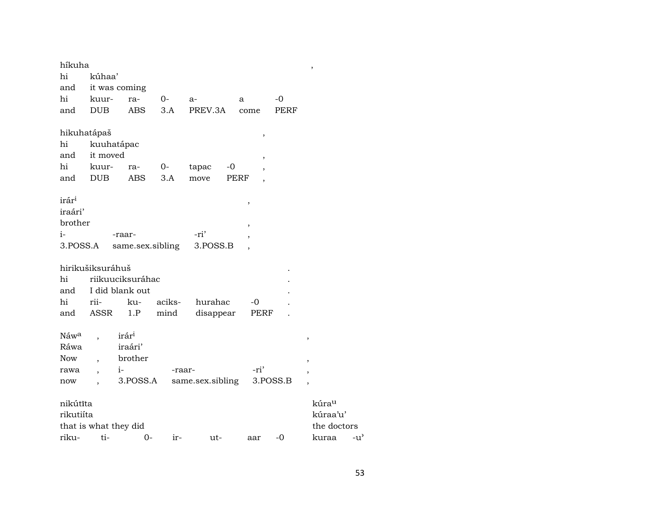| híkuha                       |                          |                   |        |                  |                          |          | ,                                            |
|------------------------------|--------------------------|-------------------|--------|------------------|--------------------------|----------|----------------------------------------------|
| hi                           | kúhaa'                   |                   |        |                  |                          |          |                                              |
| and                          | it was coming            |                   |        |                  |                          |          |                                              |
| hi                           | kuur-                    | ra-               | $0-$   | $a-$             | a                        | -0       |                                              |
| and                          | <b>DUB</b>               | ABS               | 3.A    | PREV.3A          | come                     | PERF     |                                              |
| hikuhatápaš                  |                          |                   |        |                  | $\,$                     |          |                                              |
| hi                           | kuuhatápac               |                   |        |                  |                          |          |                                              |
| and                          | it moved                 |                   |        |                  | ,                        |          |                                              |
| hi                           | kuur-                    | ra-               | $0 -$  | tapac<br>-0      |                          |          |                                              |
| and                          | <b>DUB</b>               | <b>ABS</b>        | 3.A    | move             | <b>PERF</b>              |          |                                              |
| irár <sup>i</sup><br>iraári' |                          |                   |        |                  | ,                        |          |                                              |
| brother                      |                          |                   |        |                  | $\overline{\phantom{a}}$ |          |                                              |
| $i-$                         |                          | -raar-            |        | -ri'             |                          |          |                                              |
| 3.POSS.A                     |                          | same.sex.sibling  |        | 3.POSS.B         |                          |          |                                              |
|                              | hirikušiksuráhuš         |                   |        |                  |                          |          |                                              |
| hi                           |                          | riikuuciksuráhac  |        |                  |                          |          |                                              |
| and                          |                          | I did blank out   |        |                  |                          |          |                                              |
| hi                           | rii-                     | ku-               | aciks- | hurahac          | $-0$                     |          |                                              |
| and                          | ASSR                     | 1.P               | mind   | disappear        | PERF                     |          |                                              |
|                              |                          | irár <sup>i</sup> |        |                  |                          |          |                                              |
| Náw <sup>a</sup><br>Ráwa     |                          | iraári'           |        |                  |                          |          | ,                                            |
| Now                          |                          | brother           |        |                  |                          |          |                                              |
| rawa                         |                          | $i-$              | -raar- |                  | -ri'                     |          | ,                                            |
| now                          | $\overline{\phantom{a}}$ | 3.POSS.A          |        | same.sex.sibling |                          | 3.POSS.B | ,                                            |
|                              |                          |                   |        |                  |                          |          |                                              |
| nikútīta                     |                          |                   |        |                  |                          |          | kúra <sup>u</sup>                            |
| rikutiíta                    |                          |                   |        |                  |                          |          | kúraa'u'                                     |
|                              | that is what they did    |                   |        |                  |                          |          | the doctors                                  |
| riku-                        | ti-                      | 0-                | ir-    | ut-              | aar                      | $-0$     | $-u$ <sup><math>\prime</math></sup><br>kuraa |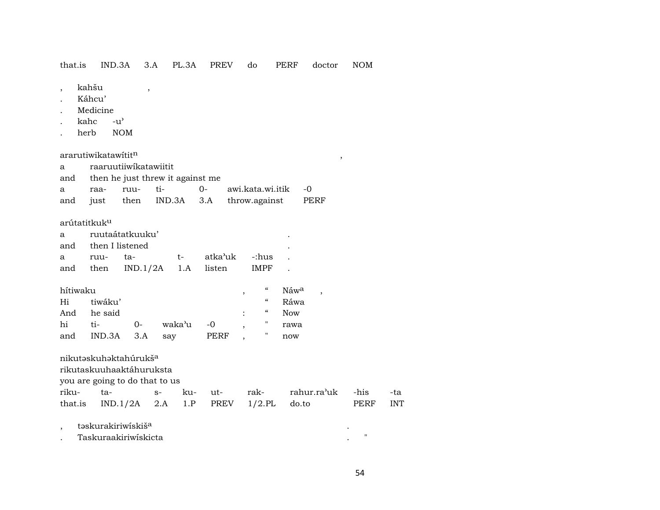that.is IND.3A 3.A PL.3A PREV **PERF** do doctor **NOM** 

kahšu  $\overline{\phantom{a}}$ 

 $\overline{\phantom{a}}$ 

- Káhcu'
- Medicine
- kahc  $-u^{\prime}$  $\ddot{\phantom{a}}$
- **NOM** herb

ararutiwikatawititn

| a raaruutiiwikatawiitit              |  |  |  |                                             |  |  |  |  |  |
|--------------------------------------|--|--|--|---------------------------------------------|--|--|--|--|--|
| and then he just threw it against me |  |  |  |                                             |  |  |  |  |  |
|                                      |  |  |  | a raa- ruu- ti-  0- awi.kata.wi.itik -0     |  |  |  |  |  |
|                                      |  |  |  | and just then IND.3A 3.A throw.against PERF |  |  |  |  |  |
|                                      |  |  |  |                                             |  |  |  |  |  |

|                   |            | a ruutaátatkuuku'                 |  |               |            |                  |  |  |  |  |  |  |
|-------------------|------------|-----------------------------------|--|---------------|------------|------------------|--|--|--|--|--|--|
|                   |            | and then I listened               |  |               |            |                  |  |  |  |  |  |  |
| $a \qquad \qquad$ | ruu-       | $t -$<br>ta-                      |  | atka'uk -:hus |            |                  |  |  |  |  |  |  |
|                   |            | and then IND.1/2A 1.A listen IMPF |  |               |            |                  |  |  |  |  |  |  |
|                   |            |                                   |  |               |            |                  |  |  |  |  |  |  |
| hítiwaku          |            |                                   |  |               | $\mu$      | Náw <sup>a</sup> |  |  |  |  |  |  |
|                   | Hi tiwáku' |                                   |  |               | $\epsilon$ | Ráwa             |  |  |  |  |  |  |

| . | uwana       |                                |  | wavva        |
|---|-------------|--------------------------------|--|--------------|
|   | And he said |                                |  | $\cdot$ "Now |
|   |             |                                |  |              |
|   |             | and IND.3A 3.A say PERF, " now |  |              |

nikutəskuhəktahúrukš<sup>a</sup>

rikutaskuuhaaktáhuruksta

you are going to do that to us

|  |  |  | riku- ta-   s- ku- ut- rak- rahur.ra'uk -his -ta    |  |
|--|--|--|-----------------------------------------------------|--|
|  |  |  | that.is IND.1/2A 2.A 1.P PREV 1/2.PL do.to PERF INT |  |

təskurakiriwiskiš<sup>a</sup>  $\cdot$ 

| Taskuraakiriwiskicta |  |
|----------------------|--|
|                      |  |

 $\langle \cdot \rangle$ 

 $\rightarrow$ 

 $\,$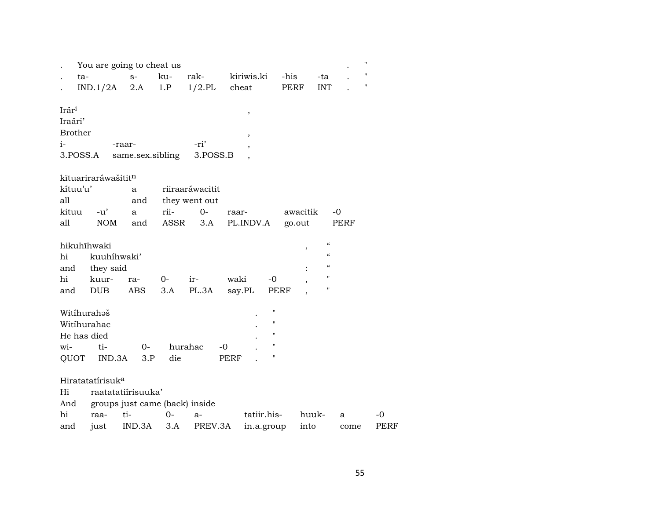|                                                                    |     | You are going to cheat us    |                    |                  |                                |       |                              |                    |                   |      |                            |      | $\pmb{\mathsf{H}}$ |
|--------------------------------------------------------------------|-----|------------------------------|--------------------|------------------|--------------------------------|-------|------------------------------|--------------------|-------------------|------|----------------------------|------|--------------------|
|                                                                    | ta- |                              | $S-$               | ku-              | rak-                           |       | kiriwis.ki                   |                    | -his              |      | -ta                        |      | "                  |
|                                                                    |     | IND.1/2A                     | 2.A                | 1.P              | $1/2$ .PL                      | cheat |                              |                    | PERF              |      | <b>INT</b>                 |      | $\pmb{\mathsf{H}}$ |
| Irár <sup>i</sup><br>Iraári'<br><b>Brother</b><br>$i-$<br>3.POSS.A |     |                              | -raar-             | same.sex.sibling | -ri'<br>3.POSS.B               |       | $^\mathrm{^\mathrm{o}}$<br>, |                    |                   |      |                            |      |                    |
|                                                                    |     | kītuariraráwašititn          |                    |                  |                                |       |                              |                    |                   |      |                            |      |                    |
| kítuu'u'                                                           |     |                              | a                  |                  | riiraaráwacitit                |       |                              |                    |                   |      |                            |      |                    |
| all                                                                |     |                              | and                |                  | they went out                  |       |                              |                    |                   |      |                            |      |                    |
| kituu                                                              |     | $-u'$                        | a                  | rii-             | $0-$                           | raar- |                              |                    | awacitik          |      |                            | -0   |                    |
| all                                                                |     | <b>NOM</b>                   | and                | ASSR             | 3.A                            |       | PL.INDV.A                    |                    | go.out            |      |                            | PERF |                    |
|                                                                    |     |                              |                    |                  |                                |       |                              |                    |                   |      |                            |      |                    |
|                                                                    |     | hikuhĩhwaki                  |                    |                  |                                |       |                              |                    |                   |      | $\boldsymbol{\mathcal{C}}$ |      |                    |
| hi                                                                 |     | kuuhihwaki'                  |                    |                  |                                |       |                              |                    | ,                 |      | $\epsilon\epsilon$         |      |                    |
| and                                                                |     | they said                    |                    |                  |                                |       |                              |                    |                   |      | $\pmb{\zeta}\pmb{\zeta}$   |      |                    |
| hi                                                                 |     | kuur-                        | ra-                | $0-$             | ir-                            | waki  |                              | -0                 | ,                 |      | $\pmb{\mathsf{H}}$         |      |                    |
| and                                                                |     | DUB                          | ABS                | 3.A              | PL.3A                          |       | say.PL                       | PERF               |                   |      | $\pmb{\mathsf{H}}$         |      |                    |
|                                                                    |     |                              |                    |                  |                                |       |                              |                    |                   |      |                            |      |                    |
|                                                                    |     | Witíhurahəš                  |                    |                  |                                |       |                              | $\pmb{\mathsf{H}}$ |                   |      |                            |      |                    |
|                                                                    |     | Witihurahac                  |                    |                  |                                |       |                              | $\pmb{\mathsf{H}}$ |                   |      |                            |      |                    |
|                                                                    |     | He has died                  |                    |                  |                                |       |                              | $\pmb{\mathsf{H}}$ |                   |      |                            |      |                    |
| wi-                                                                |     | ti-                          | $0-$               |                  | hurahac                        | $-0$  |                              | $\pmb{\mathsf{H}}$ |                   |      |                            |      |                    |
| QUOT                                                               |     | IND.3A                       | 3.P                | die              |                                | PERF  |                              | Н                  |                   |      |                            |      |                    |
| Hi<br>And                                                          |     | Hiratatatírisuk <sup>a</sup> | raatatatiirisuuka' |                  | groups just came (back) inside |       |                              |                    |                   |      |                            |      |                    |
| $\hbox{hi}$                                                        |     | raa-                         | $ti-$              | $0-$             | a-                             |       |                              |                    | tatiir.his- huuk- |      |                            | a    | -0                 |
| and                                                                |     | just                         | IND.3A             | 3.A              | PREV.3A                        |       | in.a.group                   |                    |                   | into |                            | come | <b>PERF</b>        |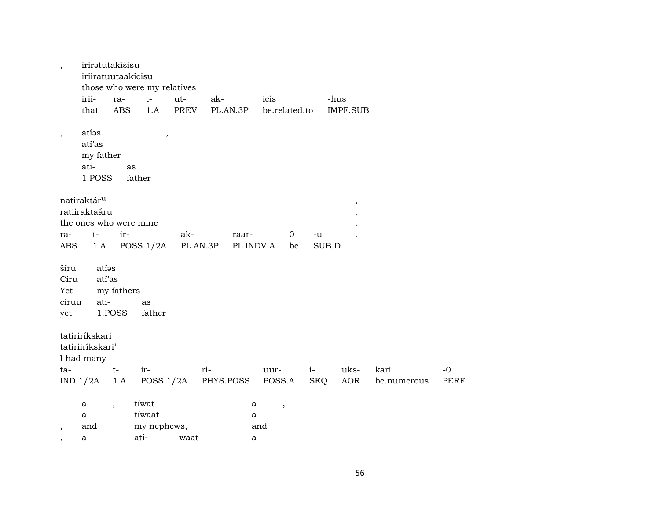| $\overline{\phantom{a}}$ |                         | irirətutakišisu          |                             |             |           |                          |            |                         |             |             |
|--------------------------|-------------------------|--------------------------|-----------------------------|-------------|-----------|--------------------------|------------|-------------------------|-------------|-------------|
|                          |                         | iriiratuutaakícisu       |                             |             |           |                          |            |                         |             |             |
|                          |                         |                          | those who were my relatives |             |           |                          |            |                         |             |             |
|                          | irii-                   | ra-                      | $t-$                        | ut-         | ak-       | icis                     |            | -hus                    |             |             |
|                          | that                    | <b>ABS</b>               | 1.A                         | <b>PREV</b> | PL.AN.3P  | be.related.to            |            | <b>IMPF.SUB</b>         |             |             |
|                          |                         |                          |                             |             |           |                          |            |                         |             |             |
| $\,$                     | atíos                   |                          | $\, ,$                      |             |           |                          |            |                         |             |             |
|                          | atí'as                  |                          |                             |             |           |                          |            |                         |             |             |
|                          | my father               |                          |                             |             |           |                          |            |                         |             |             |
|                          | ati-                    | as                       |                             |             |           |                          |            |                         |             |             |
|                          | 1.POSS                  |                          | father                      |             |           |                          |            |                         |             |             |
|                          |                         |                          |                             |             |           |                          |            |                         |             |             |
|                          | natiraktár <sup>u</sup> |                          |                             |             |           |                          |            | $^\mathrm{^\mathrm{o}}$ |             |             |
|                          | ratiiraktaáru           |                          |                             |             |           |                          |            |                         |             |             |
|                          | the ones who were mine  |                          |                             |             |           |                          |            |                         |             |             |
| ra-                      | $t-$                    | ir-                      |                             | ak-         | raar-     | $\mathbf 0$              | -u         |                         |             |             |
| ABS                      | 1.A                     |                          | POSS.1/2A                   | PL.AN.3P    |           | PL.INDV.A<br>be          |            | SUB.D                   |             |             |
|                          |                         | atías                    |                             |             |           |                          |            |                         |             |             |
| šíru<br>Ciru             |                         | atí'as                   |                             |             |           |                          |            |                         |             |             |
| Yet                      |                         |                          |                             |             |           |                          |            |                         |             |             |
|                          | ati-                    | my fathers               |                             |             |           |                          |            |                         |             |             |
| ciruu                    |                         | 1.POSS                   | as<br>father                |             |           |                          |            |                         |             |             |
| yet                      |                         |                          |                             |             |           |                          |            |                         |             |             |
|                          | tatiriríkskari          |                          |                             |             |           |                          |            |                         |             |             |
|                          | tatiriiríkskari'        |                          |                             |             |           |                          |            |                         |             |             |
|                          |                         |                          |                             |             |           |                          |            |                         |             |             |
| ta-                      | I had many              | $t-$                     | ir-                         |             | ri-       | uur-                     | $i-$       | uks-                    | kari        | $-0$        |
|                          | IND.1/2A                | 1.A                      | POSS.1/2A                   |             | PHYS.POSS | POSS.A                   | <b>SEQ</b> | AOR                     | be.numerous | <b>PERF</b> |
|                          |                         |                          |                             |             |           |                          |            |                         |             |             |
|                          | a                       |                          | tíwat                       |             |           | $\mathbf{a}$             |            |                         |             |             |
|                          | a                       | $\overline{\phantom{a}}$ | tíwaat                      |             |           | $\overline{\phantom{a}}$ |            |                         |             |             |
|                          | and                     |                          | my nephews,                 |             |           | a<br>and                 |            |                         |             |             |
|                          |                         |                          | ati-                        | waat        |           |                          |            |                         |             |             |
| $\overline{\phantom{a}}$ | a                       |                          |                             |             |           | a                        |            |                         |             |             |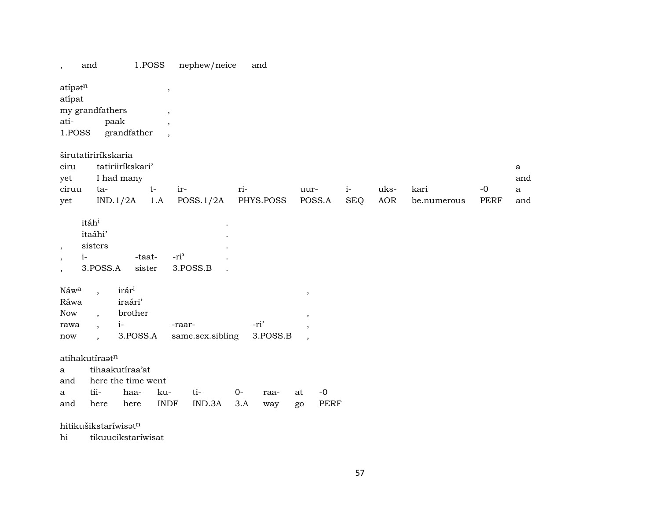| $^\mathrm{,}$                                              | and                                                                                                          |                                                             | 1.POSS                                                                       | nephew/neice               |      | and              |                                                                |             |                    |             |                     |                     |                                 |
|------------------------------------------------------------|--------------------------------------------------------------------------------------------------------------|-------------------------------------------------------------|------------------------------------------------------------------------------|----------------------------|------|------------------|----------------------------------------------------------------|-------------|--------------------|-------------|---------------------|---------------------|---------------------------------|
| atípatn<br>atipat<br>ati-<br>1.POSS                        | my grandfathers                                                                                              | paak<br>grandfather                                         | $^\mathrm{,}$<br>$\overline{\phantom{a}}$<br>$\cdot$<br>$\ddot{\phantom{0}}$ |                            |      |                  |                                                                |             |                    |             |                     |                     |                                 |
| ciru<br>yet<br>ciruu<br>yet                                | širutatiriríkskaria<br>ta-                                                                                   | tatiriiríkskari'<br>I had many<br>IND.1/2A                  | $t-$<br>ir-<br>1.A                                                           | POSS.1/2A                  | ri-  | PHYS.POSS        | uur-<br>POSS.A                                                 |             | $i-$<br><b>SEQ</b> | uks-<br>AOR | kari<br>be.numerous | $-0$<br><b>PERF</b> | a<br>and<br>$\mathbf{a}$<br>and |
| $\,$<br>$i-$<br>$\cdot$<br>$\overline{\phantom{a}}$        | itáh <sup>i</sup><br>itaáhi'<br>sisters<br>3.POSS.A                                                          | -taat-<br>sister                                            | -ri <sup>3</sup>                                                             | 3.POSS.B                   |      |                  |                                                                |             |                    |             |                     |                     |                                 |
| Náwa<br>Ráwa<br><b>Now</b><br>rawa<br>$\operatorname{now}$ | $\overline{\phantom{a}}$<br>$\overline{\phantom{a}}$<br>$\overline{\phantom{a}}$<br>$\overline{\phantom{a}}$ | irár <sup>i</sup><br>iraári'<br>brother<br>$i-$<br>3.POSS.A |                                                                              | -raar-<br>same.sex.sibling |      | -ri'<br>3.POSS.B | $\, ,$<br>$^\mathrm{,}$<br>$\cdot$<br>$\overline{\phantom{a}}$ |             |                    |             |                     |                     |                                 |
| a<br>and<br>a                                              | atihakutíraatn<br>tii-                                                                                       | tihaakutíraa'at<br>here the time went<br>haa-               | ku-                                                                          | ti-                        | $0-$ | raa-             | at                                                             | $-0$        |                    |             |                     |                     |                                 |
| and                                                        | here                                                                                                         | here<br>hitikušikstaríwisatn                                | <b>INDF</b>                                                                  | IND.3A                     | 3.A  | way              | go                                                             | <b>PERF</b> |                    |             |                     |                     |                                 |

 $\hbox{hi}$ tikuucikstaríwisat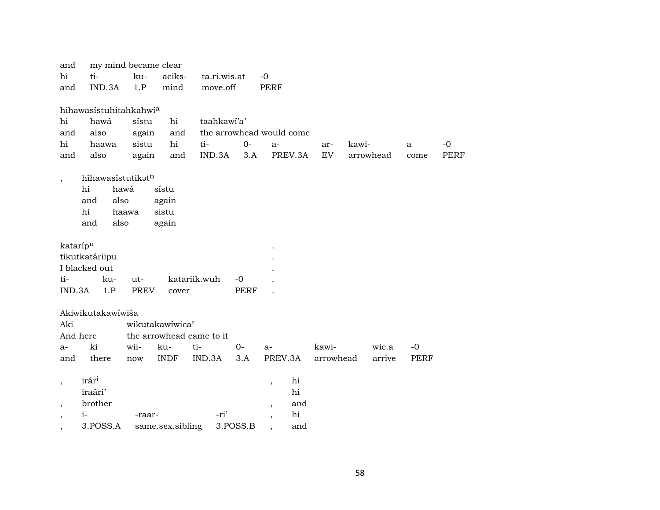| and                      | my mind became clear   |             |                    |                                 |             |                                 |           |           |             |             |
|--------------------------|------------------------|-------------|--------------------|---------------------------------|-------------|---------------------------------|-----------|-----------|-------------|-------------|
| hi                       | ti-                    | ku-         | aciks-             | ta.ri.wis.at                    |             | $-0$                            |           |           |             |             |
| and                      | IND.3A                 | 1.P         | mind               | move.off                        |             | <b>PERF</b>                     |           |           |             |             |
|                          |                        |             |                    |                                 |             |                                 |           |           |             |             |
|                          | hihawasistuhitahkahwia |             |                    |                                 |             |                                 |           |           |             |             |
| hi                       | hawá                   | sístu       | hi                 | taahkawi'a'                     |             |                                 |           |           |             |             |
| and                      | also                   | again       | and                |                                 |             | the arrowhead would come        |           |           |             |             |
| hi                       | haawa                  | sistu       | hi                 | ti-                             | $0-$        | $a-$                            | ar-       | kawi-     | a           | $-0$        |
| and                      | also                   | again       | and                | IND.3A                          | 3.A         | PREV.3A                         | EV        | arrowhead | come        | <b>PERF</b> |
|                          | híhawasístutikatn      |             |                    |                                 |             |                                 |           |           |             |             |
| $\overline{\phantom{a}}$ | hi                     | hawá        | sístu              |                                 |             |                                 |           |           |             |             |
|                          | and<br>also            |             | again              |                                 |             |                                 |           |           |             |             |
|                          | hi                     | haawa       | sistu              |                                 |             |                                 |           |           |             |             |
|                          | and<br>also            |             | again              |                                 |             |                                 |           |           |             |             |
|                          |                        |             |                    |                                 |             |                                 |           |           |             |             |
| katarípu                 |                        |             |                    |                                 |             |                                 |           |           |             |             |
|                          | tikutkatáriipu         |             |                    |                                 |             |                                 |           |           |             |             |
|                          | I blacked out          |             |                    |                                 |             |                                 |           |           |             |             |
| ti-                      | ku-                    | $ut-$       |                    | katariik.wuh                    | $-0$        |                                 |           |           |             |             |
| IND.3A                   | 1.P                    | <b>PREV</b> | cover              |                                 | <b>PERF</b> |                                 |           |           |             |             |
|                          |                        |             |                    |                                 |             |                                 |           |           |             |             |
|                          | Akiwikutakawíwiša      |             |                    |                                 |             |                                 |           |           |             |             |
| Aki                      |                        |             | wikutakawiwica'    |                                 |             |                                 |           |           |             |             |
| And here                 | ki                     | wii-        |                    | the arrowhead came to it<br>ti- | $0 -$       |                                 | kawi-     | wic.a     | $-0$        |             |
| $a-$<br>and              | there                  | now         | ku-<br><b>INDF</b> | IND.3A                          | 3.A         | $a-$<br>PREV.3A                 | arrowhead | arrive    | <b>PERF</b> |             |
|                          |                        |             |                    |                                 |             |                                 |           |           |             |             |
| $\cdot$                  | irári                  |             |                    |                                 |             | hi<br>$\, ,$                    |           |           |             |             |
|                          | iraári'                |             |                    |                                 |             | hi                              |           |           |             |             |
| $\overline{ }$           | brother                |             |                    |                                 |             | and<br>$\overline{\phantom{a}}$ |           |           |             |             |
| $\overline{\phantom{a}}$ | $i-$                   | -raar-      |                    | -ri'                            |             | hi<br>$\overline{\phantom{a}}$  |           |           |             |             |
|                          | 3.POSS.A               |             | same.sex.sibling   |                                 | 3.POSS.B    | and                             |           |           |             |             |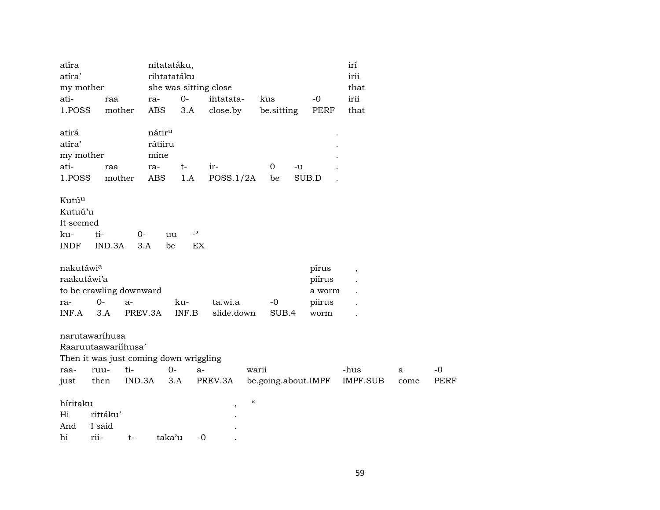| atíra             |                                        |         | nitatatáku,        |                |                       |                     |    |        | irí             |      |             |
|-------------------|----------------------------------------|---------|--------------------|----------------|-----------------------|---------------------|----|--------|-----------------|------|-------------|
| atíra'            |                                        |         | rihtatatáku        |                |                       |                     |    |        | irii            |      |             |
| my mother         |                                        |         |                    |                | she was sitting close |                     |    |        | that            |      |             |
| ati-              | raa                                    |         | ra-                | $0-$           | ihtatata-             | kus                 |    | $-0$   | irii            |      |             |
| 1.POSS            | mother                                 |         | ABS                | 3.A            | close.by              | be.sitting          |    | PERF   | that            |      |             |
| atirá             |                                        |         | nátir <sup>u</sup> |                |                       |                     |    |        |                 |      |             |
| atíra'            |                                        |         | rátiiru            |                |                       |                     |    |        |                 |      |             |
| my mother         |                                        |         | mine               |                |                       |                     |    |        |                 |      |             |
| ati-              | raa                                    |         | ra-                | $t-$           | ir-                   | $\mathbf 0$         | -u |        |                 |      |             |
| 1.POSS            | mother                                 |         | ABS                | 1.A            | POSS.1/2A             | be                  |    | SUB.D  |                 |      |             |
| Kutú <sup>u</sup> |                                        |         |                    |                |                       |                     |    |        |                 |      |             |
| Kutuú'u           |                                        |         |                    |                |                       |                     |    |        |                 |      |             |
| It seemed         |                                        |         |                    |                |                       |                     |    |        |                 |      |             |
| ku-               | ti-                                    | $0-$    | uu                 | $\overline{a}$ |                       |                     |    |        |                 |      |             |
| <b>INDF</b>       | IND.3A                                 | 3.A     | be                 | EX             |                       |                     |    |        |                 |      |             |
|                   |                                        |         |                    |                |                       |                     |    |        |                 |      |             |
| nakutáwia         |                                        |         |                    |                |                       |                     |    | pírus  |                 |      |             |
| raakutáwi'a       |                                        |         |                    |                |                       |                     |    | piírus |                 |      |             |
|                   | to be crawling downward                |         |                    |                |                       |                     |    | a worm |                 |      |             |
| ra-               | $0-$                                   | $a-$    |                    | ku-            | ta.wi.a               | $-0$                |    | piirus |                 |      |             |
| INF.A             | 3.A                                    | PREV.3A |                    | INF.B          | slide.down            | SUB.4               |    | worm   |                 |      |             |
|                   | narutawaríhusa                         |         |                    |                |                       |                     |    |        |                 |      |             |
|                   | Raaruutaawariihusa'                    |         |                    |                |                       |                     |    |        |                 |      |             |
|                   | Then it was just coming down wriggling |         |                    |                |                       |                     |    |        |                 |      |             |
| raa-              | ruu-                                   | ti-     | $0-$               | $a-$           |                       | warii               |    |        | -hus            | a    | $-0$        |
| just              | then                                   | IND.3A  |                    | 3.A            | PREV.3A               | be.going.about.IMPF |    |        | <b>IMPF.SUB</b> | come | <b>PERF</b> |
| híritaku          |                                        |         |                    |                |                       | $\zeta\zeta$        |    |        |                 |      |             |
| Hi                | rittáku'                               |         |                    |                | ,                     |                     |    |        |                 |      |             |
|                   | I said                                 |         |                    |                |                       |                     |    |        |                 |      |             |
| And               |                                        |         |                    |                |                       |                     |    |        |                 |      |             |
| hi                | rii-                                   | $t-$    | taka'u             | $-0$           |                       |                     |    |        |                 |      |             |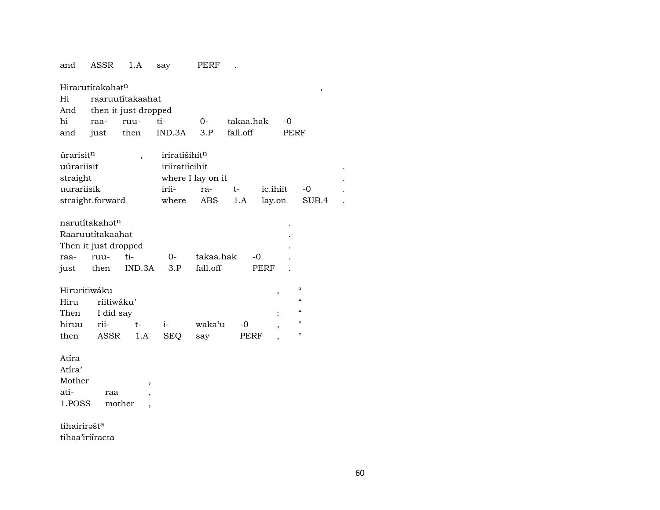| and                   | ASSR                         | 1.A                      | say               | PERF      |           |             |                                             |  |
|-----------------------|------------------------------|--------------------------|-------------------|-----------|-----------|-------------|---------------------------------------------|--|
|                       | Hirarutítakahat <sup>n</sup> |                          |                   |           |           |             | ,                                           |  |
| Hi                    |                              | raaruutítakaahat         |                   |           |           |             |                                             |  |
| And                   |                              | then it just dropped     |                   |           |           |             |                                             |  |
| hi                    | raa-                         | ruu-                     | ti-               | $0 -$     | takaa.hak |             | $-0$                                        |  |
| and                   | just                         | then                     | IND.3A            | 3.P       | fall.off  |             | <b>PERF</b>                                 |  |
| úrarisit <sup>n</sup> |                              | $\overline{\phantom{a}}$ | iriratíšihitn     |           |           |             |                                             |  |
| uúrariisit            |                              |                          | iriiratiícihit    |           |           |             |                                             |  |
| straight              |                              |                          | where I lay on it |           |           |             |                                             |  |
| uurariisik            |                              |                          | irii-             | ra-       | $t-$      | ic.ihiit    | $-0$                                        |  |
|                       | straight.forward             |                          | where             | ABS       | 1.A       | lay.on      | SUB.4                                       |  |
|                       | narutítakahət <sup>n</sup>   |                          |                   |           |           |             |                                             |  |
|                       | Raaruutítakaahat             |                          |                   |           |           |             |                                             |  |
|                       | Then it just dropped         |                          |                   |           |           |             |                                             |  |
| raa-                  | ruu-                         | ti-                      | $0-$              | takaa.hak | $-0$      |             |                                             |  |
| just                  | then                         | IND.3A                   | 3.P               | fall.off  |           | <b>PERF</b> |                                             |  |
|                       |                              |                          |                   |           |           |             |                                             |  |
| Hiruritiwáku          |                              |                          |                   |           |           | $\, ,$      | $\boldsymbol{\mathcal{C}}$<br>$\mathcal{C}$ |  |
| Hiru                  | riitiwáku'                   |                          |                   |           |           |             | $\pmb{\zeta}\pmb{\zeta}$                    |  |
| Then                  | I did say                    |                          |                   |           |           |             | $\pmb{\mathsf{H}}$                          |  |
| hiruu                 | rii-                         | $t-$                     | $i-$              | waka'u    | $-0$      | $\cdot$     | $\pmb{\mathsf{H}}$                          |  |
| then                  | <b>ASSR</b>                  | 1.A                      | <b>SEQ</b>        | say       | PERF      |             |                                             |  |
| Atíra                 |                              |                          |                   |           |           |             |                                             |  |
| Atíra'                |                              |                          |                   |           |           |             |                                             |  |
| Mother                |                              | ,                        |                   |           |           |             |                                             |  |
| ati-                  | raa                          | $\overline{\phantom{a}}$ |                   |           |           |             |                                             |  |
| 1.POSS                |                              | mother                   |                   |           |           |             |                                             |  |
|                       |                              |                          |                   |           |           |             |                                             |  |

tihairirəšt $^{\rm a}$ tihaa'iriíracta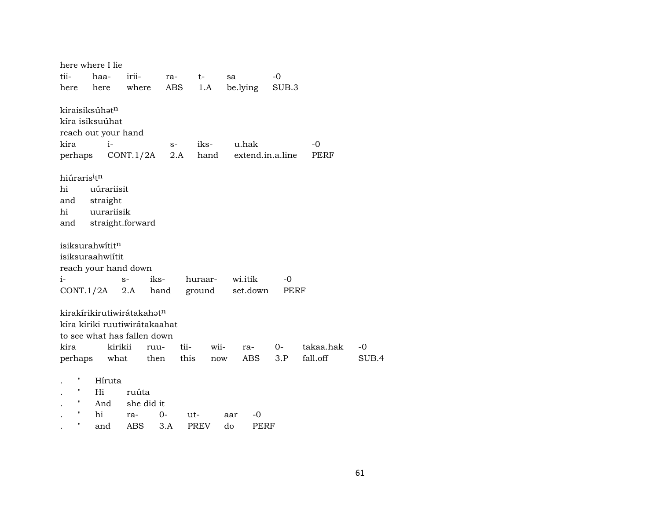|                                      | here where I lie           |                                        |       |             |                  |             |                       |               |
|--------------------------------------|----------------------------|----------------------------------------|-------|-------------|------------------|-------------|-----------------------|---------------|
| tii-                                 | haa-                       | irii-                                  | ra-   | $t-$        | sa               | $-0$        |                       |               |
| here                                 | here                       | where                                  | ABS   | 1.A         | be.lying         | SUB.3       |                       |               |
|                                      | kiraisiksúhət <sup>n</sup> |                                        |       |             |                  |             |                       |               |
|                                      | kíra isiksuúhat            |                                        |       |             |                  |             |                       |               |
|                                      | reach out your hand        |                                        |       |             |                  |             |                       |               |
| kira                                 | $i-$                       |                                        | $S-$  | iks-        | u.hak            |             | -0                    |               |
|                                      |                            | perhaps CONT.1/2A                      | 2.A   | hand        | extend.in.a.line |             | PERF                  |               |
|                                      |                            |                                        |       |             |                  |             |                       |               |
| hiúraris <sup>i</sup> t <sup>n</sup> |                            |                                        |       |             |                  |             |                       |               |
| hi                                   | uúrariisit                 |                                        |       |             |                  |             |                       |               |
| and                                  | straight                   |                                        |       |             |                  |             |                       |               |
| hi                                   | uurariisik                 |                                        |       |             |                  |             |                       |               |
| and                                  |                            | straight.forward                       |       |             |                  |             |                       |               |
|                                      |                            |                                        |       |             |                  |             |                       |               |
|                                      | isiksurahwítitn            |                                        |       |             |                  |             |                       |               |
|                                      | isiksuraahwiítit           |                                        |       |             |                  |             |                       |               |
|                                      |                            | reach your hand down                   |       |             |                  |             |                       |               |
| $i-$                                 |                            | iks-<br>$S-$                           |       | huraar-     | wi.itik          | -0          |                       |               |
|                                      | $CONT.1/2A$ 2.A            |                                        | hand  | ground      | set.down         | PERF        |                       |               |
|                                      |                            |                                        |       |             |                  |             |                       |               |
|                                      |                            | kirakírikirutiwirátakahət <sup>n</sup> |       |             |                  |             |                       |               |
|                                      |                            | kíra kíriki ruutiwirátakaahat          |       |             |                  |             |                       |               |
|                                      |                            | to see what has fallen down            |       |             |                  |             |                       |               |
| kira                                 |                            | kirikii<br>ruu-                        |       | tii- wii-   | ra-              | $0-$<br>3.P | takaa.hak<br>fall.off | $-0$<br>SUB.4 |
|                                      | perhaps what               |                                        | then  | this<br>now | ABS              |             |                       |               |
| Ħ                                    | Híruta                     |                                        |       |             |                  |             |                       |               |
| н                                    | Hi                         | ruúta                                  |       |             |                  |             |                       |               |
| 11                                   | And                        | she did it                             |       |             |                  |             |                       |               |
| 11                                   | hi                         | ra-                                    | $O -$ | ut-         | -0<br>aar        |             |                       |               |
|                                      |                            |                                        |       |             |                  |             |                       |               |

. " and ABS 3.A PREV do PERF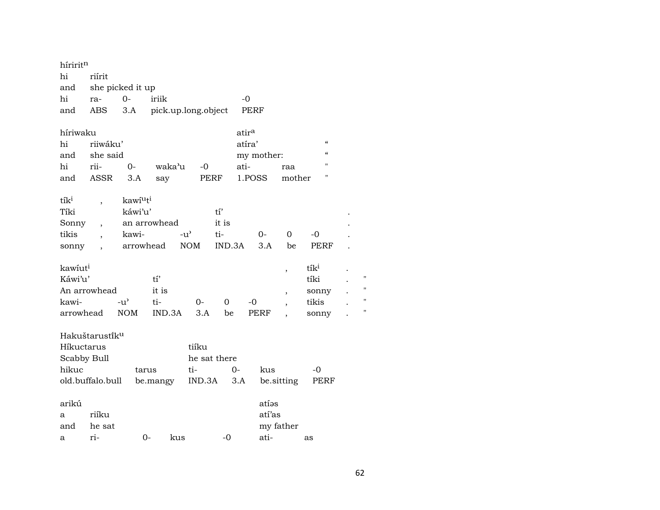| híriritn                   |                          |                                  |          |               |                     |        |        |             |                          |                            |                |
|----------------------------|--------------------------|----------------------------------|----------|---------------|---------------------|--------|--------|-------------|--------------------------|----------------------------|----------------|
| hi                         | riírit                   |                                  |          |               |                     |        |        |             |                          |                            |                |
| and                        |                          | she picked it up                 |          |               |                     |        |        |             |                          |                            |                |
| hi                         | ra-                      | $O-$                             | iriik    |               |                     |        | -0     |             |                          |                            |                |
| and                        | ABS                      | 3.A                              |          |               | pick.up.long.object |        |        | PERF        |                          |                            |                |
| híriwaku                   |                          |                                  |          |               |                     |        | atira  |             |                          |                            |                |
| hi                         | riiwáku'                 |                                  |          |               |                     |        | atíra' |             |                          | $\boldsymbol{\mathcal{C}}$ |                |
| and                        | she said                 |                                  |          |               |                     |        |        | my mother:  |                          | $\alpha$                   |                |
| hi                         | rii-                     | $0-$                             | waka'u   |               | $-0$                |        | ati-   |             | raa                      | п                          |                |
| and                        | <b>ASSR</b>              | 3.A                              | say      |               | PERF                |        |        | 1.POSS      | mother                   |                            |                |
| tík <sup>i</sup>           | $\overline{\phantom{a}}$ | kawi <sup>u</sup> t <sup>i</sup> |          |               |                     |        |        |             |                          |                            |                |
| Tíki                       |                          | káwi'u'                          |          |               |                     | $t1$ ' |        |             |                          |                            |                |
| Sonny                      | $\overline{\phantom{a}}$ | an arrowhead                     |          |               |                     | it is  |        |             |                          |                            |                |
| tikis                      | $\overline{\phantom{a}}$ | kawi-                            |          | $-u^{\prime}$ |                     | ti-    |        | $0-$        | 0                        | -0                         |                |
| sonny                      | $\ddot{\phantom{0}}$     | arrowhead                        |          | <b>NOM</b>    |                     | IND.3A |        | 3.A         | be                       | PERF                       |                |
| kawiut <sup>i</sup>        |                          |                                  |          |               |                     |        |        |             | $\overline{\phantom{a}}$ | $t$ í $k$ <sup>i</sup>     |                |
| Káwi'u'                    |                          |                                  | $t1$ '   |               |                     |        |        |             |                          | tíki                       | $\blacksquare$ |
| An arrowhead               |                          |                                  | it is    |               |                     |        |        |             | $\overline{\phantom{a}}$ | sonny                      | $\blacksquare$ |
| kawi-                      |                          | $-u^{\prime}$                    | ti-      |               | 0-                  | 0      |        | $-0$        | $\overline{ }$           | tikis                      | $\blacksquare$ |
| arrowhead                  |                          | <b>NOM</b>                       | IND.3A   |               | 3.A                 | be     |        | <b>PERF</b> |                          | sonny                      | 11             |
| Hakuštarustik <sup>u</sup> |                          |                                  |          |               |                     |        |        |             |                          |                            |                |
| Híkuctarus                 |                          |                                  |          |               | tiíku               |        |        |             |                          |                            |                |
| Scabby Bull                |                          |                                  |          |               | he sat there        |        |        |             |                          |                            |                |
| hikuc                      |                          | tarus                            |          |               | ti-                 | $0-$   |        | kus         |                          | -0                         |                |
|                            | old.buffalo.bull         |                                  | be.mangy |               | IND.3A              |        | 3.A    |             | be.sitting               | PERF                       |                |
| arikú                      |                          |                                  |          |               |                     |        |        | atías       |                          |                            |                |
| a                          | riíku                    |                                  |          |               |                     |        |        | atí'as      |                          |                            |                |
| and                        | he sat                   |                                  |          |               |                     |        |        |             | my father                |                            |                |
| a                          | ri-                      | 0-                               |          | kus           |                     | $-0$   |        | ati-        |                          | as                         |                |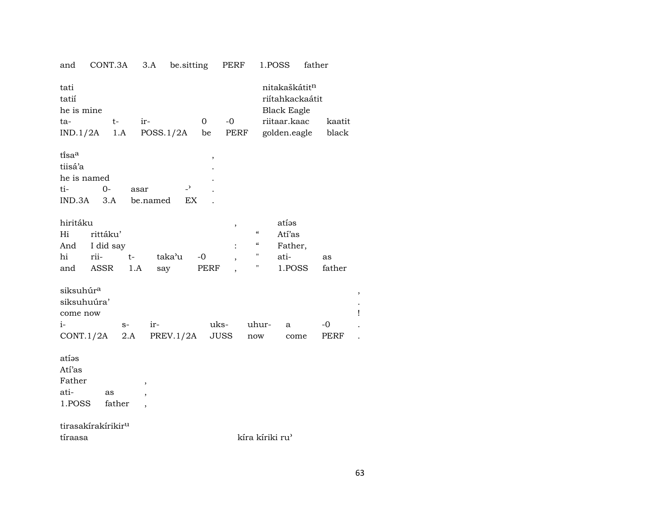| and                                              | CONT.3A                        |      | be.sitting<br>3.A                          |          | PERF        |                                                      | 1.POSS                                                             | father |        |
|--------------------------------------------------|--------------------------------|------|--------------------------------------------|----------|-------------|------------------------------------------------------|--------------------------------------------------------------------|--------|--------|
| tati<br>tatií<br>he is mine                      |                                |      |                                            |          |             |                                                      | nitakaškátit <sup>n</sup><br>riítahkackaátit<br><b>Black Eagle</b> |        |        |
| ta-                                              | $t-$                           | ir-  |                                            | $\Omega$ | $-0$        |                                                      | riitaar.kaac                                                       | kaatit |        |
| IND.1/2A                                         |                                | 1.A  | POSS.1/2A                                  | be       | PERF        |                                                      | golden.eagle                                                       | black  |        |
| tisaa<br>tiisá'a<br>he is named<br>ti-<br>IND.3A | $0-$<br>3.A                    | asar | $\overline{\phantom{a}}$<br>EX<br>be.named | $\, ,$   |             |                                                      |                                                                    |        |        |
| hiritáku<br>Hi<br>And                            | rittáku'<br>I did say          |      |                                            |          | ,           | $\mathcal{C}\mathcal{C}$<br>$\mathcal{C}\mathcal{C}$ | atías<br>Atí'as<br>Father,                                         |        |        |
|                                                  |                                |      |                                            |          |             | $\pmb{\mathsf{H}}$                                   |                                                                    |        |        |
| hi                                               | rii-                           | t-   | taka'u                                     | -0       | ,           | Η                                                    | ati-                                                               | as     |        |
| and                                              | ASSR                           | 1.A  | say                                        | PERF     |             |                                                      | 1.POSS                                                             | father |        |
| siksuhúr <sup>a</sup><br>siksuhuúra'<br>come now |                                |      |                                            |          |             |                                                      |                                                                    |        | ,<br>Ţ |
| $i-$                                             |                                | $S-$ | ir-                                        |          | uks-        | uhur-                                                | a                                                                  | $-0$   |        |
| CONT.1/2A                                        |                                | 2.A  | PREV.1/2A                                  |          | <b>JUSS</b> | now                                                  | come                                                               | PERF   |        |
| atías<br>Atí'as<br>Father<br>ati-<br>1.POSS      | as<br>father                   | ,    |                                            |          |             |                                                      |                                                                    |        |        |
|                                                  | tirasakírakírikir <sup>u</sup> |      |                                            |          |             |                                                      |                                                                    |        |        |
| tíraasa                                          |                                |      |                                            |          |             | kíra kíriki ru'                                      |                                                                    |        |        |
|                                                  |                                |      |                                            |          |             |                                                      |                                                                    |        |        |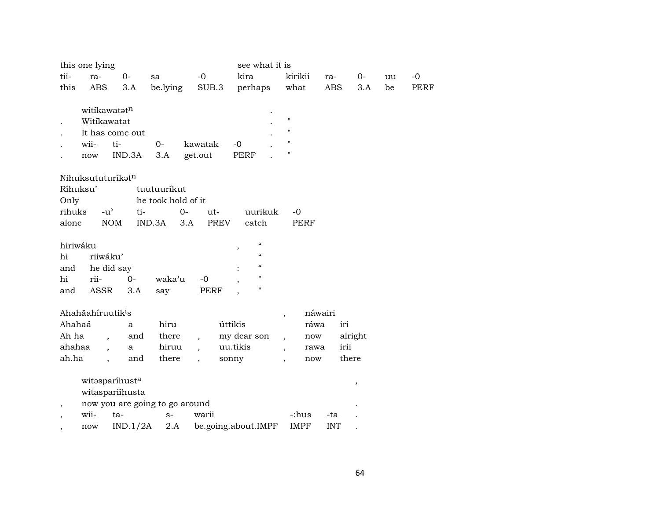|                          | this one lying                |                                 |                                |                          | see what it is                              |                                  |            |         |    |             |
|--------------------------|-------------------------------|---------------------------------|--------------------------------|--------------------------|---------------------------------------------|----------------------------------|------------|---------|----|-------------|
| tii-                     | ra-                           | $0-$                            | sa                             | $-0$                     | kira                                        | kirikii                          | ra-        | 0-      | uu | $-0$        |
| this                     | <b>ABS</b>                    | 3.A                             | be.lying                       | SUB.3                    | perhaps                                     | what                             | ABS        | 3.A     | be | <b>PERF</b> |
|                          |                               |                                 |                                |                          |                                             |                                  |            |         |    |             |
|                          |                               | witikawatatn                    |                                |                          |                                             |                                  |            |         |    |             |
|                          | Witikawatat                   |                                 |                                |                          |                                             | $\pmb{\mathsf{H}}$               |            |         |    |             |
|                          |                               | It has come out                 |                                |                          |                                             | $\pmb{\mathsf{H}}$               |            |         |    |             |
|                          | wii-                          | ti-                             | $0-$                           | kawatak                  | $-0$                                        | $\pmb{\mathsf{H}}$               |            |         |    |             |
|                          | now                           | IND.3A                          | 3.A                            | get.out                  | <b>PERF</b>                                 | п                                |            |         |    |             |
|                          |                               | Nihuksututuríkatn               |                                |                          |                                             |                                  |            |         |    |             |
| Ríhuksu'                 |                               |                                 | tuutuurikut                    |                          |                                             |                                  |            |         |    |             |
| Only                     |                               |                                 | he took hold of it             |                          |                                             |                                  |            |         |    |             |
| rihuks                   |                               | $-u^{\prime}$<br>ti-            |                                | $0-$<br>ut-              | uurikuk                                     | $-0$                             |            |         |    |             |
| alone                    |                               | <b>NOM</b>                      | IND.3A                         | <b>PREV</b><br>3.A       | catch                                       | <b>PERF</b>                      |            |         |    |             |
|                          |                               |                                 |                                |                          |                                             |                                  |            |         |    |             |
| hiriwáku                 |                               |                                 |                                |                          | $\boldsymbol{\zeta}\boldsymbol{\zeta}$<br>, |                                  |            |         |    |             |
| hi                       |                               | riiwáku'                        |                                |                          | $\epsilon$                                  |                                  |            |         |    |             |
| and                      |                               | he did say                      |                                |                          | $\boldsymbol{\mathcal{C}}$                  |                                  |            |         |    |             |
| hi                       | rii-                          | $0-$                            | waka'u                         | $-0$                     | $\pmb{\mathsf{H}}$                          |                                  |            |         |    |             |
| and                      | ASSR                          | 3.A                             | say                            | <b>PERF</b>              | $\pmb{\mathsf{H}}$                          |                                  |            |         |    |             |
|                          |                               |                                 |                                |                          |                                             |                                  |            |         |    |             |
|                          | Ahahãahíruutik <sup>i</sup> s |                                 |                                |                          |                                             | $\overline{\phantom{a}}$         | náwairi    |         |    |             |
| Ahahaá                   |                               | a                               | hiru                           |                          | úttikis                                     | ráwa                             | iri        |         |    |             |
| Ah ha                    |                               | and<br>$\overline{\phantom{a}}$ | there                          | $\overline{\phantom{a}}$ | my dear son                                 | now<br>$\overline{\phantom{a}}$  |            | alright |    |             |
| ahahaa                   |                               | a                               | hiruu                          | $\overline{\phantom{a}}$ | uu.tikis                                    | rawa<br>$\overline{\phantom{a}}$ | irii       |         |    |             |
| ah.ha                    |                               | and<br>$\overline{\phantom{a}}$ | there                          | $\ddot{\phantom{0}}$     | sonny                                       | now<br>$\ddot{\phantom{0}}$      |            | there   |    |             |
|                          |                               | witasparíhusta                  |                                |                          |                                             |                                  |            |         |    |             |
|                          |                               | witaspariíhusta                 |                                |                          |                                             |                                  |            | ,       |    |             |
|                          |                               |                                 | now you are going to go around |                          |                                             |                                  |            |         |    |             |
| $\overline{\phantom{a}}$ | wii-                          | ta-                             | $S-$                           | warii                    |                                             | -:hus                            | -ta        |         |    |             |
| $\overline{\phantom{a}}$ | now                           | IND.1/2A                        | 2.A                            |                          | be.going.about.IMPF                         | <b>IMPF</b>                      | <b>INT</b> |         |    |             |
|                          |                               |                                 |                                |                          |                                             |                                  |            |         |    |             |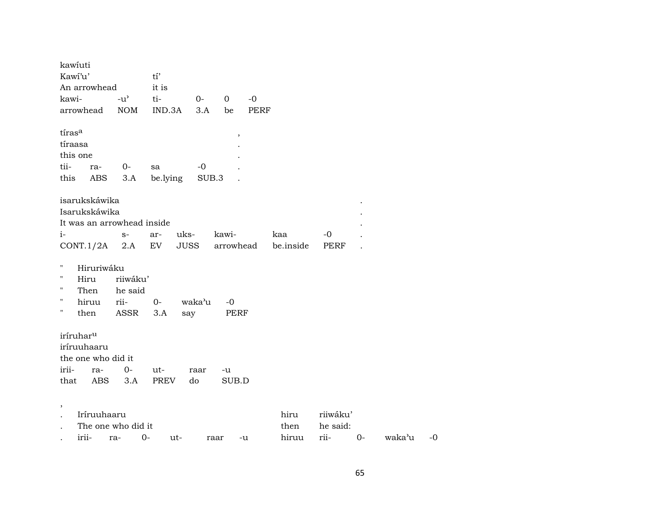| kawiuti               |                      |                                     |                            |             |           |             |           |             |  |  |
|-----------------------|----------------------|-------------------------------------|----------------------------|-------------|-----------|-------------|-----------|-------------|--|--|
| Kawi'u'               |                      |                                     | $t1$ '                     |             |           |             |           |             |  |  |
|                       | An arrowhead         |                                     | it is                      |             |           |             |           |             |  |  |
| kawi-                 |                      | $-u$ <sup><math>\prime</math></sup> | ti-                        | $0-$        | 0         | $-0$        |           |             |  |  |
| arrowhead             |                      | <b>NOM</b>                          | IND.3A                     | 3.A         | be        | <b>PERF</b> |           |             |  |  |
| tírasa                |                      |                                     |                            |             | $\, ,$    |             |           |             |  |  |
| tíraasa               |                      |                                     |                            |             |           |             |           |             |  |  |
| this one              |                      |                                     |                            |             |           |             |           |             |  |  |
| tii-                  | ra-                  | $O -$                               | sa                         | $-0$        |           |             |           |             |  |  |
| this                  | $\operatorname{ABS}$ | 3.A                                 | be.lying                   | SUB.3       |           |             |           |             |  |  |
|                       | isarukskáwika        |                                     |                            |             |           |             |           |             |  |  |
|                       | Isarukskáwika        |                                     |                            |             |           |             |           |             |  |  |
|                       |                      | It was an arrowhead inside          |                            |             |           |             |           |             |  |  |
| $i-$                  |                      | $S-$                                | ar-                        | uks-        | kawi-     |             | kaa       | $-0$        |  |  |
|                       | CONT.1/2A            | 2.A                                 | $\mathop{\rm EV}\nolimits$ | <b>JUSS</b> | arrowhead |             | be.inside | <b>PERF</b> |  |  |
|                       |                      |                                     |                            |             |           |             |           |             |  |  |
| $\pmb{\mathsf{H}}$    | Hiruriwáku           |                                     |                            |             |           |             |           |             |  |  |
| $\pmb{\mathsf{H}}$    | Hiru                 | riiwáku'                            |                            |             |           |             |           |             |  |  |
| $\pmb{\mathsf{H}}$    | Then                 | he said                             |                            |             |           |             |           |             |  |  |
| $\pmb{\mathsf{H}}$    | hiruu                | rii-                                | $0-$                       | waka'u      | $-0$      |             |           |             |  |  |
| $\pmb{\pi}$           | then                 | ASSR                                | 3.A                        | say         | PERF      |             |           |             |  |  |
| iríruhar <sup>u</sup> |                      |                                     |                            |             |           |             |           |             |  |  |
|                       | iríruuhaaru          |                                     |                            |             |           |             |           |             |  |  |
|                       | the one who did it   |                                     |                            |             |           |             |           |             |  |  |
| irii-                 | ra-                  | $0-$                                | ut-                        | raar        | -u        |             |           |             |  |  |
| that                  | ABS                  | 3.A                                 | PREV                       | do          | SUB.D     |             |           |             |  |  |
|                       |                      |                                     |                            |             |           |             |           |             |  |  |
| $\, ,$                |                      |                                     |                            |             |           |             |           |             |  |  |
|                       | Iríruuhaaru          |                                     |                            |             |           |             | hiru      | riiwáku'    |  |  |
|                       |                      |                                     |                            |             |           |             |           |             |  |  |
|                       |                      | The one who did it                  |                            |             |           |             | then      | he said:    |  |  |